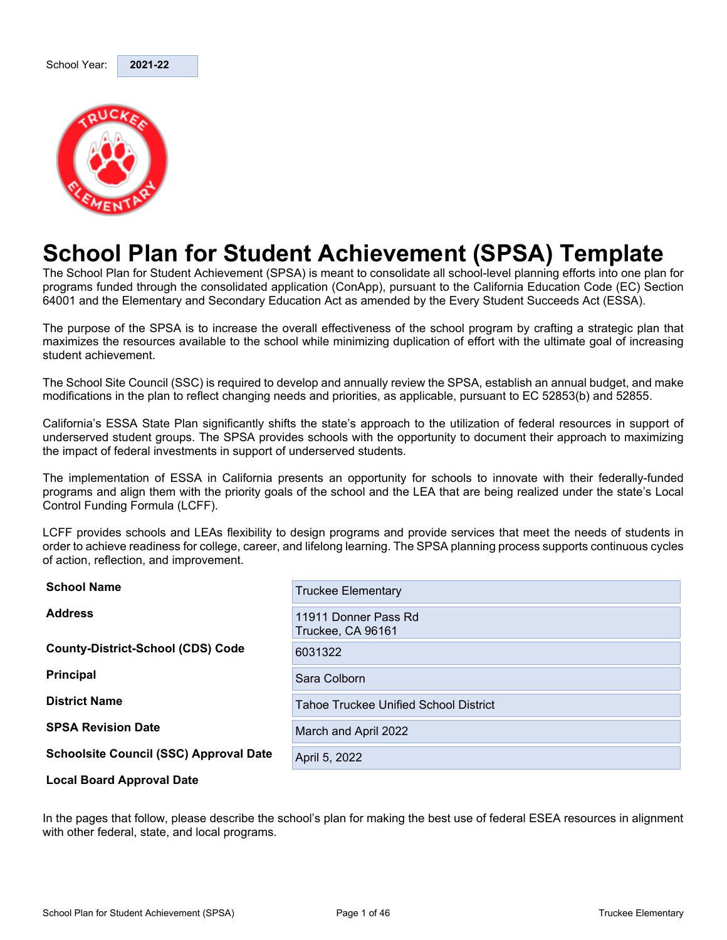

## **School Plan for Student Achievement (SPSA) Template**

The School Plan for Student Achievement (SPSA) is meant to consolidate all school-level planning efforts into one plan for programs funded through the consolidated application (ConApp), pursuant to the California Education Code (EC) Section 64001 and the Elementary and Secondary Education Act as amended by the Every Student Succeeds Act (ESSA).

The purpose of the SPSA is to increase the overall effectiveness of the school program by crafting a strategic plan that maximizes the resources available to the school while minimizing duplication of effort with the ultimate goal of increasing student achievement.

The School Site Council (SSC) is required to develop and annually review the SPSA, establish an annual budget, and make modifications in the plan to reflect changing needs and priorities, as applicable, pursuant to EC 52853(b) and 52855.

California's ESSA State Plan significantly shifts the state's approach to the utilization of federal resources in support of underserved student groups. The SPSA provides schools with the opportunity to document their approach to maximizing the impact of federal investments in support of underserved students.

The implementation of ESSA in California presents an opportunity for schools to innovate with their federally-funded programs and align them with the priority goals of the school and the LEA that are being realized under the state's Local Control Funding Formula (LCFF).

LCFF provides schools and LEAs flexibility to design programs and provide services that meet the needs of students in order to achieve readiness for college, career, and lifelong learning. The SPSA planning process supports continuous cycles of action, reflection, and improvement.

| <b>School Name</b>                            | <b>Truckee Elementary</b>                    |
|-----------------------------------------------|----------------------------------------------|
| <b>Address</b>                                | 11911 Donner Pass Rd<br>Truckee, CA 96161    |
| <b>County-District-School (CDS) Code</b>      | 6031322                                      |
| <b>Principal</b>                              | Sara Colborn                                 |
| <b>District Name</b>                          | <b>Tahoe Truckee Unified School District</b> |
| <b>SPSA Revision Date</b>                     | March and April 2022                         |
| <b>Schoolsite Council (SSC) Approval Date</b> | April 5, 2022                                |
| Local Desud Amproval Data                     |                                              |

**Local Board Approval Date**

In the pages that follow, please describe the school's plan for making the best use of federal ESEA resources in alignment with other federal, state, and local programs.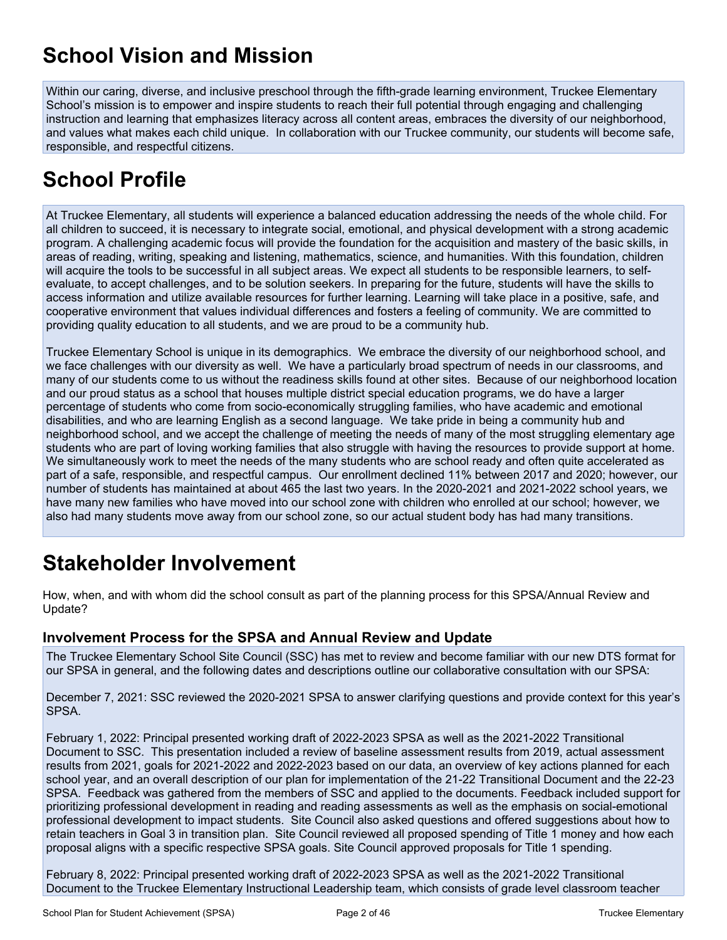## **School Vision and Mission**

Within our caring, diverse, and inclusive preschool through the fifth-grade learning environment, Truckee Elementary School's mission is to empower and inspire students to reach their full potential through engaging and challenging instruction and learning that emphasizes literacy across all content areas, embraces the diversity of our neighborhood, and values what makes each child unique. In collaboration with our Truckee community, our students will become safe, responsible, and respectful citizens.

## **School Profile**

At Truckee Elementary, all students will experience a balanced education addressing the needs of the whole child. For all children to succeed, it is necessary to integrate social, emotional, and physical development with a strong academic program. A challenging academic focus will provide the foundation for the acquisition and mastery of the basic skills, in areas of reading, writing, speaking and listening, mathematics, science, and humanities. With this foundation, children will acquire the tools to be successful in all subject areas. We expect all students to be responsible learners, to selfevaluate, to accept challenges, and to be solution seekers. In preparing for the future, students will have the skills to access information and utilize available resources for further learning. Learning will take place in a positive, safe, and cooperative environment that values individual differences and fosters a feeling of community. We are committed to providing quality education to all students, and we are proud to be a community hub.

Truckee Elementary School is unique in its demographics. We embrace the diversity of our neighborhood school, and we face challenges with our diversity as well. We have a particularly broad spectrum of needs in our classrooms, and many of our students come to us without the readiness skills found at other sites. Because of our neighborhood location and our proud status as a school that houses multiple district special education programs, we do have a larger percentage of students who come from socio-economically struggling families, who have academic and emotional disabilities, and who are learning English as a second language. We take pride in being a community hub and neighborhood school, and we accept the challenge of meeting the needs of many of the most struggling elementary age students who are part of loving working families that also struggle with having the resources to provide support at home. We simultaneously work to meet the needs of the many students who are school ready and often quite accelerated as part of a safe, responsible, and respectful campus. Our enrollment declined 11% between 2017 and 2020; however, our number of students has maintained at about 465 the last two years. In the 2020-2021 and 2021-2022 school years, we have many new families who have moved into our school zone with children who enrolled at our school; however, we also had many students move away from our school zone, so our actual student body has had many transitions.

## **Stakeholder Involvement**

How, when, and with whom did the school consult as part of the planning process for this SPSA/Annual Review and Update?

#### **Involvement Process for the SPSA and Annual Review and Update**

The Truckee Elementary School Site Council (SSC) has met to review and become familiar with our new DTS format for our SPSA in general, and the following dates and descriptions outline our collaborative consultation with our SPSA:

December 7, 2021: SSC reviewed the 2020-2021 SPSA to answer clarifying questions and provide context for this year's SPSA.

February 1, 2022: Principal presented working draft of 2022-2023 SPSA as well as the 2021-2022 Transitional Document to SSC. This presentation included a review of baseline assessment results from 2019, actual assessment results from 2021, goals for 2021-2022 and 2022-2023 based on our data, an overview of key actions planned for each school year, and an overall description of our plan for implementation of the 21-22 Transitional Document and the 22-23 SPSA. Feedback was gathered from the members of SSC and applied to the documents. Feedback included support for prioritizing professional development in reading and reading assessments as well as the emphasis on social-emotional professional development to impact students. Site Council also asked questions and offered suggestions about how to retain teachers in Goal 3 in transition plan. Site Council reviewed all proposed spending of Title 1 money and how each proposal aligns with a specific respective SPSA goals. Site Council approved proposals for Title 1 spending.

February 8, 2022: Principal presented working draft of 2022-2023 SPSA as well as the 2021-2022 Transitional Document to the Truckee Elementary Instructional Leadership team, which consists of grade level classroom teacher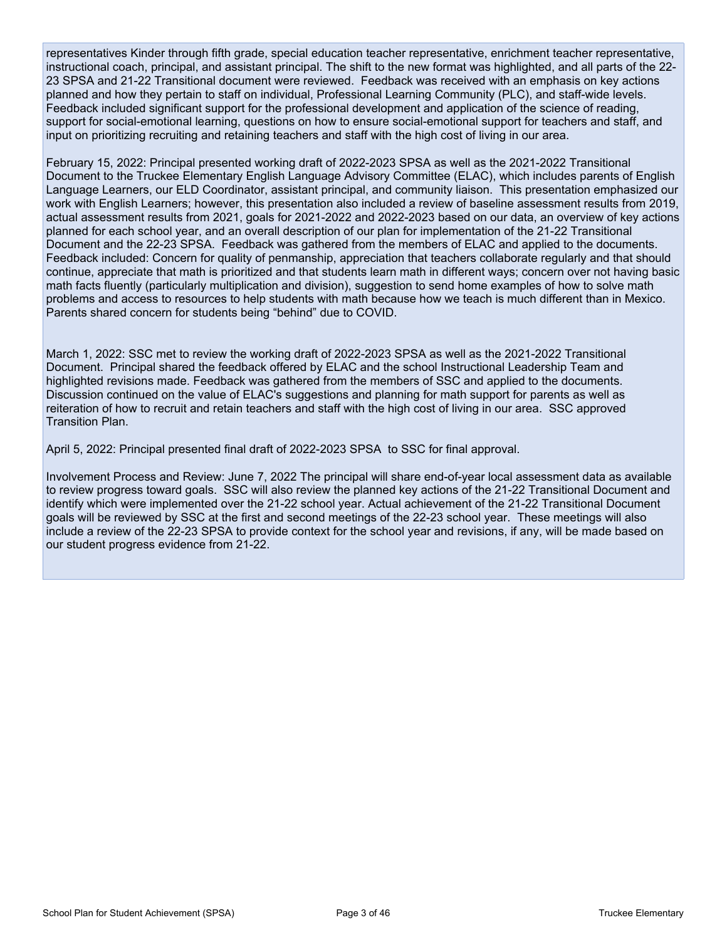representatives Kinder through fifth grade, special education teacher representative, enrichment teacher representative, instructional coach, principal, and assistant principal. The shift to the new format was highlighted, and all parts of the 22- 23 SPSA and 21-22 Transitional document were reviewed. Feedback was received with an emphasis on key actions planned and how they pertain to staff on individual, Professional Learning Community (PLC), and staff-wide levels. Feedback included significant support for the professional development and application of the science of reading, support for social-emotional learning, questions on how to ensure social-emotional support for teachers and staff, and input on prioritizing recruiting and retaining teachers and staff with the high cost of living in our area.

February 15, 2022: Principal presented working draft of 2022-2023 SPSA as well as the 2021-2022 Transitional Document to the Truckee Elementary English Language Advisory Committee (ELAC), which includes parents of English Language Learners, our ELD Coordinator, assistant principal, and community liaison. This presentation emphasized our work with English Learners; however, this presentation also included a review of baseline assessment results from 2019, actual assessment results from 2021, goals for 2021-2022 and 2022-2023 based on our data, an overview of key actions planned for each school year, and an overall description of our plan for implementation of the 21-22 Transitional Document and the 22-23 SPSA. Feedback was gathered from the members of ELAC and applied to the documents. Feedback included: Concern for quality of penmanship, appreciation that teachers collaborate regularly and that should continue, appreciate that math is prioritized and that students learn math in different ways; concern over not having basic math facts fluently (particularly multiplication and division), suggestion to send home examples of how to solve math problems and access to resources to help students with math because how we teach is much different than in Mexico. Parents shared concern for students being "behind" due to COVID.

March 1, 2022: SSC met to review the working draft of 2022-2023 SPSA as well as the 2021-2022 Transitional Document. Principal shared the feedback offered by ELAC and the school Instructional Leadership Team and highlighted revisions made. Feedback was gathered from the members of SSC and applied to the documents. Discussion continued on the value of ELAC's suggestions and planning for math support for parents as well as reiteration of how to recruit and retain teachers and staff with the high cost of living in our area. SSC approved Transition Plan.

April 5, 2022: Principal presented final draft of 2022-2023 SPSA to SSC for final approval.

Involvement Process and Review: June 7, 2022 The principal will share end-of-year local assessment data as available to review progress toward goals. SSC will also review the planned key actions of the 21-22 Transitional Document and identify which were implemented over the 21-22 school year. Actual achievement of the 21-22 Transitional Document goals will be reviewed by SSC at the first and second meetings of the 22-23 school year. These meetings will also include a review of the 22-23 SPSA to provide context for the school year and revisions, if any, will be made based on our student progress evidence from 21-22.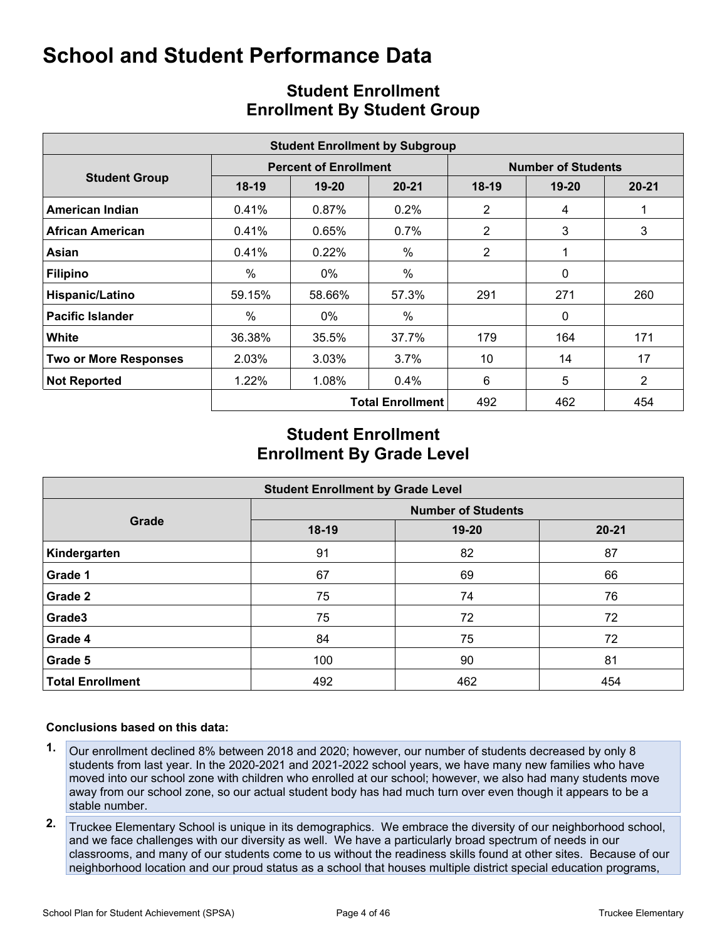## **School and Student Performance Data**

|                              | <b>Student Enrollment by Subgroup</b> |                              |                         |                           |              |                |  |  |  |  |  |  |  |  |
|------------------------------|---------------------------------------|------------------------------|-------------------------|---------------------------|--------------|----------------|--|--|--|--|--|--|--|--|
|                              |                                       | <b>Percent of Enrollment</b> |                         | <b>Number of Students</b> |              |                |  |  |  |  |  |  |  |  |
| <b>Student Group</b>         | $18-19$                               | $19-20$                      | $20 - 21$               | $18-19$                   | $19 - 20$    | $20 - 21$      |  |  |  |  |  |  |  |  |
| <b>American Indian</b>       | 0.41%                                 | 0.87%                        | $0.2\%$                 | 2                         | 4            |                |  |  |  |  |  |  |  |  |
| <b>African American</b>      | 0.41%                                 | $0.65\%$                     | $0.7\%$                 | 2                         | 3            | 3              |  |  |  |  |  |  |  |  |
| Asian                        | 0.41%                                 | 0.22%                        | $\%$                    | 2                         |              |                |  |  |  |  |  |  |  |  |
| <b>Filipino</b>              | $\%$                                  | $0\%$                        | $\%$                    |                           | $\mathbf{0}$ |                |  |  |  |  |  |  |  |  |
| Hispanic/Latino              | 59.15%                                | 58.66%                       | 57.3%                   | 291                       | 271          | 260            |  |  |  |  |  |  |  |  |
| <b>Pacific Islander</b>      | $\%$                                  | $0\%$                        | $\%$                    |                           | $\mathbf{0}$ |                |  |  |  |  |  |  |  |  |
| White                        | 36.38%                                | 35.5%                        | 37.7%                   | 179                       | 164          | 171            |  |  |  |  |  |  |  |  |
| <b>Two or More Responses</b> | 2.03%                                 | 3.03%                        | 3.7%                    | 10                        | 14           | 17             |  |  |  |  |  |  |  |  |
| <b>Not Reported</b>          | 1.22%                                 | 1.08%                        | 0.4%                    | 6                         | 5            | $\overline{2}$ |  |  |  |  |  |  |  |  |
|                              |                                       |                              | <b>Total Enrollment</b> | 492                       | 462          | 454            |  |  |  |  |  |  |  |  |

## **Student Enrollment Enrollment By Student Group**

## **Student Enrollment Enrollment By Grade Level**

| <b>Student Enrollment by Grade Level</b> |                           |           |           |  |  |  |  |  |  |  |  |
|------------------------------------------|---------------------------|-----------|-----------|--|--|--|--|--|--|--|--|
|                                          | <b>Number of Students</b> |           |           |  |  |  |  |  |  |  |  |
| Grade                                    | $18-19$                   | $19 - 20$ | $20 - 21$ |  |  |  |  |  |  |  |  |
| Kindergarten                             | 91                        | 82        | 87        |  |  |  |  |  |  |  |  |
| Grade 1                                  | 67                        | 69        | 66        |  |  |  |  |  |  |  |  |
| Grade 2                                  | 75                        | 74        | 76        |  |  |  |  |  |  |  |  |
| Grade3                                   | 75                        | 72        | 72        |  |  |  |  |  |  |  |  |
| Grade 4                                  | 84                        | 75        | 72        |  |  |  |  |  |  |  |  |
| Grade 5                                  | 100                       | 90        | 81        |  |  |  |  |  |  |  |  |
| <b>Total Enrollment</b>                  | 492                       | 462       | 454       |  |  |  |  |  |  |  |  |

#### **Conclusions based on this data:**

- **1.** Our enrollment declined 8% between 2018 and 2020; however, our number of students decreased by only 8 students from last year. In the 2020-2021 and 2021-2022 school years, we have many new families who have moved into our school zone with children who enrolled at our school; however, we also had many students move away from our school zone, so our actual student body has had much turn over even though it appears to be a stable number.
- **2.** Truckee Elementary School is unique in its demographics. We embrace the diversity of our neighborhood school, and we face challenges with our diversity as well. We have a particularly broad spectrum of needs in our classrooms, and many of our students come to us without the readiness skills found at other sites. Because of our neighborhood location and our proud status as a school that houses multiple district special education programs,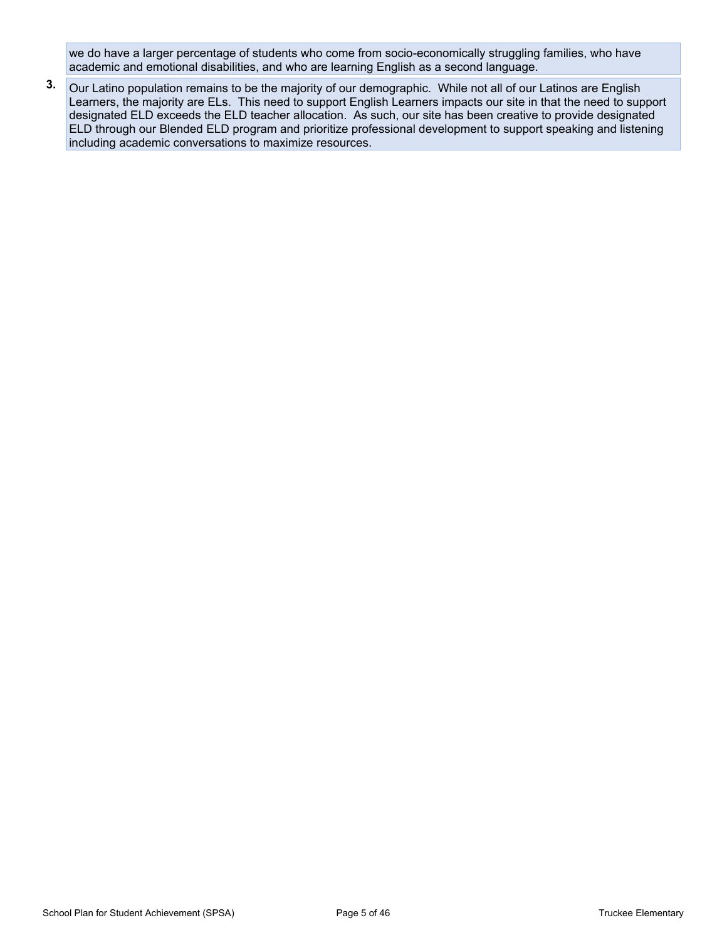we do have a larger percentage of students who come from socio-economically struggling families, who have academic and emotional disabilities, and who are learning English as a second language.

**3.** Our Latino population remains to be the majority of our demographic. While not all of our Latinos are English Learners, the majority are ELs. This need to support English Learners impacts our site in that the need to support designated ELD exceeds the ELD teacher allocation. As such, our site has been creative to provide designated ELD through our Blended ELD program and prioritize professional development to support speaking and listening including academic conversations to maximize resources.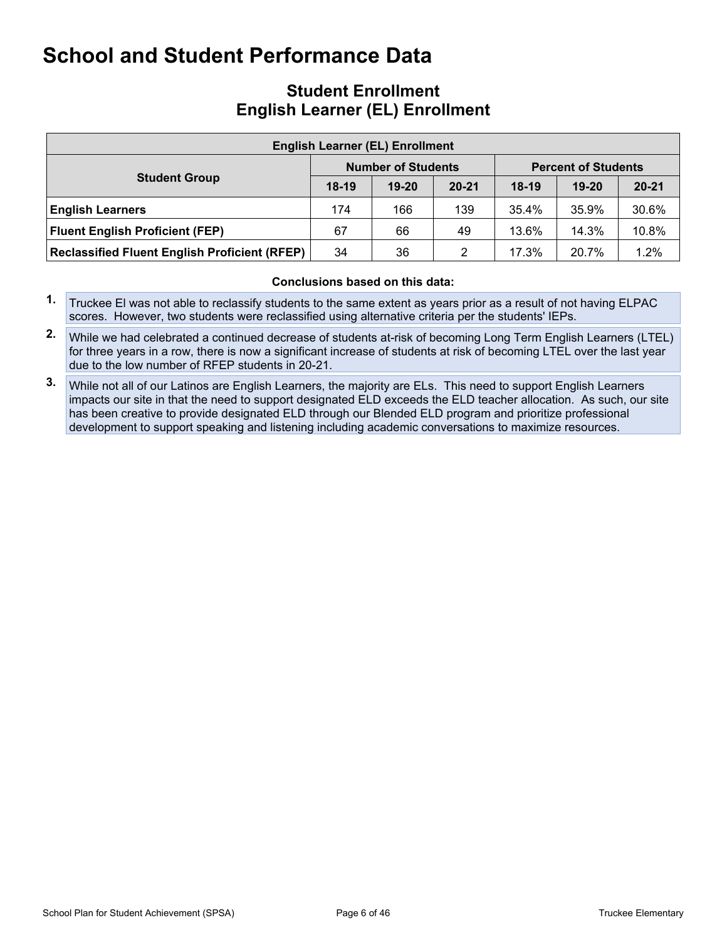## **School and Student Performance Data**

### **Student Enrollment English Learner (EL) Enrollment**

| <b>English Learner (EL) Enrollment</b>               |         |                           |           |         |                            |           |  |  |  |  |  |  |  |
|------------------------------------------------------|---------|---------------------------|-----------|---------|----------------------------|-----------|--|--|--|--|--|--|--|
|                                                      |         | <b>Number of Students</b> |           |         | <b>Percent of Students</b> |           |  |  |  |  |  |  |  |
| <b>Student Group</b>                                 | $18-19$ | $19 - 20$                 | $20 - 21$ | $18-19$ | $19-20$                    | $20 - 21$ |  |  |  |  |  |  |  |
| <b>English Learners</b>                              | 174     | 166                       | 139       | 35.4%   | 35.9%                      | 30.6%     |  |  |  |  |  |  |  |
| <b>Fluent English Proficient (FEP)</b>               | 67      | 66                        | 49        | 13.6%   | 14.3%                      | 10.8%     |  |  |  |  |  |  |  |
| <b>Reclassified Fluent English Proficient (RFEP)</b> | 34      | 36                        | 2         | 17.3%   | 20.7%                      | $1.2\%$   |  |  |  |  |  |  |  |

#### **Conclusions based on this data:**

- **1.** Truckee El was not able to reclassify students to the same extent as years prior as a result of not having ELPAC scores. However, two students were reclassified using alternative criteria per the students' IEPs.
- **2.** While we had celebrated a continued decrease of students at-risk of becoming Long Term English Learners (LTEL) for three years in a row, there is now a significant increase of students at risk of becoming LTEL over the last year due to the low number of RFEP students in 20-21.
- **3.** While not all of our Latinos are English Learners, the majority are ELs. This need to support English Learners impacts our site in that the need to support designated ELD exceeds the ELD teacher allocation. As such, our site has been creative to provide designated ELD through our Blended ELD program and prioritize professional development to support speaking and listening including academic conversations to maximize resources.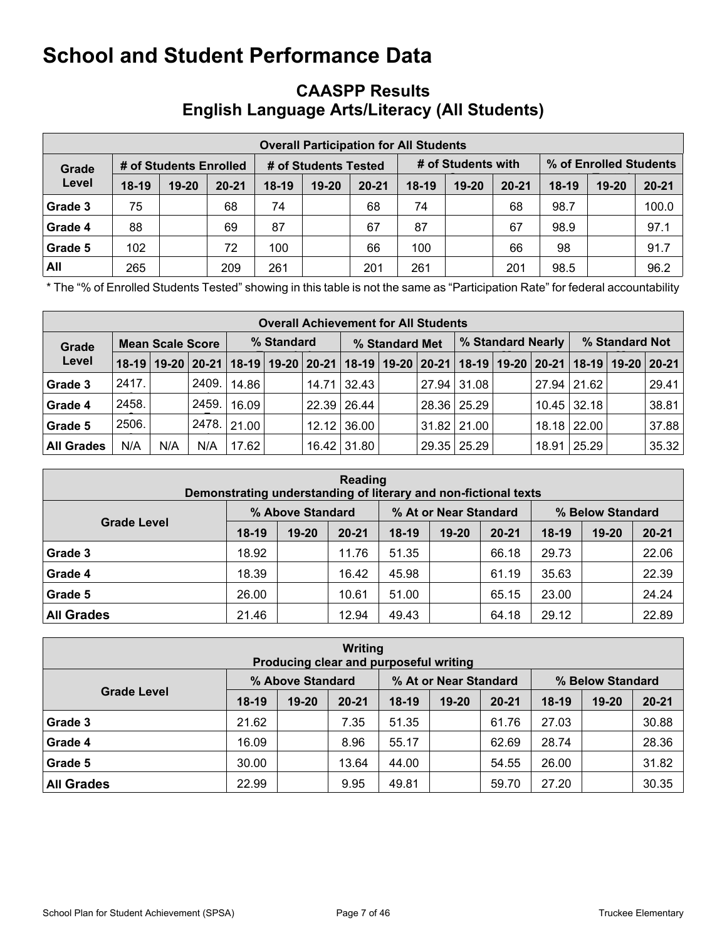## **School and Student Performance Data**

## **CAASPP Results English Language Arts/Literacy (All Students)**

|         | <b>Overall Participation for All Students</b> |                        |           |         |                      |           |         |                    |           |                        |       |           |  |  |  |
|---------|-----------------------------------------------|------------------------|-----------|---------|----------------------|-----------|---------|--------------------|-----------|------------------------|-------|-----------|--|--|--|
| Grade   |                                               | # of Students Enrolled |           |         | # of Students Tested |           |         | # of Students with |           | % of Enrolled Students |       |           |  |  |  |
| Level   | $18-19$                                       | $19 - 20$              | $20 - 21$ | $18-19$ | $19 - 20$            | $20 - 21$ | $18-19$ | $19 - 20$          | $20 - 21$ | $18-19$                | 19-20 | $20 - 21$ |  |  |  |
| Grade 3 | 75                                            |                        | 68        | 74      |                      | 68        | 74      |                    | 68        | 98.7                   |       | 100.0     |  |  |  |
| Grade 4 | 88                                            |                        | 69        | 87      |                      | 67        | 87      |                    | 67        | 98.9                   |       | 97.1      |  |  |  |
| Grade 5 | 102                                           |                        | 72        | 100     |                      | 66        | 100     |                    | 66        | 98                     |       | 91.7      |  |  |  |
| All     | 265                                           |                        | 209       | 261     |                      | 201       | 261     |                    | 201       | 98.5                   |       | 96.2      |  |  |  |

**Frame "% of Enrolled Students Tested" showing in this table is not the same as "Participation Rate" for federal accountability** 

|                                  | <b>Overall Achievement for All Students</b> |     |     |                                                                                                                       |  |                |             |  |  |                 |                   |                |               |  |       |
|----------------------------------|---------------------------------------------|-----|-----|-----------------------------------------------------------------------------------------------------------------------|--|----------------|-------------|--|--|-----------------|-------------------|----------------|---------------|--|-------|
| <b>Mean Scale Score</b><br>Grade |                                             |     |     | % Standard                                                                                                            |  | % Standard Met |             |  |  |                 | % Standard Nearly | % Standard Not |               |  |       |
| Level                            |                                             |     |     | 18-19   19-20   20-21   18-19   19-20   20-21   18-19   19-20   20-21   18-19   19-20   20-21   18-19   19-20   20-21 |  |                |             |  |  |                 |                   |                |               |  |       |
| Grade 3                          | 2417.                                       |     |     | 12409. 14.86                                                                                                          |  |                | 14.71 32.43 |  |  | 27.94 31.08     |                   |                | 27.94 21.62   |  | 29.41 |
| Grade 4                          | 2458.                                       |     |     | 2459.   16.09 <sup> </sup>                                                                                            |  |                | 22.39 26.44 |  |  | 28.36 25.29     |                   |                | $10.45$ 32.18 |  | 38.81 |
| Grade 5                          | 2506.                                       |     |     | 2478. 21.00                                                                                                           |  |                | 12.12 36.00 |  |  | $31.82$   21.00 |                   |                | 18.18 22.00   |  | 37.88 |
| <b>All Grades</b>                | N/A                                         | N/A | N/A | 17.62                                                                                                                 |  |                | 16.42 31.80 |  |  | 29.35 25.29     |                   |                | 18.91 25.29   |  | 35.32 |

|                    | Reading<br>Demonstrating understanding of literary and non-fictional texts |                  |           |         |                       |           |                  |           |           |  |  |  |  |  |
|--------------------|----------------------------------------------------------------------------|------------------|-----------|---------|-----------------------|-----------|------------------|-----------|-----------|--|--|--|--|--|
| <b>Grade Level</b> |                                                                            | % Above Standard |           |         | % At or Near Standard |           | % Below Standard |           |           |  |  |  |  |  |
|                    | $18-19$                                                                    | $19 - 20$        | $20 - 21$ | $18-19$ | $19 - 20$             | $20 - 21$ | $18-19$          | $19 - 20$ | $20 - 21$ |  |  |  |  |  |
| Grade 3            | 18.92                                                                      |                  | 11.76     | 51.35   |                       | 66.18     | 29.73            |           | 22.06     |  |  |  |  |  |
| Grade 4            | 18.39                                                                      |                  | 16.42     | 45.98   |                       | 61.19     | 35.63            |           | 22.39     |  |  |  |  |  |
| Grade 5            | 26.00                                                                      |                  | 10.61     | 51.00   |                       | 65.15     | 23.00            |           | 24.24     |  |  |  |  |  |
| <b>All Grades</b>  | 21.46                                                                      |                  | 12.94     | 49.43   |                       | 64.18     | 29.12            |           | 22.89     |  |  |  |  |  |

|                    | Writing<br>Producing clear and purposeful writing |                  |           |         |                       |           |                  |           |           |  |  |  |  |  |
|--------------------|---------------------------------------------------|------------------|-----------|---------|-----------------------|-----------|------------------|-----------|-----------|--|--|--|--|--|
|                    |                                                   | % Above Standard |           |         | % At or Near Standard |           | % Below Standard |           |           |  |  |  |  |  |
| <b>Grade Level</b> | $18-19$                                           | $19 - 20$        | $20 - 21$ | $18-19$ | $19 - 20$             | $20 - 21$ | $18-19$          | $19 - 20$ | $20 - 21$ |  |  |  |  |  |
| Grade 3            | 21.62                                             |                  | 7.35      | 51.35   |                       | 61.76     | 27.03            |           | 30.88     |  |  |  |  |  |
| Grade 4            | 16.09                                             |                  | 8.96      | 55.17   |                       | 62.69     | 28.74            |           | 28.36     |  |  |  |  |  |
| Grade 5            | 30.00                                             |                  | 13.64     | 44.00   |                       | 54.55     | 26.00            |           | 31.82     |  |  |  |  |  |
| <b>All Grades</b>  | 22.99                                             |                  | 9.95      | 49.81   |                       | 59.70     | 27.20            |           | 30.35     |  |  |  |  |  |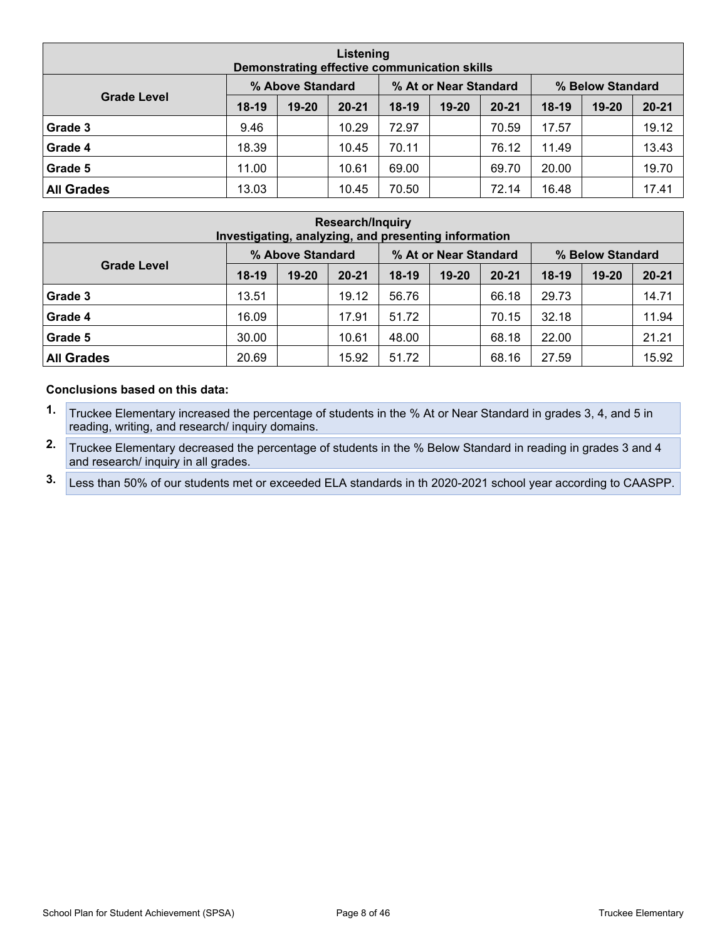|                    | Listening<br>Demonstrating effective communication skills |                  |           |       |                       |           |                  |           |           |  |  |  |  |  |
|--------------------|-----------------------------------------------------------|------------------|-----------|-------|-----------------------|-----------|------------------|-----------|-----------|--|--|--|--|--|
|                    |                                                           | % Above Standard |           |       | % At or Near Standard |           | % Below Standard |           |           |  |  |  |  |  |
| <b>Grade Level</b> | $18-19$                                                   | $19 - 20$        | $20 - 21$ | 18-19 | $19 - 20$             | $20 - 21$ | $18-19$          | $19 - 20$ | $20 - 21$ |  |  |  |  |  |
| Grade 3            | 9.46                                                      |                  | 10.29     | 72.97 |                       | 70.59     | 17.57            |           | 19.12     |  |  |  |  |  |
| Grade 4            | 18.39                                                     |                  | 10.45     | 70.11 |                       | 76.12     | 11.49            |           | 13.43     |  |  |  |  |  |
| Grade 5            | 11.00                                                     |                  | 10.61     | 69.00 |                       | 69.70     | 20.00            |           | 19.70     |  |  |  |  |  |
| <b>All Grades</b>  | 13.03                                                     |                  | 10.45     | 70.50 |                       | 72.14     | 16.48            |           | 17.41     |  |  |  |  |  |

|                    | <b>Research/Inquiry</b><br>Investigating, analyzing, and presenting information |                  |           |         |                       |           |                  |           |           |  |  |  |  |  |
|--------------------|---------------------------------------------------------------------------------|------------------|-----------|---------|-----------------------|-----------|------------------|-----------|-----------|--|--|--|--|--|
|                    |                                                                                 | % Above Standard |           |         | % At or Near Standard |           | % Below Standard |           |           |  |  |  |  |  |
| <b>Grade Level</b> | $18-19$                                                                         | $19 - 20$        | $20 - 21$ | $18-19$ | 19-20                 | $20 - 21$ | $18-19$          | $19 - 20$ | $20 - 21$ |  |  |  |  |  |
| Grade 3            | 13.51                                                                           |                  | 19.12     | 56.76   |                       | 66.18     | 29.73            |           | 14.71     |  |  |  |  |  |
| Grade 4            | 16.09                                                                           |                  | 17.91     | 51.72   |                       | 70.15     | 32.18            |           | 11.94     |  |  |  |  |  |
| Grade 5            | 30.00                                                                           |                  | 10.61     | 48.00   |                       | 68.18     | 22.00            |           | 21.21     |  |  |  |  |  |
| <b>All Grades</b>  | 20.69                                                                           |                  | 15.92     | 51.72   |                       | 68.16     | 27.59            |           | 15.92     |  |  |  |  |  |

#### **Conclusions based on this data:**

- **1.** Truckee Elementary increased the percentage of students in the % At or Near Standard in grades 3, 4, and 5 in reading, writing, and research/ inquiry domains.
- **2.** Truckee Elementary decreased the percentage of students in the % Below Standard in reading in grades 3 and 4 and research/ inquiry in all grades.
- **3.** Less than 50% of our students met or exceeded ELA standards in th 2020-2021 school year according to CAASPP.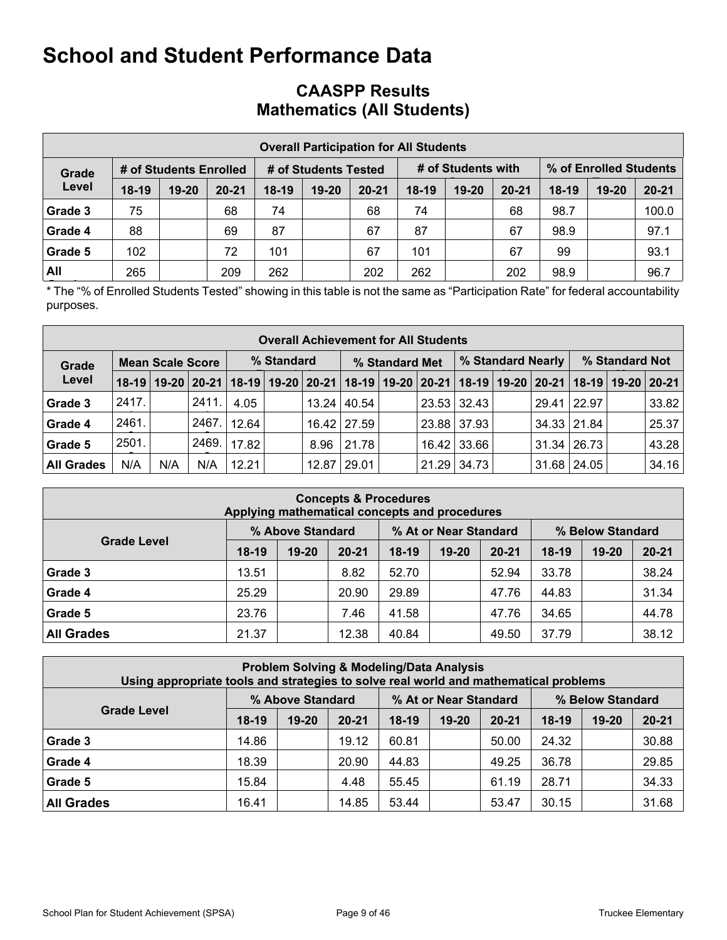## **School and Student Performance Data**

## **CAASPP Results Mathematics (All Students)**

|         | <b>Overall Participation for All Students</b> |                        |           |         |                      |           |       |                    |           |                        |           |           |  |  |  |
|---------|-----------------------------------------------|------------------------|-----------|---------|----------------------|-----------|-------|--------------------|-----------|------------------------|-----------|-----------|--|--|--|
| Grade   |                                               | # of Students Enrolled |           |         | # of Students Tested |           |       | # of Students with |           | % of Enrolled Students |           |           |  |  |  |
| Level   | $18-19$                                       | $19 - 20$              | $20 - 21$ | $18-19$ | $19 - 20$            | $20 - 21$ | 18-19 | $19 - 20$          | $20 - 21$ | $18-19$                | $19 - 20$ | $20 - 21$ |  |  |  |
| Grade 3 | 75                                            |                        | 68        | 74      |                      | 68        | 74    |                    | 68        | 98.7                   |           | 100.0     |  |  |  |
| Grade 4 | 88                                            |                        | 69        | 87      |                      | 67        | 87    |                    | 67        | 98.9                   |           | 97.1      |  |  |  |
| Grade 5 | 102                                           |                        | 72        | 101     |                      | 67        | 101   |                    | 67        | 99                     |           | 93.1      |  |  |  |
| All     | 265                                           |                        | 209       | 262     |                      | 202       | 262   |                    | 202       | 98.9                   |           | 96.7      |  |  |  |

**Frame "% of Enrolled Students Tested" showing in this table is not the same as "Participation Rate" for federal accountability** purposes.

|                                  | <b>Overall Achievement for All Students</b> |     |       |       |            |      |                                                                                                                       |  |       |             |  |                   |                    |  |       |
|----------------------------------|---------------------------------------------|-----|-------|-------|------------|------|-----------------------------------------------------------------------------------------------------------------------|--|-------|-------------|--|-------------------|--------------------|--|-------|
| <b>Mean Scale Score</b><br>Grade |                                             |     |       |       | % Standard |      | % Standard Met                                                                                                        |  |       |             |  | % Standard Nearly | % Standard Not     |  |       |
| Level                            |                                             |     |       |       |            |      | 18-19   19-20   20-21   18-19   19-20   20-21   18-19   19-20   20-21   18-19   19-20   20-21   18-19   19-20   20-21 |  |       |             |  |                   |                    |  |       |
| Grade 3                          | 2417.                                       |     | 2411. | 4.05  |            |      | 13.24   40.54                                                                                                         |  |       | 23.53 32.43 |  | 29.41 22.97       |                    |  | 33.82 |
| Grade 4                          | 2461.                                       |     | 2467. | 12.64 |            |      | 16.42   27.59                                                                                                         |  |       | 23.88 37.93 |  |                   | $34.33$ 21.84      |  | 25.37 |
| Grade 5                          | 2501.                                       |     | 2469. | 17.82 |            | 8.96 | 21.78                                                                                                                 |  | 16.42 | 33.66       |  |                   | $31.34 \mid 26.73$ |  | 43.28 |
| <b>All Grades</b>                | N/A                                         | N/A | N/A   | 12.21 |            |      | 12.87   29.01                                                                                                         |  | 21.29 | 34.73       |  |                   | 31.68 24.05        |  | 34.16 |

| <b>Concepts &amp; Procedures</b><br>Applying mathematical concepts and procedures |         |                  |           |         |                       |           |         |                  |           |
|-----------------------------------------------------------------------------------|---------|------------------|-----------|---------|-----------------------|-----------|---------|------------------|-----------|
|                                                                                   |         | % Above Standard |           |         | % At or Near Standard |           |         | % Below Standard |           |
| <b>Grade Level</b>                                                                | $18-19$ | $19 - 20$        | $20 - 21$ | $18-19$ | $19 - 20$             | $20 - 21$ | $18-19$ | $19 - 20$        | $20 - 21$ |
| Grade 3                                                                           | 13.51   |                  | 8.82      | 52.70   |                       | 52.94     | 33.78   |                  | 38.24     |
| Grade 4                                                                           | 25.29   |                  | 20.90     | 29.89   |                       | 47.76     | 44.83   |                  | 31.34     |
| Grade 5                                                                           | 23.76   |                  | 7.46      | 41.58   |                       | 47.76     | 34.65   |                  | 44.78     |
| <b>All Grades</b>                                                                 | 21.37   |                  | 12.38     | 40.84   |                       | 49.50     | 37.79   |                  | 38.12     |

| <b>Problem Solving &amp; Modeling/Data Analysis</b><br>Using appropriate tools and strategies to solve real world and mathematical problems |         |                  |           |         |                       |           |         |                  |           |
|---------------------------------------------------------------------------------------------------------------------------------------------|---------|------------------|-----------|---------|-----------------------|-----------|---------|------------------|-----------|
|                                                                                                                                             |         | % Above Standard |           |         | % At or Near Standard |           |         | % Below Standard |           |
| <b>Grade Level</b>                                                                                                                          | $18-19$ | $19 - 20$        | $20 - 21$ | $18-19$ | $19 - 20$             | $20 - 21$ | $18-19$ | $19 - 20$        | $20 - 21$ |
| Grade 3                                                                                                                                     | 14.86   |                  | 19.12     | 60.81   |                       | 50.00     | 24.32   |                  | 30.88     |
| Grade 4                                                                                                                                     | 18.39   |                  | 20.90     | 44.83   |                       | 49.25     | 36.78   |                  | 29.85     |
| Grade 5                                                                                                                                     | 15.84   |                  | 4.48      | 55.45   |                       | 61.19     | 28.71   |                  | 34.33     |
| <b>All Grades</b>                                                                                                                           | 16.41   |                  | 14.85     | 53.44   |                       | 53.47     | 30.15   |                  | 31.68     |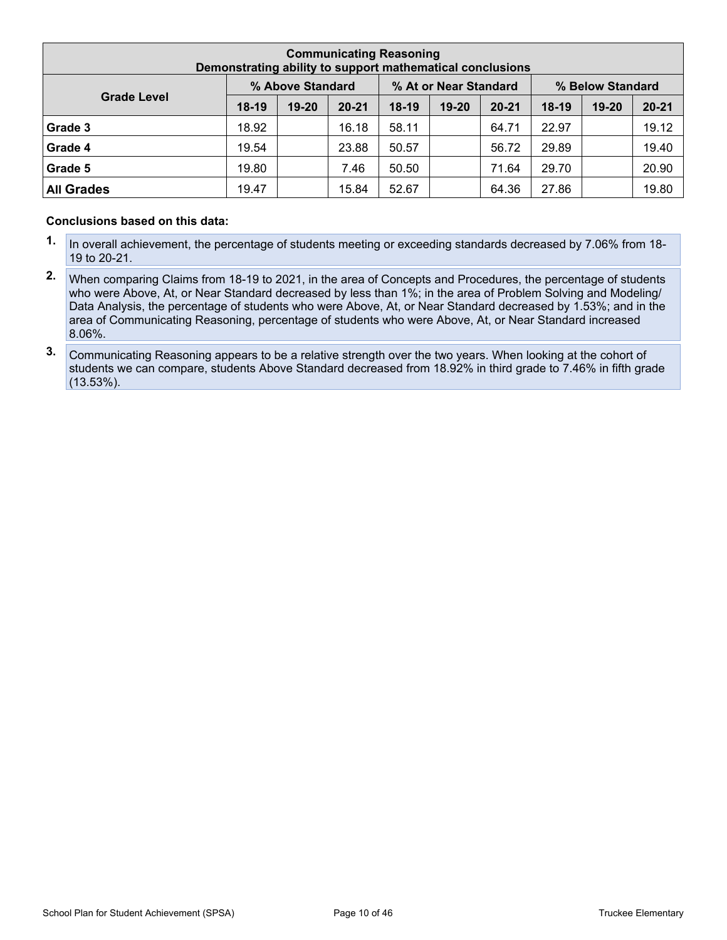| <b>Communicating Reasoning</b><br>Demonstrating ability to support mathematical conclusions |         |                  |           |         |                       |           |         |                  |           |
|---------------------------------------------------------------------------------------------|---------|------------------|-----------|---------|-----------------------|-----------|---------|------------------|-----------|
|                                                                                             |         | % Above Standard |           |         | % At or Near Standard |           |         | % Below Standard |           |
| <b>Grade Level</b>                                                                          | $18-19$ | $19 - 20$        | $20 - 21$ | $18-19$ | 19-20                 | $20 - 21$ | $18-19$ | 19-20            | $20 - 21$ |
| Grade 3                                                                                     | 18.92   |                  | 16.18     | 58.11   |                       | 64.71     | 22.97   |                  | 19.12     |
| Grade 4                                                                                     | 19.54   |                  | 23.88     | 50.57   |                       | 56.72     | 29.89   |                  | 19.40     |
| Grade 5                                                                                     | 19.80   |                  | 7.46      | 50.50   |                       | 71.64     | 29.70   |                  | 20.90     |
| <b>All Grades</b>                                                                           | 19.47   |                  | 15.84     | 52.67   |                       | 64.36     | 27.86   |                  | 19.80     |

#### **Conclusions based on this data:**

- **1.** In overall achievement, the percentage of students meeting or exceeding standards decreased by 7.06% from 18- 19 to 20-21.
- **2.** When comparing Claims from 18-19 to 2021, in the area of Concepts and Procedures, the percentage of students who were Above, At, or Near Standard decreased by less than 1%; in the area of Problem Solving and Modeling/ Data Analysis, the percentage of students who were Above, At, or Near Standard decreased by 1.53%; and in the area of Communicating Reasoning, percentage of students who were Above, At, or Near Standard increased 8.06%.
- **3.** Communicating Reasoning appears to be a relative strength over the two years. When looking at the cohort of students we can compare, students Above Standard decreased from 18.92% in third grade to 7.46% in fifth grade (13.53%).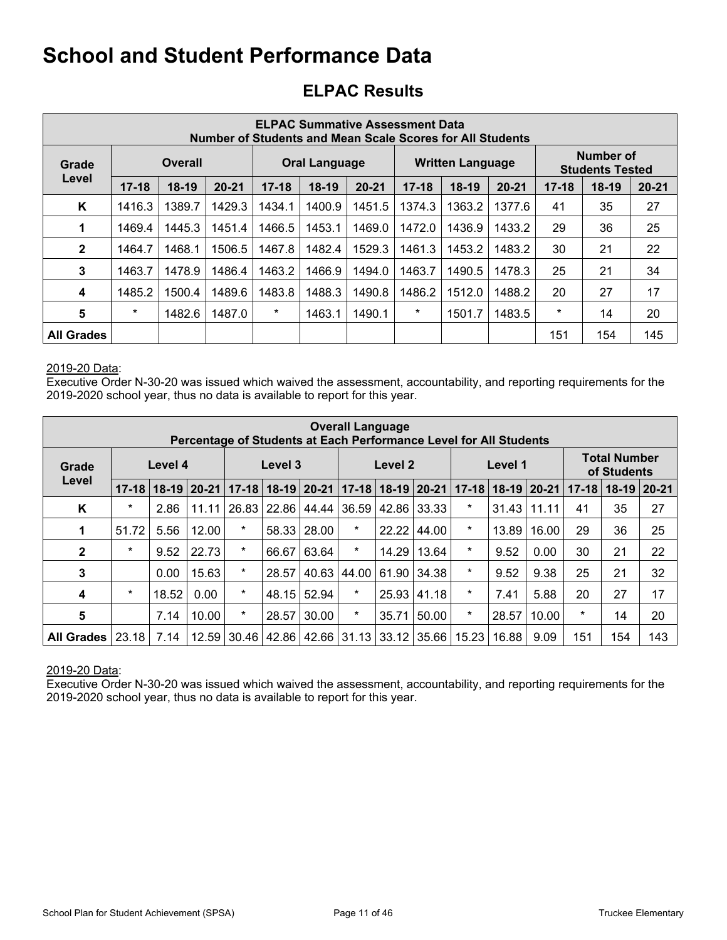## **School and Student Performance Data**

## **ELPAC Results**

| <b>ELPAC Summative Assessment Data</b><br>Number of Students and Mean Scale Scores for All Students |           |                |           |           |                      |           |           |                         |           |           |                                     |           |
|-----------------------------------------------------------------------------------------------------|-----------|----------------|-----------|-----------|----------------------|-----------|-----------|-------------------------|-----------|-----------|-------------------------------------|-----------|
| Grade                                                                                               |           | <b>Overall</b> |           |           | <b>Oral Language</b> |           |           | <b>Written Language</b> |           |           | Number of<br><b>Students Tested</b> |           |
| Level                                                                                               | $17 - 18$ | $18-19$        | $20 - 21$ | $17 - 18$ | $18-19$              | $20 - 21$ | $17 - 18$ | $18-19$                 | $20 - 21$ | $17 - 18$ | $18-19$                             | $20 - 21$ |
| K                                                                                                   | 1416.3    | 1389.7         | 1429.3    | 1434.1    | 1400.9               | 1451.5    | 1374.3    | 1363.2                  | 1377.6    | 41        | 35                                  | 27        |
| 1                                                                                                   | 1469.4    | 1445.3         | 1451.4    | 1466.5    | 1453.1               | 1469.0    | 1472.0    | 1436.9                  | 1433.2    | 29        | 36                                  | 25        |
| $\mathbf{2}$                                                                                        | 1464.7    | 1468.1         | 1506.5    | 1467.8    | 1482.4               | 1529.3    | 1461.3    | 1453.2                  | 1483.2    | 30        | 21                                  | 22        |
| 3                                                                                                   | 1463.7    | 1478.9         | 1486.4    | 1463.2    | 1466.9               | 1494.0    | 1463.7    | 1490.5                  | 1478.3    | 25        | 21                                  | 34        |
| $\boldsymbol{4}$                                                                                    | 1485.2    | 1500.4         | 1489.6    | 1483.8    | 1488.3               | 1490.8    | 1486.2    | 1512.0                  | 1488.2    | 20        | 27                                  | 17        |
| 5                                                                                                   | $\star$   | 1482.6         | 1487.0    | $\star$   | 1463.1               | 1490.1    | $\ast$    | 1501.7                  | 1483.5    | $\star$   | 14                                  | 20        |
| <b>All Grades</b>                                                                                   |           |                |           |           |                      |           |           |                         |           | 151       | 154                                 | 145       |

#### 2019-20 Data:

Executive Order N-30-20 was issued which waived the assessment, accountability, and reporting requirements for the 2019-2020 school year, thus no data is available to report for this year.

| <b>Overall Language</b><br>Percentage of Students at Each Performance Level for All Students |           |         |           |           |                    |             |         |                     |       |           |         |             |           |                                    |           |
|----------------------------------------------------------------------------------------------|-----------|---------|-----------|-----------|--------------------|-------------|---------|---------------------|-------|-----------|---------|-------------|-----------|------------------------------------|-----------|
| Grade                                                                                        |           | Level 4 |           |           | Level 3            |             |         | Level 2             |       |           | Level 1 |             |           | <b>Total Number</b><br>of Students |           |
| Level                                                                                        | $17 - 18$ | $18-19$ | $20 - 21$ | $17 - 18$ | $18-19$ 20-21      |             |         | $17-18$ 18-19 20-21 |       | $17 - 18$ |         | 18-19 20-21 | $17 - 18$ | $18-19$                            | $20 - 21$ |
| K                                                                                            | $\star$   | 2.86    | 11.11     |           | 26.83 22.86        | 44.44       | 36.59   | 42.86               | 33.33 | $\star$   | 31.43   | 11.11       | 41        | 35                                 | 27        |
| 1                                                                                            | 51.72     | 5.56    | 12.00     | $\star$   | 58.33              | 28.00       | $\star$ | 22.22               | 44.00 | $\star$   | 13.89   | 16.00       | 29        | 36                                 | 25        |
| $\mathbf{2}$                                                                                 | $\ast$    | 9.52    | 22.73     | $^\star$  | 66.67              | 63.64       | $\star$ | 14.29               | 13.64 | $\star$   | 9.52    | 0.00        | 30        | 21                                 | 22        |
| 3                                                                                            |           | 0.00    | 15.63     | $\star$   | 28.57              | 40.63       | 44.00   | 61.90               | 34.38 | $\star$   | 9.52    | 9.38        | 25        | 21                                 | 32        |
| $\overline{\mathbf{4}}$                                                                      | $\star$   | 18.52   | 0.00      | $\ast$    | 48.15              | 52.94       | $\star$ | 25.93               | 41.18 | $\star$   | 7.41    | 5.88        | 20        | 27                                 | 17        |
| 5                                                                                            |           | 7.14    | 10.00     | $\star$   | 28.57              | 30.00       | $\star$ | 35.71               | 50.00 | $\star$   | 28.57   | 10.00       | $\star$   | 14                                 | 20        |
| <b>All Grades</b>                                                                            | 23.18     | 7.14    | 12.59     |           | $30.46 \mid 42.86$ | 42.66 31.13 |         | 33.12               | 35.66 | 15.23     | 16.88   | 9.09        | 151       | 154                                | 143       |

#### 2019-20 Data:

Executive Order N-30-20 was issued which waived the assessment, accountability, and reporting requirements for the 2019-2020 school year, thus no data is available to report for this year.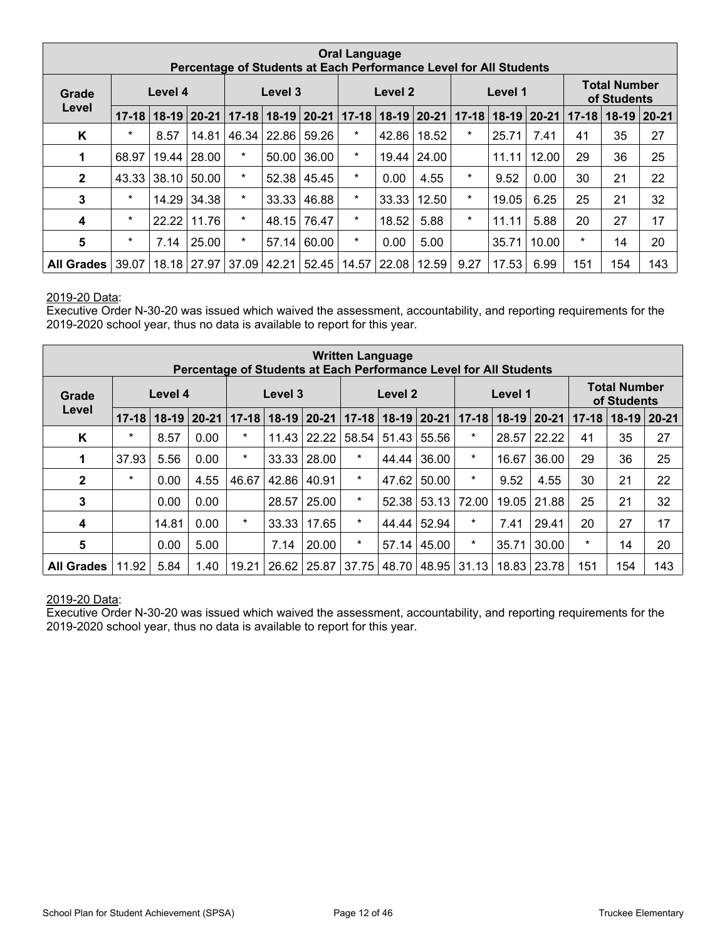| <b>Oral Language</b><br>Percentage of Students at Each Performance Level for All Students |           |         |               |           |           |           |           |               |       |           |         |               |           |                                    |           |
|-------------------------------------------------------------------------------------------|-----------|---------|---------------|-----------|-----------|-----------|-----------|---------------|-------|-----------|---------|---------------|-----------|------------------------------------|-----------|
| Grade                                                                                     |           | Level 4 |               |           | Level 3   |           |           | Level 2       |       |           | Level 1 |               |           | <b>Total Number</b><br>of Students |           |
| Level                                                                                     | $17 - 18$ |         | $18-19$ 20-21 | $17 - 18$ | $18 - 19$ | $20 - 21$ | $17 - 18$ | $18-19$ 20-21 |       | $17 - 18$ |         | $18-19$ 20-21 | $17 - 18$ | $18-19$                            | $ 20-21 $ |
| K                                                                                         | $\star$   | 8.57    | 14.81         | 46.34     | 22.86     | 59.26     | $\star$   | 42.86         | 18.52 | $\star$   | 25.71   | 7.41          | 41        | 35                                 | 27        |
| 1                                                                                         | 68.97     | 19.44   | 28.00         | $\star$   | 50.00     | 36.00     | $\star$   | 19.44         | 24.00 |           | 11.11   | 12.00         | 29        | 36                                 | 25        |
| $\mathbf{2}$                                                                              | 43.33     | 38.10   | 50.00         | $\star$   | 52.38     | 45.45     | $\star$   | 0.00          | 4.55  | $\star$   | 9.52    | 0.00          | 30        | 21                                 | 22        |
| 3                                                                                         | $\star$   | 14.29   | 34.38         | $\star$   | 33.33     | 46.88     | $\star$   | 33.33         | 12.50 | $\star$   | 19.05   | 6.25          | 25        | 21                                 | 32        |
| 4                                                                                         | *         | 22.22   | 11.76         | $\star$   | 48.15     | 76.47     | $\star$   | 18.52         | 5.88  | $\star$   | 11.11   | 5.88          | 20        | 27                                 | 17        |
| $5\phantom{.0}$                                                                           | $\ast$    | 7.14    | 25.00         | $\ast$    | 57.14     | 60.00     | $\star$   | 0.00          | 5.00  |           | 35.71   | 10.00         | $\star$   | 14                                 | 20        |
| <b>All Grades</b>                                                                         | 39.07     | 18.18   | 27.97         | 37.09     | 42.21     | 52.45     | 14.57     | 22.08         | 12.59 | 9.27      | 17.53   | 6.99          | 151       | 154                                | 143       |

#### 2019-20 Data:

Executive Order N-30-20 was issued which waived the assessment, accountability, and reporting requirements for the 2019-2020 school year, thus no data is available to report for this year.

| <b>Written Language</b><br>Percentage of Students at Each Performance Level for All Students |           |         |       |           |         |           |           |               |             |           |         |               |           |                                    |           |
|----------------------------------------------------------------------------------------------|-----------|---------|-------|-----------|---------|-----------|-----------|---------------|-------------|-----------|---------|---------------|-----------|------------------------------------|-----------|
| Grade                                                                                        |           | Level 4 |       |           | Level 3 |           |           | Level 2       |             |           | Level 1 |               |           | <b>Total Number</b><br>of Students |           |
| Level                                                                                        | $17 - 18$ | $18-19$ | 20-21 | $17 - 18$ | $18-19$ | $20 - 21$ | $17 - 18$ | $18-19$ 20-21 |             | $17 - 18$ |         | $18-19$ 20-21 | $17 - 18$ | $18-19$                            | $20 - 21$ |
| Κ                                                                                            | $\ast$    | 8.57    | 0.00  | $\ast$    | 11.43   | 22.22     | 58.54     | 51.43         | 55.56       | $\star$   | 28.57   | 22.22         | 41        | 35                                 | 27        |
| 1                                                                                            | 37.93     | 5.56    | 0.00  | $\ast$    | 33.33   | 28.00     | $\star$   | 44.44         | 36.00       | $\ast$    | 16.67   | 36.00         | 29        | 36                                 | 25        |
| $\mathbf{2}$                                                                                 | $\star$   | 0.00    | 4.55  | 46.67     | 42.86   | 40.91     | $\star$   | 47.62         | 50.00       | $\star$   | 9.52    | 4.55          | 30        | 21                                 | 22        |
| 3                                                                                            |           | 0.00    | 0.00  |           | 28.57   | 25.00     | $\star$   | 52.38         | 53.13       | 72.00     | 19.05   | 21.88         | 25        | 21                                 | 32        |
| 4                                                                                            |           | 14.81   | 0.00  | $\ast$    | 33.33   | 17.65     | $\star$   | 44.44         | 52.94       | $\ast$    | 7.41    | 29.41         | 20        | 27                                 | 17        |
| 5                                                                                            |           | 0.00    | 5.00  |           | 7.14    | 20.00     | $\star$   | 57.14         | 45.00       | $\ast$    | 35.71   | 30.00         | $\star$   | 14                                 | 20        |
| <b>All Grades</b>                                                                            | 11.92     | 5.84    | 1.40  | 19.21     | 26.62   | 25.87     | 37.75     |               | 48.70 48.95 | 31.13     |         | 18.83 23.78   | 151       | 154                                | 143       |

#### 2019-20 Data:

Executive Order N-30-20 was issued which waived the assessment, accountability, and reporting requirements for the 2019-2020 school year, thus no data is available to report for this year.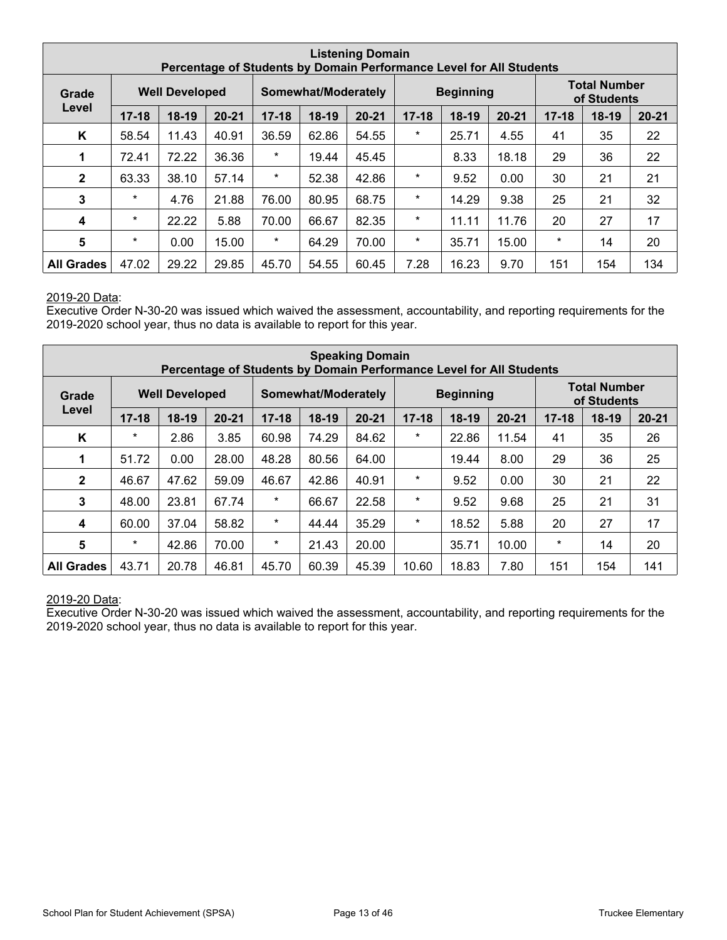| <b>Listening Domain</b><br>Percentage of Students by Domain Performance Level for All Students |           |                       |           |           |                     |           |           |                  |           |           |                                    |           |
|------------------------------------------------------------------------------------------------|-----------|-----------------------|-----------|-----------|---------------------|-----------|-----------|------------------|-----------|-----------|------------------------------------|-----------|
| Grade                                                                                          |           | <b>Well Developed</b> |           |           | Somewhat/Moderately |           |           | <b>Beginning</b> |           |           | <b>Total Number</b><br>of Students |           |
| Level                                                                                          | $17 - 18$ | $18-19$               | $20 - 21$ | $17 - 18$ | 18-19               | $20 - 21$ | $17 - 18$ | $18-19$          | $20 - 21$ | $17 - 18$ | $18-19$                            | $20 - 21$ |
| K                                                                                              | 58.54     | 11.43                 | 40.91     | 36.59     | 62.86               | 54.55     | $\star$   | 25.71            | 4.55      | 41        | 35                                 | 22        |
| 1                                                                                              | 72.41     | 72.22                 | 36.36     | $\star$   | 19.44               | 45.45     |           | 8.33             | 18.18     | 29        | 36                                 | 22        |
| $\mathbf{2}$                                                                                   | 63.33     | 38.10                 | 57.14     | $\star$   | 52.38               | 42.86     | $\ast$    | 9.52             | 0.00      | 30        | 21                                 | 21        |
| 3                                                                                              | $\star$   | 4.76                  | 21.88     | 76.00     | 80.95               | 68.75     | *         | 14.29            | 9.38      | 25        | 21                                 | 32        |
| 4                                                                                              | $\star$   | 22.22                 | 5.88      | 70.00     | 66.67               | 82.35     | *         | 11.11            | 11.76     | 20        | 27                                 | 17        |
| 5                                                                                              | $\star$   | 0.00                  | 15.00     | $\star$   | 64.29               | 70.00     | $\ast$    | 35.71            | 15.00     | $\star$   | 14                                 | 20        |
| <b>All Grades</b>                                                                              | 47.02     | 29.22                 | 29.85     | 45.70     | 54.55               | 60.45     | 7.28      | 16.23            | 9.70      | 151       | 154                                | 134       |

#### 2019-20 Data:

Executive Order N-30-20 was issued which waived the assessment, accountability, and reporting requirements for the 2019-2020 school year, thus no data is available to report for this year.

| <b>Speaking Domain</b><br>Percentage of Students by Domain Performance Level for All Students |           |                       |           |           |                     |           |           |                  |           |           |                                    |           |
|-----------------------------------------------------------------------------------------------|-----------|-----------------------|-----------|-----------|---------------------|-----------|-----------|------------------|-----------|-----------|------------------------------------|-----------|
| Grade                                                                                         |           | <b>Well Developed</b> |           |           | Somewhat/Moderately |           |           | <b>Beginning</b> |           |           | <b>Total Number</b><br>of Students |           |
| Level                                                                                         | $17 - 18$ | 18-19                 | $20 - 21$ | $17 - 18$ | $18-19$             | $20 - 21$ | $17 - 18$ | $18-19$          | $20 - 21$ | $17 - 18$ | 18-19                              | $20 - 21$ |
| K                                                                                             | $\star$   | 2.86                  | 3.85      | 60.98     | 74.29               | 84.62     | $\ast$    | 22.86            | 11.54     | 41        | 35                                 | 26        |
| 1                                                                                             | 51.72     | 0.00                  | 28.00     | 48.28     | 80.56               | 64.00     |           | 19.44            | 8.00      | 29        | 36                                 | 25        |
| $\mathbf{2}$                                                                                  | 46.67     | 47.62                 | 59.09     | 46.67     | 42.86               | 40.91     | $\ast$    | 9.52             | 0.00      | 30        | 21                                 | 22        |
| 3                                                                                             | 48.00     | 23.81                 | 67.74     | $\star$   | 66.67               | 22.58     | $\ast$    | 9.52             | 9.68      | 25        | 21                                 | 31        |
| 4                                                                                             | 60.00     | 37.04                 | 58.82     | $\star$   | 44.44               | 35.29     | *         | 18.52            | 5.88      | 20        | 27                                 | 17        |
| $5\phantom{1}$                                                                                | $\star$   | 42.86                 | 70.00     | $\star$   | 21.43               | 20.00     |           | 35.71            | 10.00     | $\star$   | 14                                 | 20        |
| <b>All Grades</b>                                                                             | 43.71     | 20.78                 | 46.81     | 45.70     | 60.39               | 45.39     | 10.60     | 18.83            | 7.80      | 151       | 154                                | 141       |

#### 2019-20 Data:

Executive Order N-30-20 was issued which waived the assessment, accountability, and reporting requirements for the 2019-2020 school year, thus no data is available to report for this year.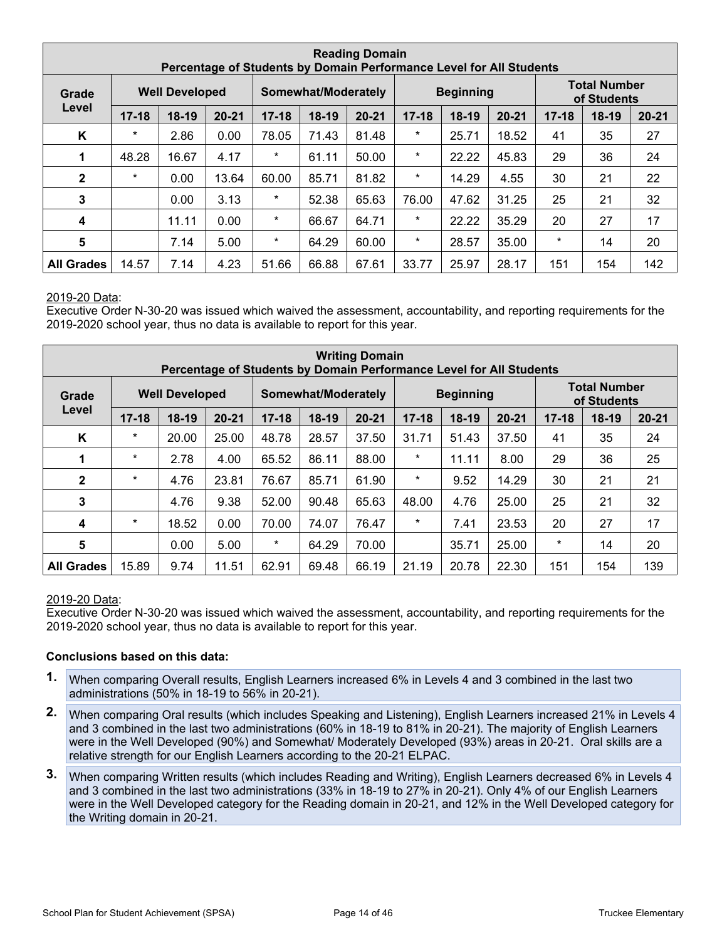| <b>Reading Domain</b><br>Percentage of Students by Domain Performance Level for All Students |           |                       |           |           |                     |           |           |                  |           |           |                                    |           |
|----------------------------------------------------------------------------------------------|-----------|-----------------------|-----------|-----------|---------------------|-----------|-----------|------------------|-----------|-----------|------------------------------------|-----------|
| Grade                                                                                        |           | <b>Well Developed</b> |           |           | Somewhat/Moderately |           |           | <b>Beginning</b> |           |           | <b>Total Number</b><br>of Students |           |
| Level                                                                                        | $17 - 18$ | $18-19$               | $20 - 21$ | $17 - 18$ | $18-19$             | $20 - 21$ | $17 - 18$ | $18-19$          | $20 - 21$ | $17 - 18$ | $18-19$                            | $20 - 21$ |
| K                                                                                            | $\star$   | 2.86                  | 0.00      | 78.05     | 71.43               | 81.48     | $\ast$    | 25.71            | 18.52     | 41        | 35                                 | 27        |
| 1                                                                                            | 48.28     | 16.67                 | 4.17      | $^\ast$   | 61.11               | 50.00     | $\ast$    | 22.22            | 45.83     | 29        | 36                                 | 24        |
| $\mathbf{2}$                                                                                 | $\star$   | 0.00                  | 13.64     | 60.00     | 85.71               | 81.82     | *         | 14.29            | 4.55      | 30        | 21                                 | 22        |
| 3                                                                                            |           | 0.00                  | 3.13      | $\ast$    | 52.38               | 65.63     | 76.00     | 47.62            | 31.25     | 25        | 21                                 | 32        |
| 4                                                                                            |           | 11.11                 | 0.00      | $\star$   | 66.67               | 64.71     | $\ast$    | 22.22            | 35.29     | 20        | 27                                 | 17        |
| 5                                                                                            |           | 7.14                  | 5.00      | $\star$   | 64.29               | 60.00     | $\ast$    | 28.57            | 35.00     | $\star$   | 14                                 | 20        |
| <b>All Grades</b>                                                                            | 14.57     | 7.14                  | 4.23      | 51.66     | 66.88               | 67.61     | 33.77     | 25.97            | 28.17     | 151       | 154                                | 142       |

#### 2019-20 Data:

Executive Order N-30-20 was issued which waived the assessment, accountability, and reporting requirements for the 2019-2020 school year, thus no data is available to report for this year.

| <b>Writing Domain</b><br>Percentage of Students by Domain Performance Level for All Students |           |                       |           |           |                     |           |           |                  |           |           |                                    |           |
|----------------------------------------------------------------------------------------------|-----------|-----------------------|-----------|-----------|---------------------|-----------|-----------|------------------|-----------|-----------|------------------------------------|-----------|
| Grade                                                                                        |           | <b>Well Developed</b> |           |           | Somewhat/Moderately |           |           | <b>Beginning</b> |           |           | <b>Total Number</b><br>of Students |           |
| Level                                                                                        | $17 - 18$ | $18-19$               | $20 - 21$ | $17 - 18$ | 18-19               | $20 - 21$ | $17 - 18$ | $18-19$          | $20 - 21$ | $17 - 18$ | $18-19$                            | $20 - 21$ |
| K                                                                                            | $\star$   | 20.00                 | 25.00     | 48.78     | 28.57               | 37.50     | 31.71     | 51.43            | 37.50     | 41        | 35                                 | 24        |
| 1                                                                                            | $\star$   | 2.78                  | 4.00      | 65.52     | 86.11               | 88.00     | $\ast$    | 11.11            | 8.00      | 29        | 36                                 | 25        |
| $\mathbf{2}$                                                                                 | $\star$   | 4.76                  | 23.81     | 76.67     | 85.71               | 61.90     | $^\star$  | 9.52             | 14.29     | 30        | 21                                 | 21        |
| 3                                                                                            |           | 4.76                  | 9.38      | 52.00     | 90.48               | 65.63     | 48.00     | 4.76             | 25.00     | 25        | 21                                 | 32        |
| 4                                                                                            | $\star$   | 18.52                 | 0.00      | 70.00     | 74.07               | 76.47     | $\ast$    | 7.41             | 23.53     | 20        | 27                                 | 17        |
| $\sqrt{5}$                                                                                   |           | 0.00                  | 5.00      | $\ast$    | 64.29               | 70.00     |           | 35.71            | 25.00     | $^\star$  | 14                                 | 20        |
| <b>All Grades</b>                                                                            | 15.89     | 9.74                  | 11.51     | 62.91     | 69.48               | 66.19     | 21.19     | 20.78            | 22.30     | 151       | 154                                | 139       |

#### 2019-20 Data:

Executive Order N-30-20 was issued which waived the assessment, accountability, and reporting requirements for the 2019-2020 school year, thus no data is available to report for this year.

#### **Conclusions based on this data:**

- **1.** When comparing Overall results, English Learners increased 6% in Levels 4 and 3 combined in the last two administrations (50% in 18-19 to 56% in 20-21).
- **2.** When comparing Oral results (which includes Speaking and Listening), English Learners increased 21% in Levels 4 and 3 combined in the last two administrations (60% in 18-19 to 81% in 20-21). The majority of English Learners were in the Well Developed (90%) and Somewhat/ Moderately Developed (93%) areas in 20-21. Oral skills are a relative strength for our English Learners according to the 20-21 ELPAC.
- **3.** When comparing Written results (which includes Reading and Writing), English Learners decreased 6% in Levels 4 and 3 combined in the last two administrations (33% in 18-19 to 27% in 20-21). Only 4% of our English Learners were in the Well Developed category for the Reading domain in 20-21, and 12% in the Well Developed category for the Writing domain in 20-21.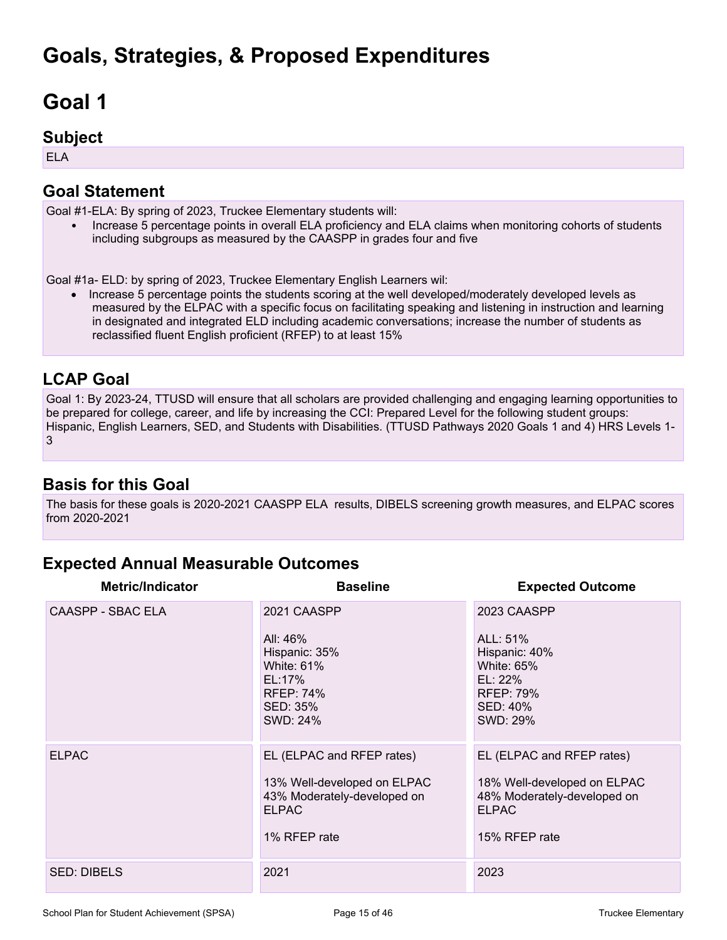## **Goal 1**

### **Subject**

ELA

## **Goal Statement**

Goal #1-ELA: By spring of 2023, Truckee Elementary students will:

• Increase 5 percentage points in overall ELA proficiency and ELA claims when monitoring cohorts of students including subgroups as measured by the CAASPP in grades four and five

Goal #1a- ELD: by spring of 2023, Truckee Elementary English Learners wil:

• Increase 5 percentage points the students scoring at the well developed/moderately developed levels as measured by the ELPAC with a specific focus on facilitating speaking and listening in instruction and learning in designated and integrated ELD including academic conversations; increase the number of students as reclassified fluent English proficient (RFEP) to at least 15%

### **LCAP Goal**

Goal 1: By 2023-24, TTUSD will ensure that all scholars are provided challenging and engaging learning opportunities to be prepared for college, career, and life by increasing the CCI: Prepared Level for the following student groups: Hispanic, English Learners, SED, and Students with Disabilities. (TTUSD Pathways 2020 Goals 1 and 4) HRS Levels 1-3

## **Basis for this Goal**

The basis for these goals is 2020-2021 CAASPP ELA results, DIBELS screening growth measures, and ELPAC scores from 2020-2021

## **Expected Annual Measurable Outcomes**

| <b>Metric/Indicator</b> | <b>Baseline</b>                                                                                                         | <b>Expected Outcome</b>                                                                                                  |
|-------------------------|-------------------------------------------------------------------------------------------------------------------------|--------------------------------------------------------------------------------------------------------------------------|
| CAASPP - SBAC ELA       | 2021 CAASPP<br>All: 46%<br>Hispanic: 35%<br><b>White: 61%</b><br>EL:17%<br><b>RFEP: 74%</b><br>SED: 35%<br>SWD: 24%     | 2023 CAASPP<br>ALL: 51%<br>Hispanic: 40%<br><b>White: 65%</b><br>$EL: 22\%$<br><b>RFEP: 79%</b><br>SED: 40%<br>SWD: 29%  |
| <b>ELPAC</b>            | EL (ELPAC and RFEP rates)<br>13% Well-developed on ELPAC<br>43% Moderately-developed on<br><b>ELPAC</b><br>1% RFEP rate | EL (ELPAC and RFEP rates)<br>18% Well-developed on ELPAC<br>48% Moderately-developed on<br><b>ELPAC</b><br>15% RFEP rate |
| <b>SED: DIBELS</b>      | 2021                                                                                                                    | 2023                                                                                                                     |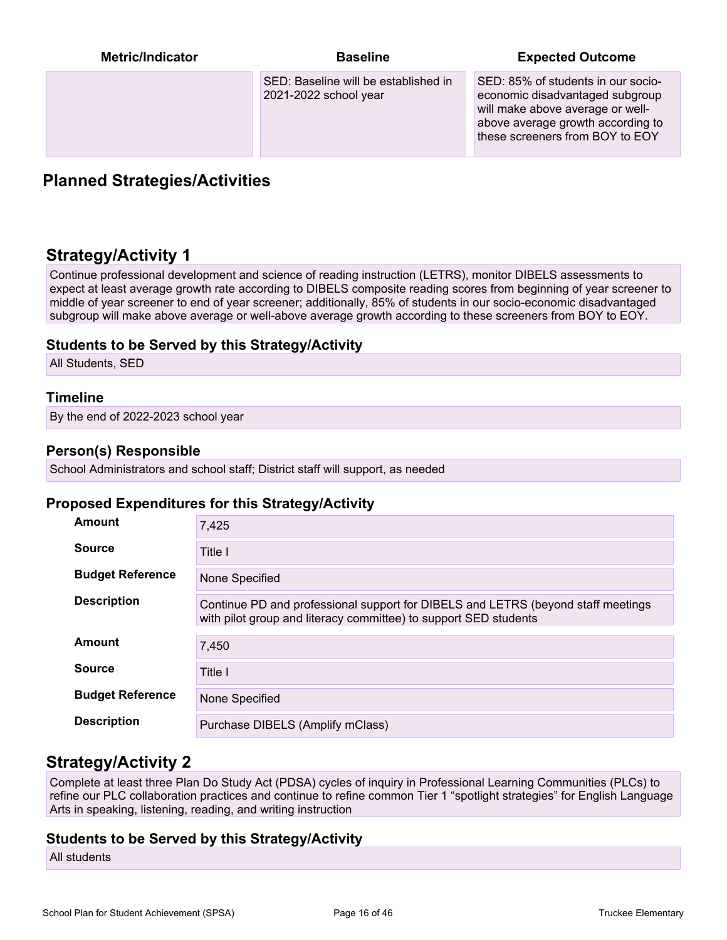| <b>Metric/Indicator</b> | <b>Baseline</b>                                               | <b>Expected Outcome</b>                                                                                                                                                           |
|-------------------------|---------------------------------------------------------------|-----------------------------------------------------------------------------------------------------------------------------------------------------------------------------------|
|                         | SED: Baseline will be established in<br>2021-2022 school year | SED: 85% of students in our socio-<br>economic disadvantaged subgroup<br>will make above average or well-<br>above average growth according to<br>these screeners from BOY to EOY |

### **Planned Strategies/Activities**

## **Strategy/Activity 1**

Continue professional development and science of reading instruction (LETRS), monitor DIBELS assessments to expect at least average growth rate according to DIBELS composite reading scores from beginning of year screener to middle of year screener to end of year screener; additionally, 85% of students in our socio-economic disadvantaged subgroup will make above average or well-above average growth according to these screeners from BOY to EOY.

#### **Students to be Served by this Strategy/Activity**

All Students, SED

#### **Timeline**

By the end of 2022-2023 school year

#### **Person(s) Responsible**

School Administrators and school staff; District staff will support, as needed

#### **Proposed Expenditures for this Strategy/Activity**

| <b>Amount</b>           | 7,425                                                                                                                                                |
|-------------------------|------------------------------------------------------------------------------------------------------------------------------------------------------|
| <b>Source</b>           | Title I                                                                                                                                              |
| <b>Budget Reference</b> | None Specified                                                                                                                                       |
| <b>Description</b>      | Continue PD and professional support for DIBELS and LETRS (beyond staff meetings<br>with pilot group and literacy committee) to support SED students |
| Amount                  | 7,450                                                                                                                                                |
| <b>Source</b>           | Title I                                                                                                                                              |
| <b>Budget Reference</b> | None Specified                                                                                                                                       |
| <b>Description</b>      | Purchase DIBELS (Amplify mClass)                                                                                                                     |

### **Strategy/Activity 2**

Complete at least three Plan Do Study Act (PDSA) cycles of inquiry in Professional Learning Communities (PLCs) to refine our PLC collaboration practices and continue to refine common Tier 1 "spotlight strategies" for English Language Arts in speaking, listening, reading, and writing instruction

#### **Students to be Served by this Strategy/Activity**

All students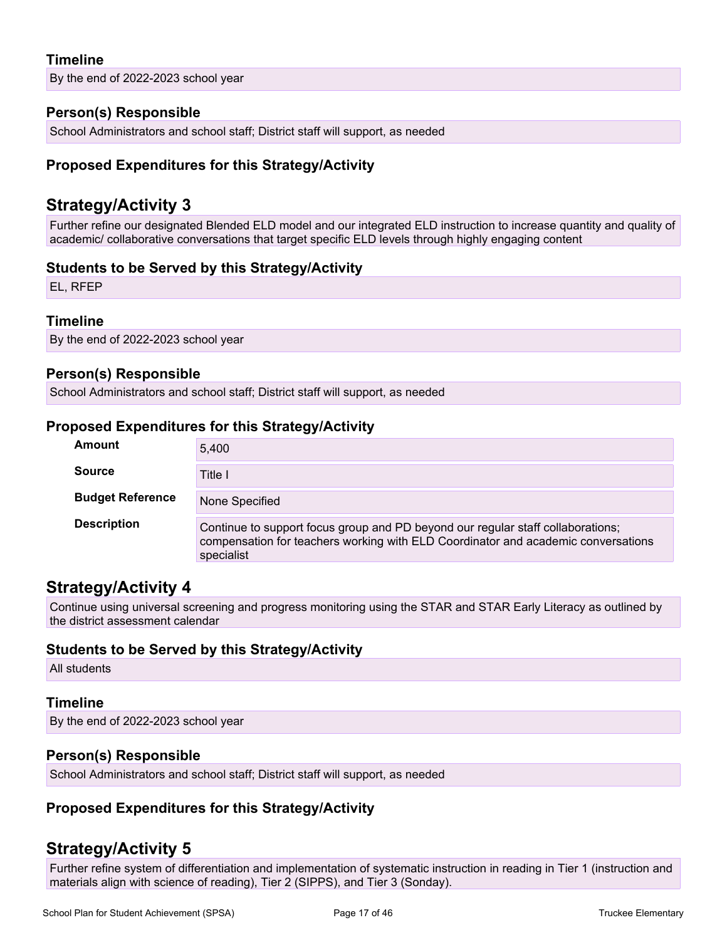#### **Timeline**

By the end of 2022-2023 school year

#### **Person(s) Responsible**

School Administrators and school staff; District staff will support, as needed

#### **Proposed Expenditures for this Strategy/Activity**

### **Strategy/Activity 3**

Further refine our designated Blended ELD model and our integrated ELD instruction to increase quantity and quality of academic/ collaborative conversations that target specific ELD levels through highly engaging content

#### **Students to be Served by this Strategy/Activity**

EL, RFEP

#### **Timeline**

By the end of 2022-2023 school year

#### **Person(s) Responsible**

School Administrators and school staff; District staff will support, as needed

#### **Proposed Expenditures for this Strategy/Activity**

| Amount                  | 5.400                                                                                                                                                                              |
|-------------------------|------------------------------------------------------------------------------------------------------------------------------------------------------------------------------------|
| <b>Source</b>           | Title I                                                                                                                                                                            |
| <b>Budget Reference</b> | None Specified                                                                                                                                                                     |
| <b>Description</b>      | Continue to support focus group and PD beyond our regular staff collaborations;<br>compensation for teachers working with ELD Coordinator and academic conversations<br>specialist |

## **Strategy/Activity 4**

Continue using universal screening and progress monitoring using the STAR and STAR Early Literacy as outlined by the district assessment calendar

#### **Students to be Served by this Strategy/Activity**

All students

#### **Timeline**

By the end of 2022-2023 school year

#### **Person(s) Responsible**

School Administrators and school staff; District staff will support, as needed

#### **Proposed Expenditures for this Strategy/Activity**

### **Strategy/Activity 5**

Further refine system of differentiation and implementation of systematic instruction in reading in Tier 1 (instruction and materials align with science of reading), Tier 2 (SIPPS), and Tier 3 (Sonday).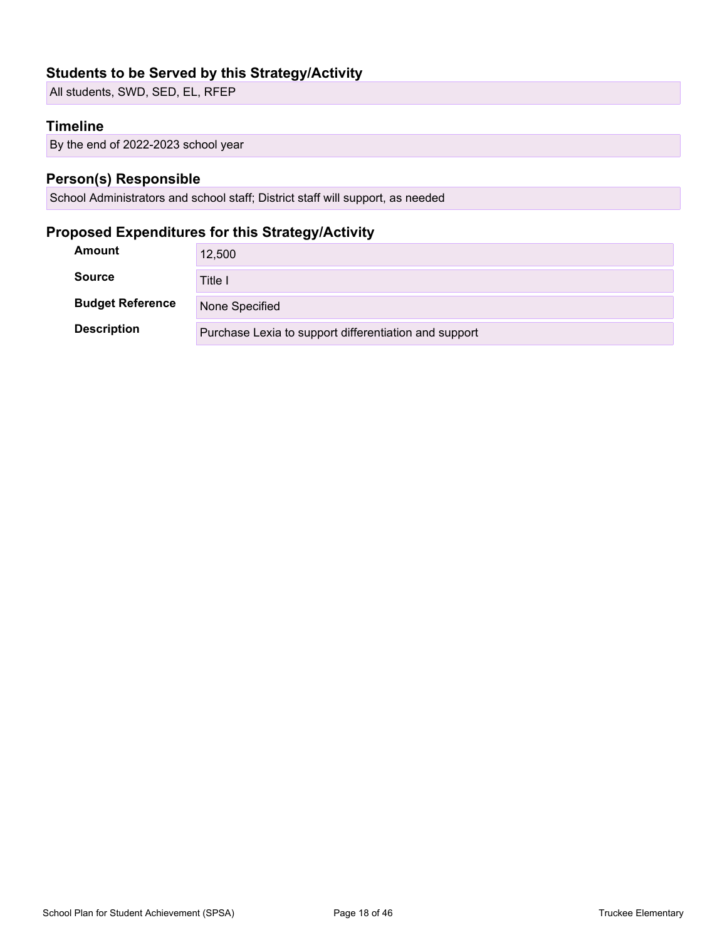### **Students to be Served by this Strategy/Activity**

All students, SWD, SED, EL, RFEP

#### **Timeline**

By the end of 2022-2023 school year

#### **Person(s) Responsible**

School Administrators and school staff; District staff will support, as needed

### **Proposed Expenditures for this Strategy/Activity**

| Amount                  | 12,500                                                |
|-------------------------|-------------------------------------------------------|
| <b>Source</b>           | Title I                                               |
| <b>Budget Reference</b> | None Specified                                        |
| <b>Description</b>      | Purchase Lexia to support differentiation and support |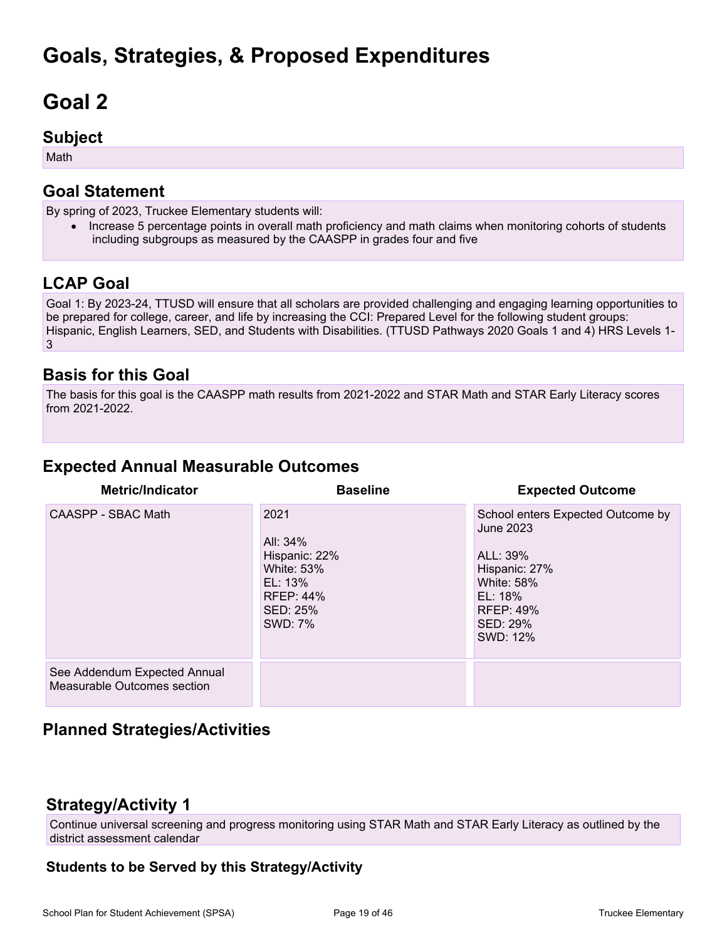## **Goals, Strategies, & Proposed Expenditures**

# **Goal 2**

### **Subject**

Math

## **Goal Statement**

By spring of 2023, Truckee Elementary students will:

• Increase 5 percentage points in overall math proficiency and math claims when monitoring cohorts of students including subgroups as measured by the CAASPP in grades four and five

## **LCAP Goal**

Goal 1: By 2023-24, TTUSD will ensure that all scholars are provided challenging and engaging learning opportunities to be prepared for college, career, and life by increasing the CCI: Prepared Level for the following student groups: Hispanic, English Learners, SED, and Students with Disabilities. (TTUSD Pathways 2020 Goals 1 and 4) HRS Levels 1-3

## **Basis for this Goal**

The basis for this goal is the CAASPP math results from 2021-2022 and STAR Math and STAR Early Literacy scores from 2021-2022.

## **Expected Annual Measurable Outcomes**

| <b>Metric/Indicator</b>                                     | <b>Baseline</b>                                                                                              | <b>Expected Outcome</b>                                                                                                                                 |
|-------------------------------------------------------------|--------------------------------------------------------------------------------------------------------------|---------------------------------------------------------------------------------------------------------------------------------------------------------|
| CAASPP - SBAC Math                                          | 2021<br>All: 34%<br>Hispanic: 22%<br><b>White: 53%</b><br>EL: 13%<br><b>RFEP: 44%</b><br>SED: 25%<br>SWD: 7% | School enters Expected Outcome by<br>June 2023<br>ALL: 39%<br>Hispanic: 27%<br><b>White: 58%</b><br>EL: 18%<br><b>RFEP: 49%</b><br>SED: 29%<br>SWD: 12% |
| See Addendum Expected Annual<br>Measurable Outcomes section |                                                                                                              |                                                                                                                                                         |

## **Planned Strategies/Activities**

## **Strategy/Activity 1**

Continue universal screening and progress monitoring using STAR Math and STAR Early Literacy as outlined by the district assessment calendar

### **Students to be Served by this Strategy/Activity**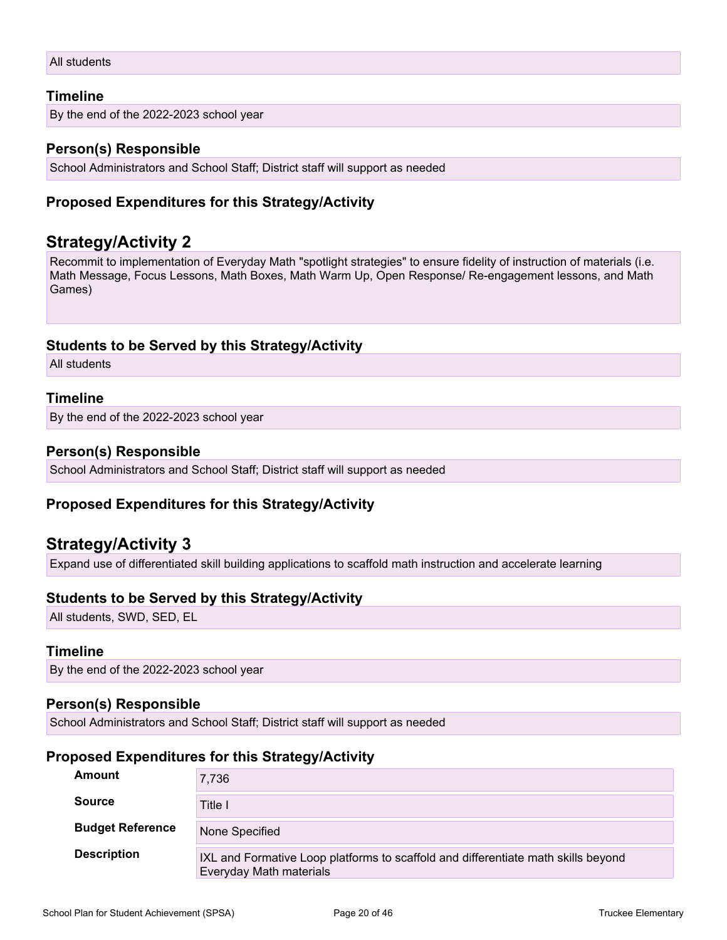```
All students
```
#### **Timeline**

By the end of the 2022-2023 school year

#### **Person(s) Responsible**

School Administrators and School Staff; District staff will support as needed

#### **Proposed Expenditures for this Strategy/Activity**

### **Strategy/Activity 2**

Recommit to implementation of Everyday Math "spotlight strategies" to ensure fidelity of instruction of materials (i.e. Math Message, Focus Lessons, Math Boxes, Math Warm Up, Open Response/ Re-engagement lessons, and Math Games)

#### **Students to be Served by this Strategy/Activity**

All students

#### **Timeline**

By the end of the 2022-2023 school year

#### **Person(s) Responsible**

School Administrators and School Staff; District staff will support as needed

#### **Proposed Expenditures for this Strategy/Activity**

### **Strategy/Activity 3**

Expand use of differentiated skill building applications to scaffold math instruction and accelerate learning

#### **Students to be Served by this Strategy/Activity**

All students, SWD, SED, EL

#### **Timeline**

By the end of the 2022-2023 school year

#### **Person(s) Responsible**

School Administrators and School Staff; District staff will support as needed

#### **Proposed Expenditures for this Strategy/Activity**

| Amount                  | 7,736                                                                                                        |
|-------------------------|--------------------------------------------------------------------------------------------------------------|
| <b>Source</b>           | Title I                                                                                                      |
| <b>Budget Reference</b> | None Specified                                                                                               |
| <b>Description</b>      | IXL and Formative Loop platforms to scaffold and differentiate math skills beyond<br>Everyday Math materials |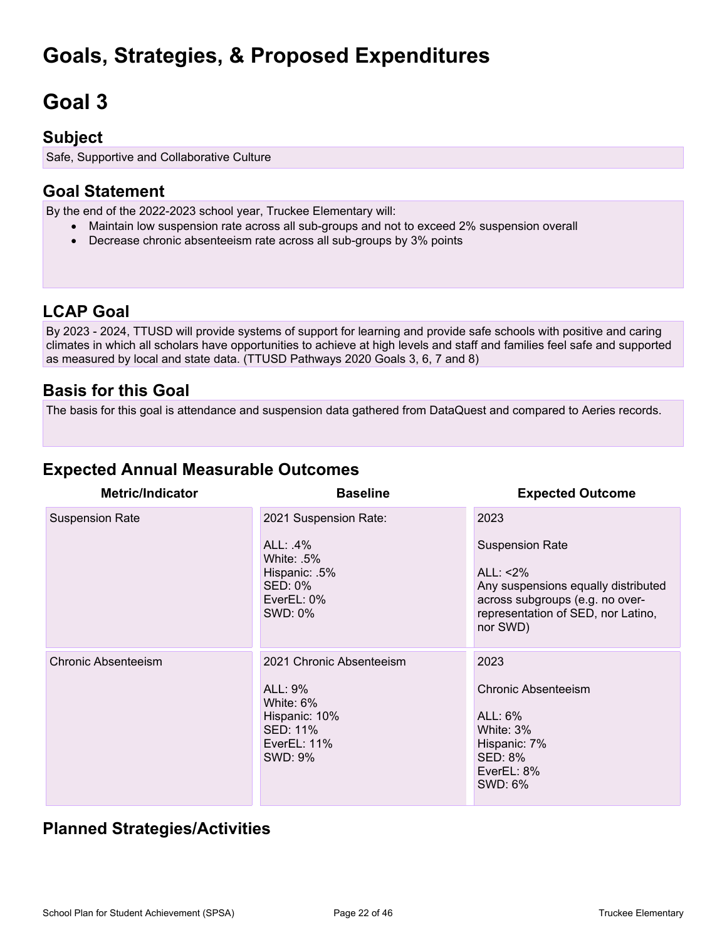## **Goals, Strategies, & Proposed Expenditures**

# **Goal 3**

## **Subject**

Safe, Supportive and Collaborative Culture

## **Goal Statement**

By the end of the 2022-2023 school year, Truckee Elementary will:

- Maintain low suspension rate across all sub-groups and not to exceed 2% suspension overall
- Decrease chronic absenteeism rate across all sub-groups by 3% points

## **LCAP Goal**

By 2023 - 2024, TTUSD will provide systems of support for learning and provide safe schools with positive and caring climates in which all scholars have opportunities to achieve at high levels and staff and families feel safe and supported as measured by local and state data. (TTUSD Pathways 2020 Goals 3, 6, 7 and 8)

## **Basis for this Goal**

The basis for this goal is attendance and suspension data gathered from DataQuest and compared to Aeries records.

## **Expected Annual Measurable Outcomes**

| <b>Metric/Indicator</b>    | <b>Baseline</b>                                                                                                   | <b>Expected Outcome</b>                                                                                                                                        |
|----------------------------|-------------------------------------------------------------------------------------------------------------------|----------------------------------------------------------------------------------------------------------------------------------------------------------------|
| <b>Suspension Rate</b>     | 2021 Suspension Rate:                                                                                             | 2023                                                                                                                                                           |
|                            | ALL: $.4\%$<br>White: .5%<br>Hispanic: .5%<br><b>SED: 0%</b><br>EverEL: 0%<br>SWD: 0%                             | <b>Suspension Rate</b><br>ALL: <2%<br>Any suspensions equally distributed<br>across subgroups (e.g. no over-<br>representation of SED, nor Latino,<br>nor SWD) |
| <b>Chronic Absenteeism</b> | 2021 Chronic Absenteeism<br>ALL: 9%<br>White: 6%<br>Hispanic: 10%<br><b>SED: 11%</b><br>EverEL: $11\%$<br>SWD: 9% | 2023<br>Chronic Absenteeism<br>$ALL: 6\%$<br>White: 3%<br>Hispanic: 7%<br><b>SED: 8%</b><br>EverEL: 8%<br>SWD: 6%                                              |

## **Planned Strategies/Activities**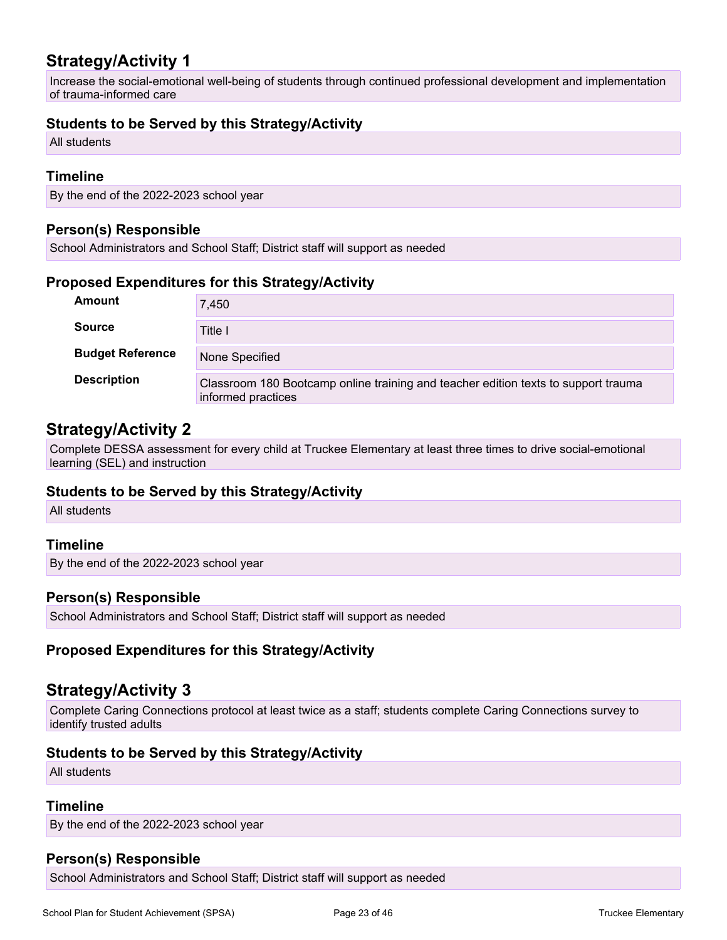## **Strategy/Activity 1**

Increase the social-emotional well-being of students through continued professional development and implementation of trauma-informed care

#### **Students to be Served by this Strategy/Activity**

All students

#### **Timeline**

By the end of the 2022-2023 school year

#### **Person(s) Responsible**

School Administrators and School Staff; District staff will support as needed

#### **Proposed Expenditures for this Strategy/Activity**

| <b>Amount</b>           | 7,450                                                                                                    |
|-------------------------|----------------------------------------------------------------------------------------------------------|
| <b>Source</b>           | Title I                                                                                                  |
| <b>Budget Reference</b> | None Specified                                                                                           |
| <b>Description</b>      | Classroom 180 Bootcamp online training and teacher edition texts to support trauma<br>informed practices |

### **Strategy/Activity 2**

Complete DESSA assessment for every child at Truckee Elementary at least three times to drive social-emotional learning (SEL) and instruction

#### **Students to be Served by this Strategy/Activity**

All students

#### **Timeline**

By the end of the 2022-2023 school year

#### **Person(s) Responsible**

School Administrators and School Staff; District staff will support as needed

#### **Proposed Expenditures for this Strategy/Activity**

### **Strategy/Activity 3**

Complete Caring Connections protocol at least twice as a staff; students complete Caring Connections survey to identify trusted adults

#### **Students to be Served by this Strategy/Activity**

All students

#### **Timeline**

By the end of the 2022-2023 school year

#### **Person(s) Responsible**

School Administrators and School Staff; District staff will support as needed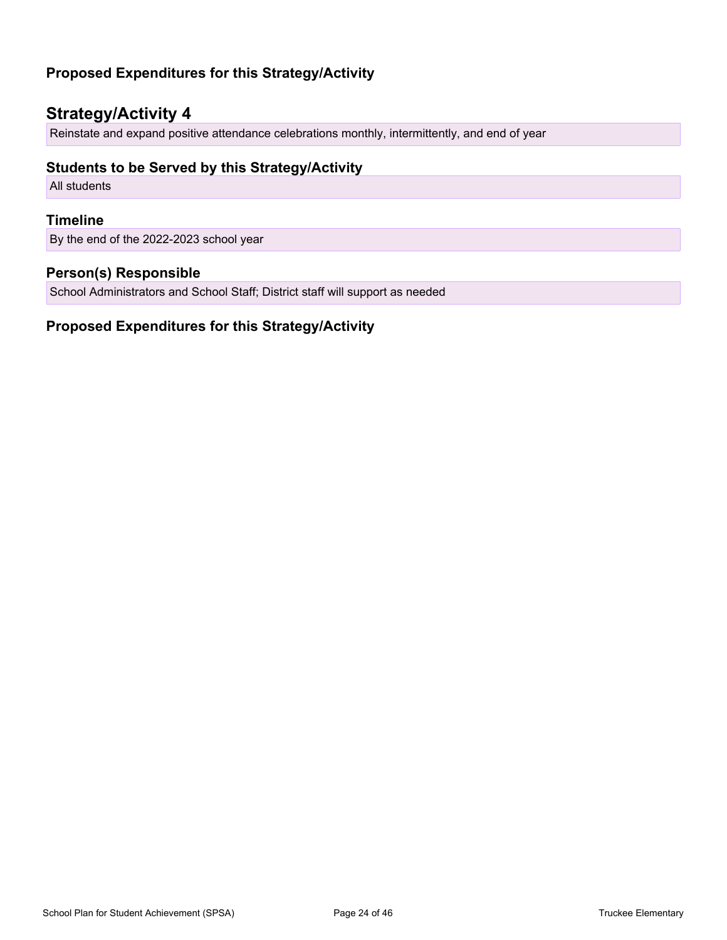### **Proposed Expenditures for this Strategy/Activity**

## **Strategy/Activity 4**

Reinstate and expand positive attendance celebrations monthly, intermittently, and end of year

#### **Students to be Served by this Strategy/Activity**

All students

#### **Timeline**

By the end of the 2022-2023 school year

#### **Person(s) Responsible**

School Administrators and School Staff; District staff will support as needed

#### **Proposed Expenditures for this Strategy/Activity**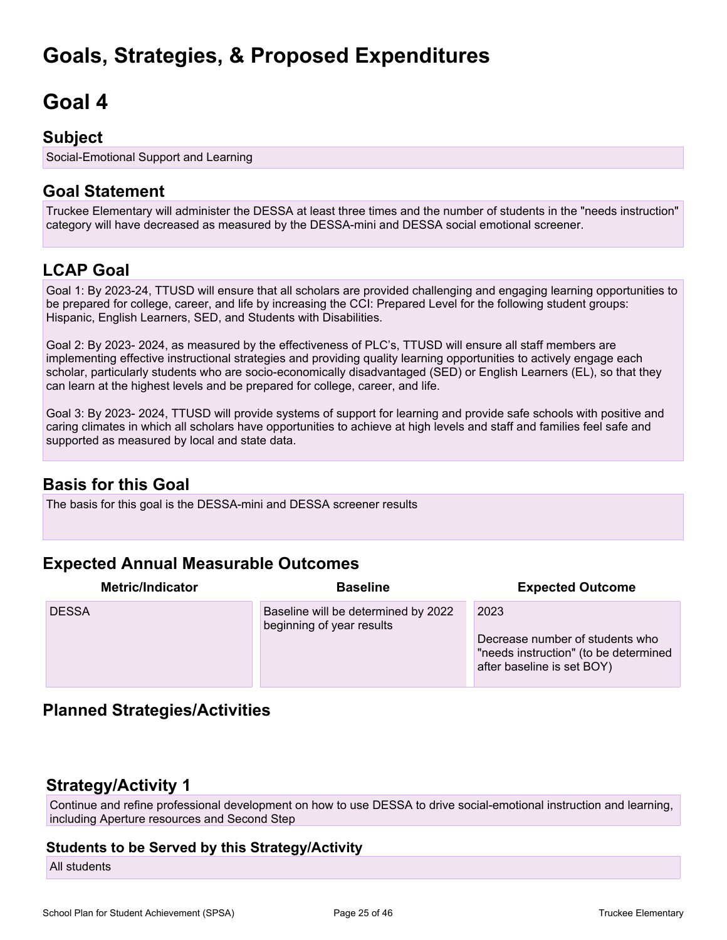## **Goals, Strategies, & Proposed Expenditures**

## **Goal 4**

### **Subject**

Social-Emotional Support and Learning

## **Goal Statement**

Truckee Elementary will administer the DESSA at least three times and the number of students in the "needs instruction" category will have decreased as measured by the DESSA-mini and DESSA social emotional screener.

## **LCAP Goal**

Goal 1: By 2023-24, TTUSD will ensure that all scholars are provided challenging and engaging learning opportunities to be prepared for college, career, and life by increasing the CCI: Prepared Level for the following student groups: Hispanic, English Learners, SED, and Students with Disabilities.

Goal 2: By 2023- 2024, as measured by the effectiveness of PLC's, TTUSD will ensure all staff members are implementing effective instructional strategies and providing quality learning opportunities to actively engage each scholar, particularly students who are socio-economically disadvantaged (SED) or English Learners (EL), so that they can learn at the highest levels and be prepared for college, career, and life.

Goal 3: By 2023- 2024, TTUSD will provide systems of support for learning and provide safe schools with positive and caring climates in which all scholars have opportunities to achieve at high levels and staff and families feel safe and supported as measured by local and state data.

## **Basis for this Goal**

The basis for this goal is the DESSA-mini and DESSA screener results

## **Expected Annual Measurable Outcomes**

| <b>Metric/Indicator</b> | <b>Baseline</b>                                                  | <b>Expected Outcome</b>                                                                                        |
|-------------------------|------------------------------------------------------------------|----------------------------------------------------------------------------------------------------------------|
| <b>DESSA</b>            | Baseline will be determined by 2022<br>beginning of year results | 2023<br>Decrease number of students who<br>"needs instruction" (to be determined<br>after baseline is set BOY) |

## **Planned Strategies/Activities**

### **Strategy/Activity 1**

Continue and refine professional development on how to use DESSA to drive social-emotional instruction and learning, including Aperture resources and Second Step

#### **Students to be Served by this Strategy/Activity**

All students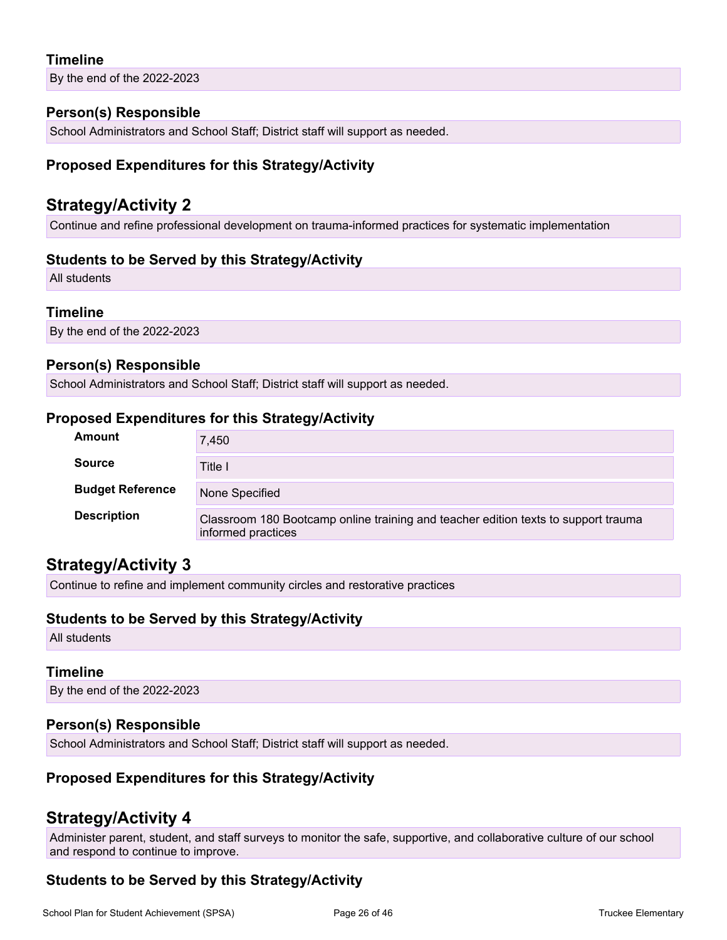#### **Timeline**

By the end of the 2022-2023

#### **Person(s) Responsible**

School Administrators and School Staff; District staff will support as needed.

#### **Proposed Expenditures for this Strategy/Activity**

### **Strategy/Activity 2**

Continue and refine professional development on trauma-informed practices for systematic implementation

#### **Students to be Served by this Strategy/Activity**

All students

#### **Timeline**

By the end of the 2022-2023

#### **Person(s) Responsible**

School Administrators and School Staff; District staff will support as needed.

#### **Proposed Expenditures for this Strategy/Activity**

| <b>Amount</b>           | 7,450                                                                                                    |
|-------------------------|----------------------------------------------------------------------------------------------------------|
| <b>Source</b>           | Title I                                                                                                  |
| <b>Budget Reference</b> | None Specified                                                                                           |
| <b>Description</b>      | Classroom 180 Bootcamp online training and teacher edition texts to support trauma<br>informed practices |

### **Strategy/Activity 3**

Continue to refine and implement community circles and restorative practices

#### **Students to be Served by this Strategy/Activity**

All students

#### **Timeline**

By the end of the 2022-2023

#### **Person(s) Responsible**

School Administrators and School Staff; District staff will support as needed.

#### **Proposed Expenditures for this Strategy/Activity**

### **Strategy/Activity 4**

Administer parent, student, and staff surveys to monitor the safe, supportive, and collaborative culture of our school and respond to continue to improve.

### **Students to be Served by this Strategy/Activity**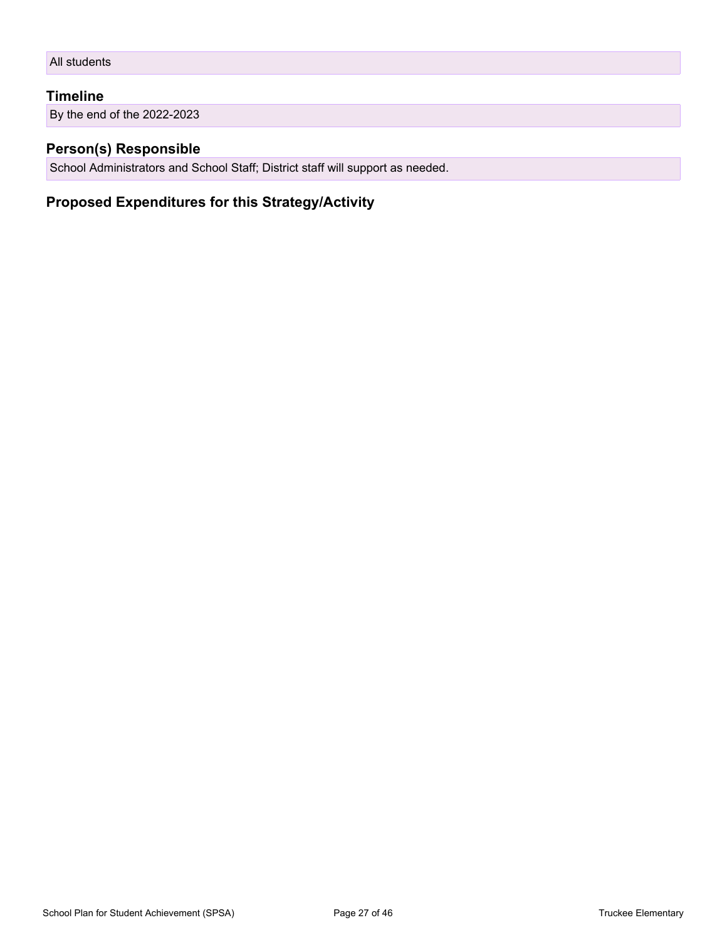```
All students
```
#### **Timeline**

By the end of the 2022-2023

#### **Person(s) Responsible**

School Administrators and School Staff; District staff will support as needed.

### **Proposed Expenditures for this Strategy/Activity**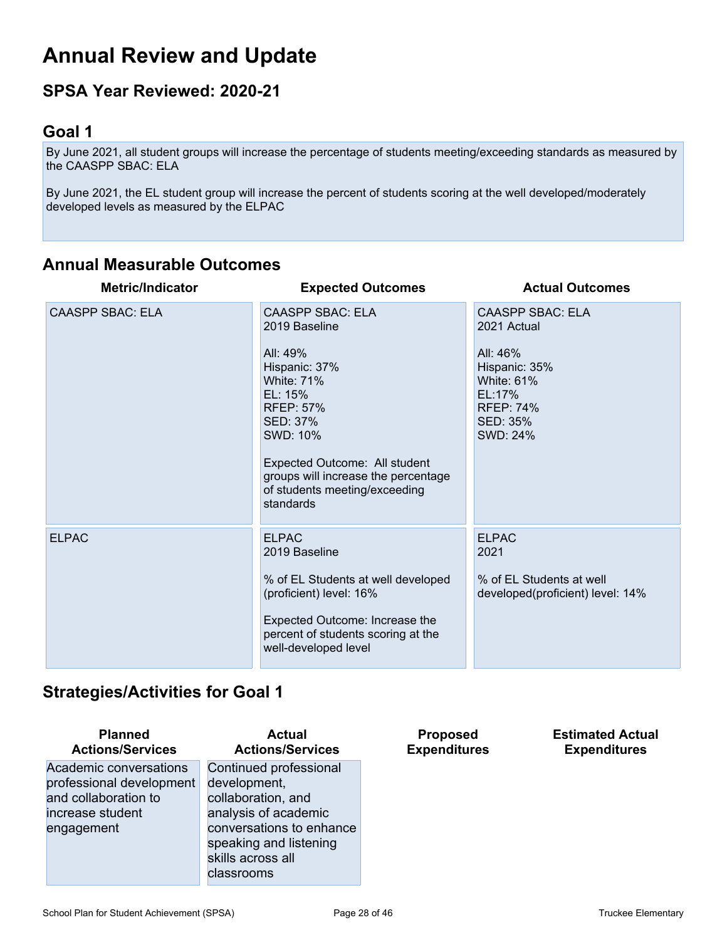## **Annual Review and Update**

## **SPSA Year Reviewed: 2020-21**

## **Goal 1**

By June 2021, all student groups will increase the percentage of students meeting/exceeding standards as measured by the CAASPP SBAC: ELA

By June 2021, the EL student group will increase the percent of students scoring at the well developed/moderately developed levels as measured by the ELPAC

## **Annual Measurable Outcomes**

| <b>Metric/Indicator</b> | <b>Expected Outcomes</b>                                                                                                                                                                                                                                                | <b>Actual Outcomes</b>                                                                                                                  |
|-------------------------|-------------------------------------------------------------------------------------------------------------------------------------------------------------------------------------------------------------------------------------------------------------------------|-----------------------------------------------------------------------------------------------------------------------------------------|
| <b>CAASPP SBAC: ELA</b> | <b>CAASPP SBAC: ELA</b><br>2019 Baseline<br>All: 49%<br>Hispanic: 37%<br><b>White: 71%</b><br>EL: 15%<br><b>RFEP: 57%</b><br>SED: 37%<br>SWD: 10%<br>Expected Outcome: All student<br>groups will increase the percentage<br>of students meeting/exceeding<br>standards | <b>CAASPP SBAC: ELA</b><br>2021 Actual<br>All: 46%<br>Hispanic: 35%<br>White: 61%<br>EL:17%<br><b>RFEP: 74%</b><br>SED: 35%<br>SWD: 24% |
| <b>ELPAC</b>            | <b>ELPAC</b><br>2019 Baseline<br>% of EL Students at well developed<br>(proficient) level: 16%<br>Expected Outcome: Increase the<br>percent of students scoring at the<br>well-developed level                                                                          | <b>ELPAC</b><br>2021<br>% of EL Students at well<br>developed(proficient) level: 14%                                                    |

### **Strategies/Activities for Goal 1**

| <b>Planned</b><br><b>Actions/Services</b> | <b>Actual</b><br><b>Actions/Services</b> | <b>Proposed</b><br><b>Expenditures</b> | <b>Estimated Actual</b><br><b>Expenditures</b> |
|-------------------------------------------|------------------------------------------|----------------------------------------|------------------------------------------------|
| Academic conversations                    | Continued professional                   |                                        |                                                |
| professional development                  | development,                             |                                        |                                                |
| and collaboration to                      | collaboration, and                       |                                        |                                                |
| increase student                          | analysis of academic                     |                                        |                                                |
| engagement                                | conversations to enhance                 |                                        |                                                |
|                                           | speaking and listening                   |                                        |                                                |
|                                           | skills across all                        |                                        |                                                |
|                                           | classrooms                               |                                        |                                                |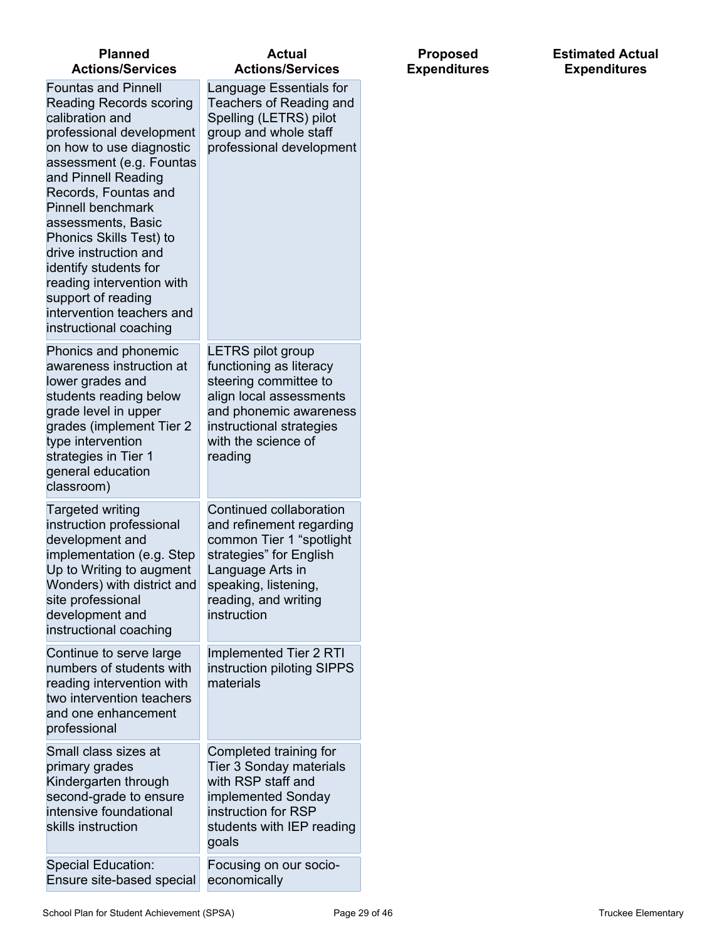| <b>Planned</b><br><b>Actions/Services</b>                                                                                                                                                                                                                                                                                                                                                                                                                   | <b>Actual</b><br><b>Actions/Services</b>                                                                                                                                                        |
|-------------------------------------------------------------------------------------------------------------------------------------------------------------------------------------------------------------------------------------------------------------------------------------------------------------------------------------------------------------------------------------------------------------------------------------------------------------|-------------------------------------------------------------------------------------------------------------------------------------------------------------------------------------------------|
| <b>Fountas and Pinnell</b><br><b>Reading Records scoring</b><br>calibration and<br>professional development<br>on how to use diagnostic<br>assessment (e.g. Fountas<br>and Pinnell Reading<br>Records, Fountas and<br><b>Pinnell benchmark</b><br>assessments, Basic<br>Phonics Skills Test) to<br>drive instruction and<br>identify students for<br>reading intervention with<br>support of reading<br>intervention teachers and<br>instructional coaching | Language Essentials for<br>Teachers of Reading and<br>Spelling (LETRS) pilot<br>group and whole staff<br>professional development                                                               |
| Phonics and phonemic<br>awareness instruction at<br>lower grades and<br>students reading below<br>grade level in upper<br>grades (implement Tier 2<br>type intervention<br>strategies in Tier 1<br>general education<br>classroom)                                                                                                                                                                                                                          | <b>LETRS pilot group</b><br>functioning as literacy<br>steering committee to<br>align local assessments<br>and phonemic awareness<br>instructional strategies<br>with the science of<br>reading |
| Targeted writing<br>instruction professional<br>development and<br>implementation (e.g. Step<br>Up to Writing to augment<br>Wonders) with district and<br>site professional<br>development and<br>instructional coaching                                                                                                                                                                                                                                    | Continued collaboration<br>and refinement regarding<br>common Tier 1 "spotlight<br>strategies" for English<br>Language Arts in<br>speaking, listening,<br>reading, and writing<br>instruction   |
| Continue to serve large<br>numbers of students with<br>reading intervention with<br>two intervention teachers<br>and one enhancement<br>professional                                                                                                                                                                                                                                                                                                        | Implemented Tier 2 RTI<br>instruction piloting SIPPS<br>materials                                                                                                                               |
| Small class sizes at<br>primary grades<br>Kindergarten through<br>second-grade to ensure<br>intensive foundational<br>skills instruction                                                                                                                                                                                                                                                                                                                    | Completed training for<br>Tier 3 Sonday materials<br>with RSP staff and<br>implemented Sonday<br>instruction for RSP<br>students with IEP reading<br>goals                                      |
| <b>Special Education:</b><br>Ensure site-based special                                                                                                                                                                                                                                                                                                                                                                                                      | Focusing on our socio-<br>economically                                                                                                                                                          |

**Proposed Expenditures**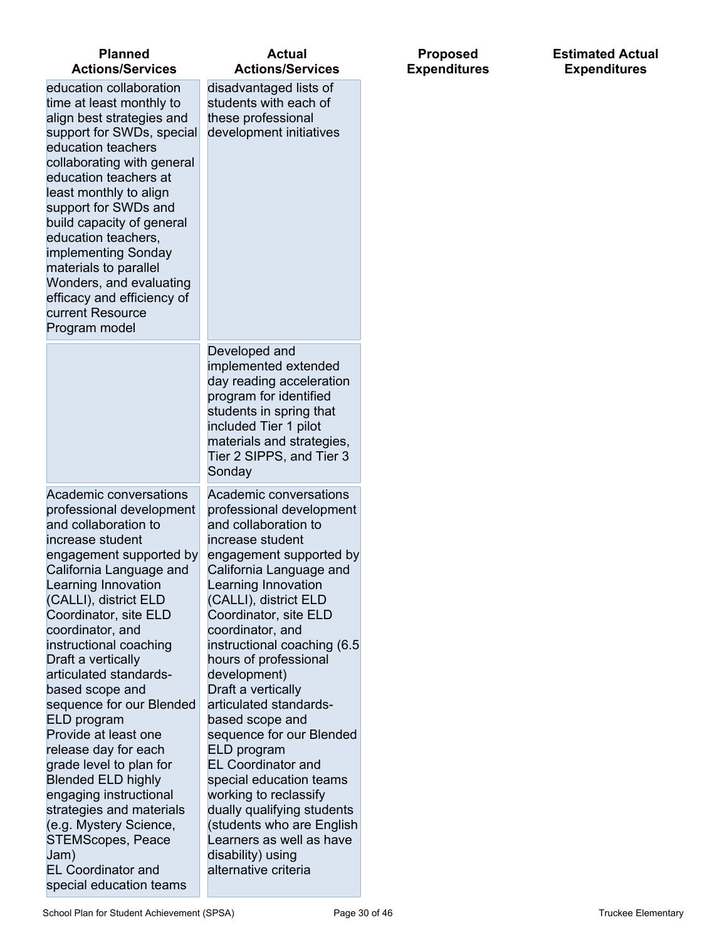| <b>Planned</b><br><b>Actions/Services</b>                                                                                                                                                                                                                                                                                                                                                                                                                                                                                                                                                                                                                                     | <b>Actual</b><br><b>Actions/Services</b>                                                                                                                                                                                                                                                                                                                                                                                                                                                                                                                                                                                                                     | <b>Proposed</b><br><b>Expenditures</b> | <b>Estimated Actual</b><br><b>Expenditures</b> |
|-------------------------------------------------------------------------------------------------------------------------------------------------------------------------------------------------------------------------------------------------------------------------------------------------------------------------------------------------------------------------------------------------------------------------------------------------------------------------------------------------------------------------------------------------------------------------------------------------------------------------------------------------------------------------------|--------------------------------------------------------------------------------------------------------------------------------------------------------------------------------------------------------------------------------------------------------------------------------------------------------------------------------------------------------------------------------------------------------------------------------------------------------------------------------------------------------------------------------------------------------------------------------------------------------------------------------------------------------------|----------------------------------------|------------------------------------------------|
| education collaboration<br>time at least monthly to<br>align best strategies and<br>support for SWDs, special<br>education teachers<br>collaborating with general<br>education teachers at<br>least monthly to align<br>support for SWDs and<br>build capacity of general<br>education teachers,<br>implementing Sonday<br>materials to parallel<br>Wonders, and evaluating<br>efficacy and efficiency of<br>current Resource<br>Program model                                                                                                                                                                                                                                | disadvantaged lists of<br>students with each of<br>these professional<br>development initiatives                                                                                                                                                                                                                                                                                                                                                                                                                                                                                                                                                             |                                        |                                                |
|                                                                                                                                                                                                                                                                                                                                                                                                                                                                                                                                                                                                                                                                               | Developed and<br>implemented extended<br>day reading acceleration<br>program for identified<br>students in spring that<br>included Tier 1 pilot<br>materials and strategies,<br>Tier 2 SIPPS, and Tier 3<br>Sonday                                                                                                                                                                                                                                                                                                                                                                                                                                           |                                        |                                                |
| Academic conversations<br>professional development<br>and collaboration to<br>increase student<br>engagement supported by<br>California Language and<br>Learning Innovation<br>(CALLI), district ELD<br>Coordinator, site ELD<br>coordinator, and<br>instructional coaching<br>Draft a vertically<br>articulated standards-<br>based scope and<br>sequence for our Blended<br>ELD program<br>Provide at least one<br>release day for each<br>grade level to plan for<br><b>Blended ELD highly</b><br>engaging instructional<br>strategies and materials<br>(e.g. Mystery Science,<br><b>STEMScopes, Peace</b><br>Jam)<br><b>EL Coordinator and</b><br>special education teams | Academic conversations<br>professional development<br>and collaboration to<br>increase student<br>engagement supported by<br>California Language and<br>Learning Innovation<br>(CALLI), district ELD<br>Coordinator, site ELD<br>coordinator, and<br>instructional coaching (6.5<br>hours of professional<br>development)<br>Draft a vertically<br>articulated standards-<br>based scope and<br>sequence for our Blended<br>ELD program<br><b>EL Coordinator and</b><br>special education teams<br>working to reclassify<br>dually qualifying students<br>students who are English)<br>Learners as well as have<br>disability) using<br>alternative criteria |                                        |                                                |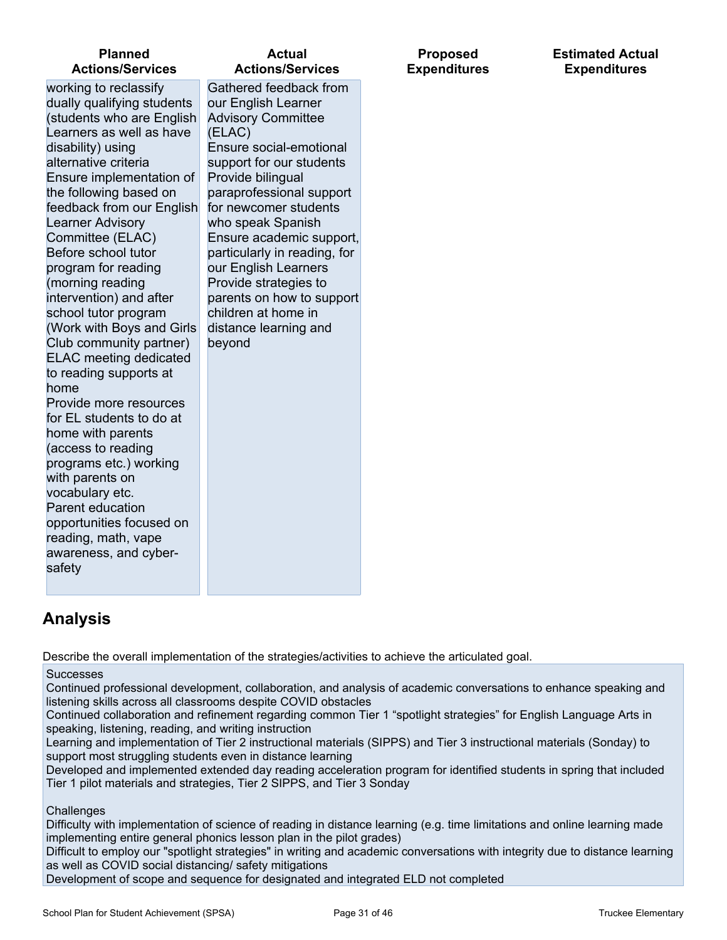| <b>Planned</b>                                                                                                                                                                                                                                                                                                                                                                                                                                                                                                                                                                                                                                                                                                                                                                                                         | <b>Actual</b>                                                                                                                                                                                                                                                                                                                                                                                                                                  | <b>Proposed</b>     |
|------------------------------------------------------------------------------------------------------------------------------------------------------------------------------------------------------------------------------------------------------------------------------------------------------------------------------------------------------------------------------------------------------------------------------------------------------------------------------------------------------------------------------------------------------------------------------------------------------------------------------------------------------------------------------------------------------------------------------------------------------------------------------------------------------------------------|------------------------------------------------------------------------------------------------------------------------------------------------------------------------------------------------------------------------------------------------------------------------------------------------------------------------------------------------------------------------------------------------------------------------------------------------|---------------------|
| <b>Actions/Services</b>                                                                                                                                                                                                                                                                                                                                                                                                                                                                                                                                                                                                                                                                                                                                                                                                | <b>Actions/Services</b>                                                                                                                                                                                                                                                                                                                                                                                                                        | <b>Expenditures</b> |
| working to reclassify<br>dually qualifying students<br>(students who are English<br>Learners as well as have<br>disability) using<br>alternative criteria<br>Ensure implementation of<br>the following based on<br>feedback from our English<br><b>Learner Advisory</b><br>Committee (ELAC)<br>Before school tutor<br>program for reading<br>(morning reading<br>intervention) and after<br>school tutor program<br>(Work with Boys and Girls<br>Club community partner)<br><b>ELAC</b> meeting dedicated<br>to reading supports at<br>home<br>Provide more resources<br>for EL students to do at<br>home with parents<br>(access to reading<br>programs etc.) working<br>with parents on<br>vocabulary etc.<br>Parent education<br>opportunities focused on<br>reading, math, vape<br>awareness, and cyber-<br>safety | Gathered feedback from<br>our English Learner<br><b>Advisory Committee</b><br>(ELAC)<br>Ensure social-emotional<br>support for our students<br>Provide bilingual<br>paraprofessional support<br>for newcomer students<br>who speak Spanish<br>Ensure academic support,<br>particularly in reading, for<br>our English Learners<br>Provide strategies to<br>parents on how to support<br>children at home in<br>distance learning and<br>beyond |                     |

#### **Estimated Actual Expenditures**

## **Analysis**

Describe the overall implementation of the strategies/activities to achieve the articulated goal.

#### **Successes**

Continued professional development, collaboration, and analysis of academic conversations to enhance speaking and listening skills across all classrooms despite COVID obstacles

Continued collaboration and refinement regarding common Tier 1 "spotlight strategies" for English Language Arts in speaking, listening, reading, and writing instruction

Learning and implementation of Tier 2 instructional materials (SIPPS) and Tier 3 instructional materials (Sonday) to support most struggling students even in distance learning

Developed and implemented extended day reading acceleration program for identified students in spring that included Tier 1 pilot materials and strategies, Tier 2 SIPPS, and Tier 3 Sonday

#### **Challenges**

Difficulty with implementation of science of reading in distance learning (e.g. time limitations and online learning made implementing entire general phonics lesson plan in the pilot grades)

Difficult to employ our "spotlight strategies" in writing and academic conversations with integrity due to distance learning as well as COVID social distancing/ safety mitigations

Development of scope and sequence for designated and integrated ELD not completed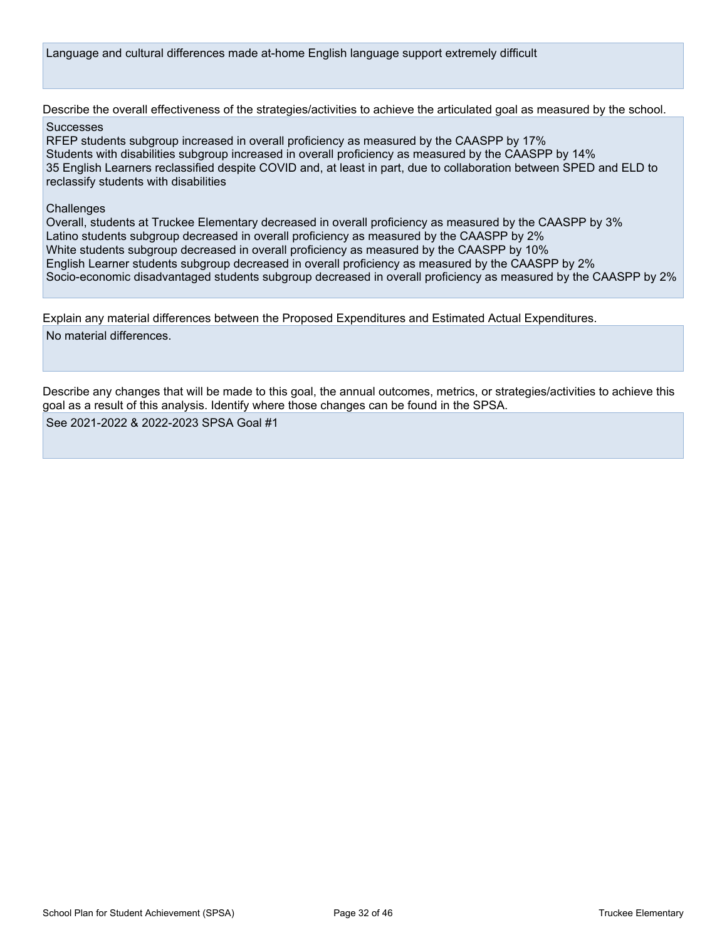Language and cultural differences made at-home English language support extremely difficult

Describe the overall effectiveness of the strategies/activities to achieve the articulated goal as measured by the school.

#### **Successes**

RFEP students subgroup increased in overall proficiency as measured by the CAASPP by 17% Students with disabilities subgroup increased in overall proficiency as measured by the CAASPP by 14% 35 English Learners reclassified despite COVID and, at least in part, due to collaboration between SPED and ELD to reclassify students with disabilities

#### **Challenges**

Overall, students at Truckee Elementary decreased in overall proficiency as measured by the CAASPP by 3% Latino students subgroup decreased in overall proficiency as measured by the CAASPP by 2% White students subgroup decreased in overall proficiency as measured by the CAASPP by 10% English Learner students subgroup decreased in overall proficiency as measured by the CAASPP by 2% Socio-economic disadvantaged students subgroup decreased in overall proficiency as measured by the CAASPP by 2%

Explain any material differences between the Proposed Expenditures and Estimated Actual Expenditures. No material differences.

Describe any changes that will be made to this goal, the annual outcomes, metrics, or strategies/activities to achieve this goal as a result of this analysis. Identify where those changes can be found in the SPSA.

See 2021-2022 & 2022-2023 SPSA Goal #1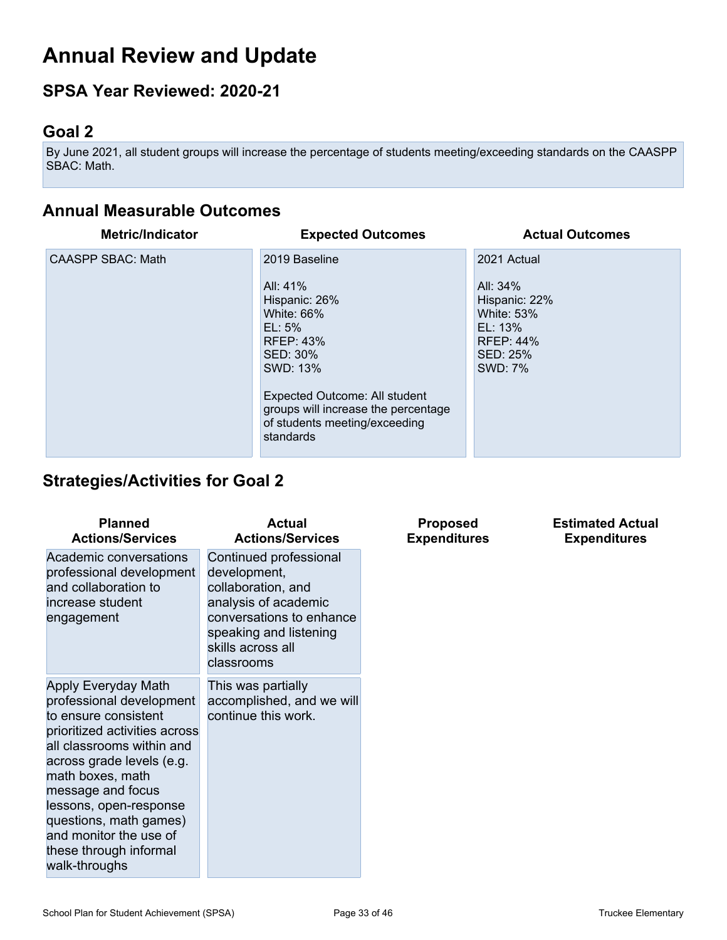## **Annual Review and Update**

## **SPSA Year Reviewed: 2020-21**

## **Goal 2**

By June 2021, all student groups will increase the percentage of students meeting/exceeding standards on the CAASPP SBAC: Math.

## **Annual Measurable Outcomes**

| <b>Metric/Indicator</b>  | <b>Expected Outcomes</b>                                                                                                                                                                                                                       | <b>Actual Outcomes</b>                                                                                              |
|--------------------------|------------------------------------------------------------------------------------------------------------------------------------------------------------------------------------------------------------------------------------------------|---------------------------------------------------------------------------------------------------------------------|
| <b>CAASPP SBAC: Math</b> | 2019 Baseline<br>All: 41%<br>Hispanic: 26%<br>White: 66%<br>$EL: 5\%$<br><b>RFEP: 43%</b><br>SED: 30%<br>SWD: 13%<br><b>Expected Outcome: All student</b><br>groups will increase the percentage<br>of students meeting/exceeding<br>standards | 2021 Actual<br>All: 34%<br>Hispanic: 22%<br><b>White: 53%</b><br>EL: 13%<br><b>RFEP: 44%</b><br>SED: 25%<br>SWD: 7% |

## **Strategies/Activities for Goal 2**

| <b>Planned</b><br><b>Actions/Services</b>                                                                                                                                                                                                                                                                                            | <b>Actual</b><br><b>Actions/Services</b>                                                                                                                                      | <b>Proposed</b><br><b>Expenditures</b> | <b>Estimated Actual</b><br><b>Expenditures</b> |
|--------------------------------------------------------------------------------------------------------------------------------------------------------------------------------------------------------------------------------------------------------------------------------------------------------------------------------------|-------------------------------------------------------------------------------------------------------------------------------------------------------------------------------|----------------------------------------|------------------------------------------------|
| Academic conversations<br>professional development<br>and collaboration to<br>increase student<br>engagement                                                                                                                                                                                                                         | Continued professional<br>development,<br>collaboration, and<br>analysis of academic<br>conversations to enhance<br>speaking and listening<br>skills across all<br>classrooms |                                        |                                                |
| Apply Everyday Math<br>professional development<br>to ensure consistent<br>prioritized activities across<br>all classrooms within and<br>across grade levels (e.g.<br>math boxes, math<br>message and focus<br>lessons, open-response<br>questions, math games)<br>and monitor the use of<br>these through informal<br>walk-throughs | This was partially<br>accomplished, and we will<br>continue this work.                                                                                                        |                                        |                                                |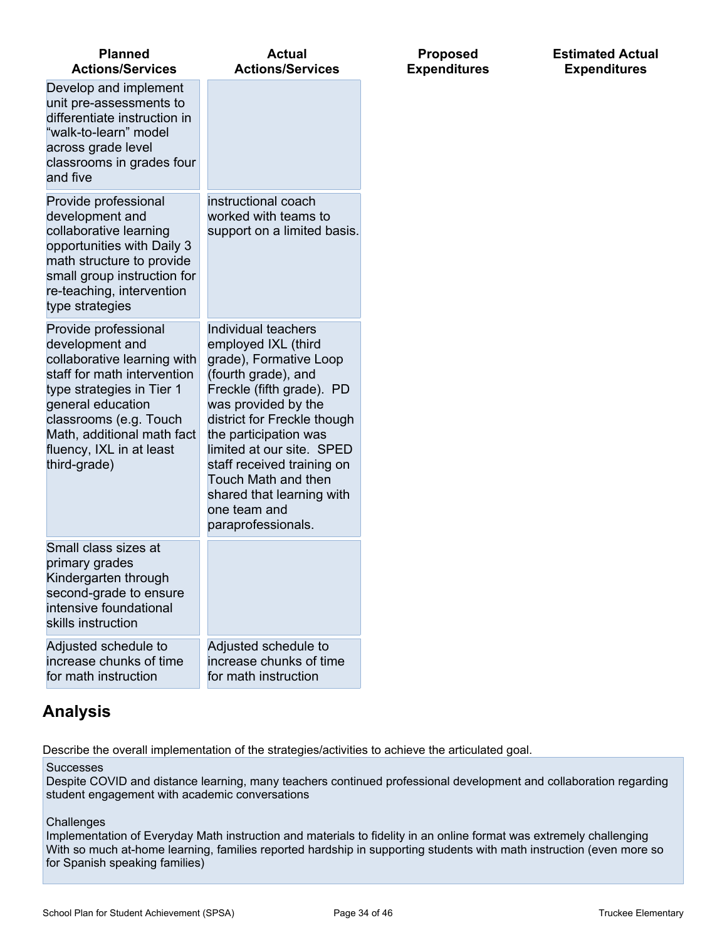| <b>Planned</b><br><b>Actions/Services</b>                                                                                                                                                                                                                   | <b>Actual</b><br><b>Actions/Services</b>                                                                                                                                                                                                                                                                                                                     |
|-------------------------------------------------------------------------------------------------------------------------------------------------------------------------------------------------------------------------------------------------------------|--------------------------------------------------------------------------------------------------------------------------------------------------------------------------------------------------------------------------------------------------------------------------------------------------------------------------------------------------------------|
| Develop and implement<br>unit pre-assessments to<br>differentiate instruction in<br>"walk-to-learn" model<br>across grade level<br>classrooms in grades four<br>and five                                                                                    |                                                                                                                                                                                                                                                                                                                                                              |
| Provide professional<br>development and<br>collaborative learning<br>opportunities with Daily 3<br>math structure to provide<br>small group instruction for<br>re-teaching, intervention<br>type strategies                                                 | instructional coach<br>worked with teams to<br>support on a limited basis.                                                                                                                                                                                                                                                                                   |
| Provide professional<br>development and<br>collaborative learning with<br>staff for math intervention<br>type strategies in Tier 1<br>general education<br>classrooms (e.g. Touch<br>Math, additional math fact<br>fluency, IXL in at least<br>third-grade) | Individual teachers<br>employed IXL (third<br>grade), Formative Loop<br>(fourth grade), and<br>Freckle (fifth grade). PD<br>was provided by the<br>district for Freckle though<br>the participation was<br>limited at our site. SPED<br>staff received training on<br>Touch Math and then<br>shared that learning with<br>one team and<br>paraprofessionals. |
| Small class sizes at<br>primary grades<br>Kindergarten through<br>second-grade to ensure<br>intensive foundational<br>skills instruction                                                                                                                    |                                                                                                                                                                                                                                                                                                                                                              |
| Adjusted schedule to<br>increase chunks of time<br>for math instruction                                                                                                                                                                                     | Adjusted schedule to<br>increase chunks of time<br>for math instruction                                                                                                                                                                                                                                                                                      |

## **Analysis**

Describe the overall implementation of the strategies/activities to achieve the articulated goal.

#### Successes

Despite COVID and distance learning, many teachers continued professional development and collaboration regarding student engagement with academic conversations

#### **Challenges**

Implementation of Everyday Math instruction and materials to fidelity in an online format was extremely challenging With so much at-home learning, families reported hardship in supporting students with math instruction (even more so for Spanish speaking families)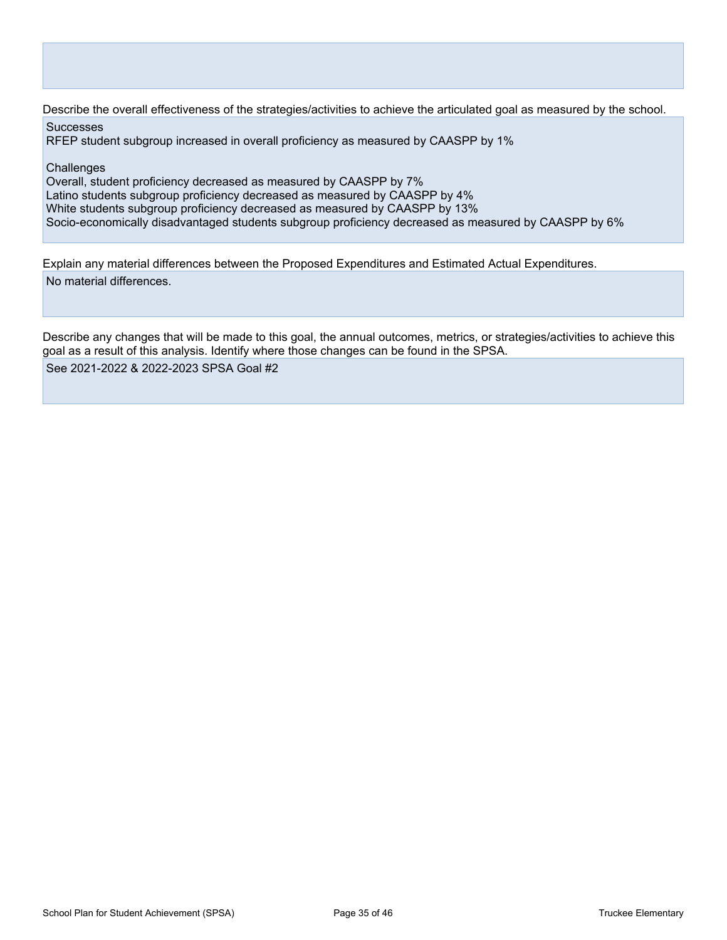Describe the overall effectiveness of the strategies/activities to achieve the articulated goal as measured by the school.

**Successes** 

RFEP student subgroup increased in overall proficiency as measured by CAASPP by 1%

**Challenges** 

Overall, student proficiency decreased as measured by CAASPP by 7% Latino students subgroup proficiency decreased as measured by CAASPP by 4% White students subgroup proficiency decreased as measured by CAASPP by 13% Socio-economically disadvantaged students subgroup proficiency decreased as measured by CAASPP by 6%

Explain any material differences between the Proposed Expenditures and Estimated Actual Expenditures. No material differences.

Describe any changes that will be made to this goal, the annual outcomes, metrics, or strategies/activities to achieve this goal as a result of this analysis. Identify where those changes can be found in the SPSA. See 2021-2022 & 2022-2023 SPSA Goal #2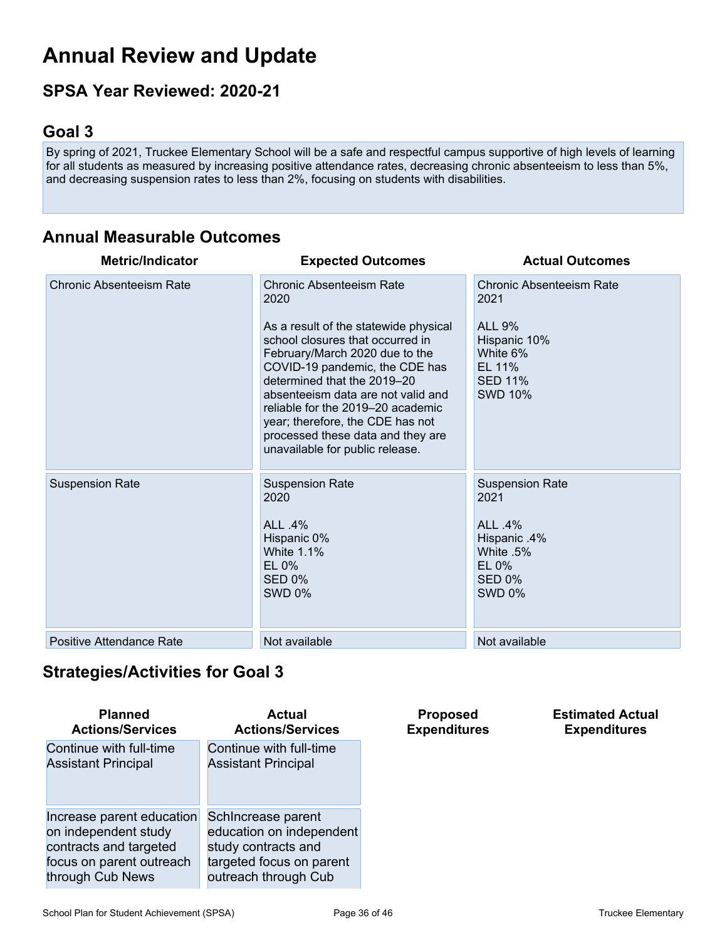## **Annual Review and Update**

## **SPSA Year Reviewed: 2020-21**

## **Goal 3**

By spring of 2021, Truckee Elementary School will be a safe and respectful campus supportive of high levels of learning for all students as measured by increasing positive attendance rates, decreasing chronic absenteeism to less than 5%, and decreasing suspension rates to less than 2%, focusing on students with disabilities.

## **Annual Measurable Outcomes**

| <b>Metric/Indicator</b>         | <b>Expected Outcomes</b>                                                                                                                                                                                                                                                                                                                                                                                       | <b>Actual Outcomes</b>                                                                                                             |
|---------------------------------|----------------------------------------------------------------------------------------------------------------------------------------------------------------------------------------------------------------------------------------------------------------------------------------------------------------------------------------------------------------------------------------------------------------|------------------------------------------------------------------------------------------------------------------------------------|
| <b>Chronic Absenteeism Rate</b> | <b>Chronic Absenteeism Rate</b><br>2020<br>As a result of the statewide physical<br>school closures that occurred in<br>February/March 2020 due to the<br>COVID-19 pandemic, the CDE has<br>determined that the 2019-20<br>absenteeism data are not valid and<br>reliable for the 2019–20 academic<br>year; therefore, the CDE has not<br>processed these data and they are<br>unavailable for public release. | <b>Chronic Absenteeism Rate</b><br>2021<br><b>ALL 9%</b><br>Hispanic 10%<br>White 6%<br>EL 11%<br><b>SED 11%</b><br><b>SWD 10%</b> |
| <b>Suspension Rate</b>          | <b>Suspension Rate</b><br>2020<br>ALL .4%<br>Hispanic 0%<br><b>White 1.1%</b><br>$EL 0\%$<br>SED 0%<br><b>SWD 0%</b>                                                                                                                                                                                                                                                                                           | <b>Suspension Rate</b><br>2021<br>ALL .4%<br>Hispanic .4%<br>White .5%<br>$EL 0\%$<br>SED 0%<br><b>SWD 0%</b>                      |
| Positive Attendance Rate        | Not available                                                                                                                                                                                                                                                                                                                                                                                                  | Not available                                                                                                                      |

## **Strategies/Activities for Goal 3**

| <b>Planned</b>             | Actual                     |
|----------------------------|----------------------------|
| <b>Actions/Services</b>    | <b>Actions/Services</b>    |
| Continue with full-time    | Continue with full-time    |
| <b>Assistant Principal</b> | <b>Assistant Principal</b> |
| Increase parent education  | Schincrease parent         |
| on independent study       | education on independent   |
| contracts and targeted     | study contracts and        |
| focus on parent outreach   | targeted focus on parent   |
| through Cub News           | outreach through Cub       |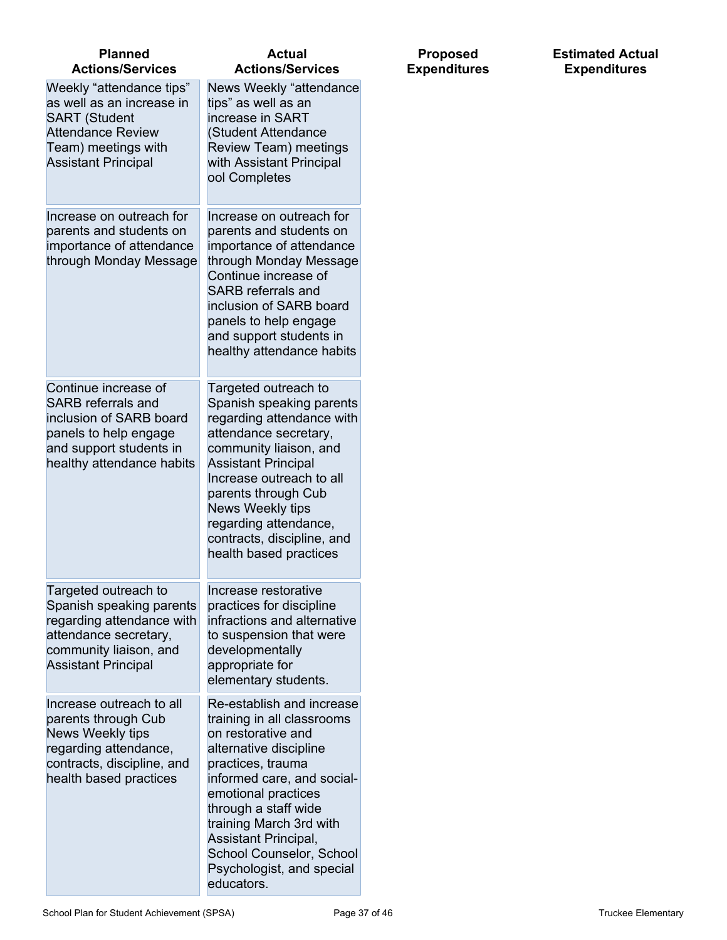| <b>Planned</b><br><b>Actions/Services</b>                                                                                                                      | <b>Actual</b><br><b>Actions/Services</b>                                                                                                                                                                                                                                                                                            |
|----------------------------------------------------------------------------------------------------------------------------------------------------------------|-------------------------------------------------------------------------------------------------------------------------------------------------------------------------------------------------------------------------------------------------------------------------------------------------------------------------------------|
| Weekly "attendance tips"<br>as well as an increase in<br><b>SART (Student</b><br><b>Attendance Review</b><br>Team) meetings with<br><b>Assistant Principal</b> | News Weekly "attendance<br>tips" as well as an<br>increase in SART<br>(Student Attendance<br>Review Team) meetings<br>with Assistant Principal<br>ool Completes                                                                                                                                                                     |
| Increase on outreach for<br>parents and students on<br>importance of attendance<br>through Monday Message                                                      | Increase on outreach for<br>parents and students on<br>importance of attendance<br>through Monday Message<br>Continue increase of<br><b>SARB</b> referrals and<br>inclusion of SARB board<br>panels to help engage<br>and support students in<br>healthy attendance habits                                                          |
| Continue increase of<br><b>SARB</b> referrals and<br>inclusion of SARB board<br>panels to help engage<br>and support students in<br>healthy attendance habits  | Targeted outreach to<br>Spanish speaking parents<br>regarding attendance with<br>attendance secretary,<br>community liaison, and<br><b>Assistant Principal</b><br>Increase outreach to all<br>parents through Cub<br>News Weekly tips<br>regarding attendance,<br>contracts, discipline, and<br>health based practices              |
| Targeted outreach to<br>Spanish speaking parents<br>regarding attendance with<br>attendance secretary,<br>community liaison, and<br><b>Assistant Principal</b> | Increase restorative<br>practices for discipline<br>infractions and alternative<br>to suspension that were<br>developmentally<br>appropriate for<br>elementary students.                                                                                                                                                            |
| Increase outreach to all<br>parents through Cub<br>News Weekly tips<br>regarding attendance,<br>contracts, discipline, and<br>health based practices           | Re-establish and increase<br>training in all classrooms<br>on restorative and<br>alternative discipline<br>practices, trauma<br>informed care, and social-<br>emotional practices<br>through a staff wide<br>training March 3rd with<br>Assistant Principal,<br>School Counselor, School<br>Psychologist, and special<br>educators. |

#### **Estimated Actual Expenditures**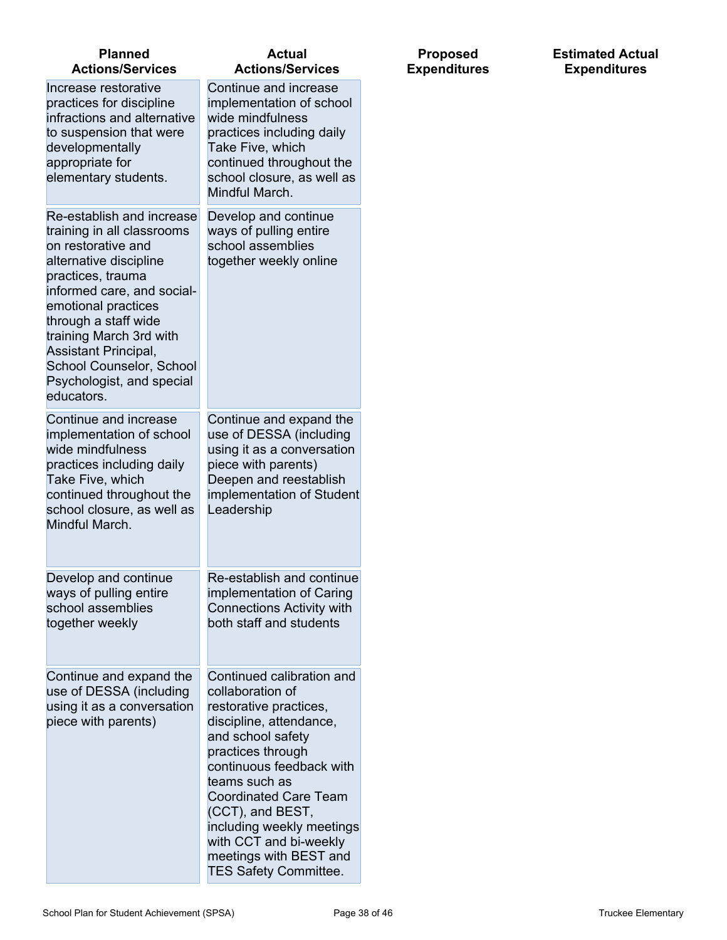| <b>Planned</b><br><b>Actions/Services</b>                                                                                                                                                                                                                                                                                           | <b>Actual</b><br><b>Actions/Services</b>                                                                                                                                                                                                                                                                                                                       |
|-------------------------------------------------------------------------------------------------------------------------------------------------------------------------------------------------------------------------------------------------------------------------------------------------------------------------------------|----------------------------------------------------------------------------------------------------------------------------------------------------------------------------------------------------------------------------------------------------------------------------------------------------------------------------------------------------------------|
| Increase restorative<br>practices for discipline<br>infractions and alternative<br>to suspension that were<br>developmentally<br>appropriate for<br>elementary students.                                                                                                                                                            | Continue and increase<br>implementation of school<br>wide mindfulness<br>practices including daily<br>Take Five, which<br>continued throughout the<br>school closure, as well as<br>Mindful March.                                                                                                                                                             |
| Re-establish and increase<br>training in all classrooms<br>on restorative and<br>alternative discipline<br>practices, trauma<br>informed care, and social-<br>emotional practices<br>through a staff wide<br>training March 3rd with<br>Assistant Principal,<br>School Counselor, School<br>Psychologist, and special<br>educators. | Develop and continue<br>ways of pulling entire<br>school assemblies<br>together weekly online                                                                                                                                                                                                                                                                  |
| Continue and increase<br>implementation of school<br>wide mindfulness<br>practices including daily<br>Take Five, which<br>continued throughout the<br>school closure, as well as<br>Mindful March.                                                                                                                                  | Continue and expand the<br>use of DESSA (including<br>using it as a conversation<br>piece with parents)<br>Deepen and reestablish<br>implementation of Student<br>Leadership                                                                                                                                                                                   |
| Develop and continue<br>ways of pulling entire<br>school assemblies<br>together weekly                                                                                                                                                                                                                                              | Re-establish and continue<br>implementation of Caring<br><b>Connections Activity with</b><br>both staff and students                                                                                                                                                                                                                                           |
| Continue and expand the<br>use of DESSA (including<br>using it as a conversation<br>piece with parents)                                                                                                                                                                                                                             | Continued calibration and<br>collaboration of<br>restorative practices,<br>discipline, attendance,<br>and school safety<br>practices through<br>continuous feedback with<br>teams such as<br><b>Coordinated Care Team</b><br>(CCT), and BEST,<br>including weekly meetings<br>with CCT and bi-weekly<br>meetings with BEST and<br><b>TES Safety Committee.</b> |

#### **Estimated Actual Expenditures**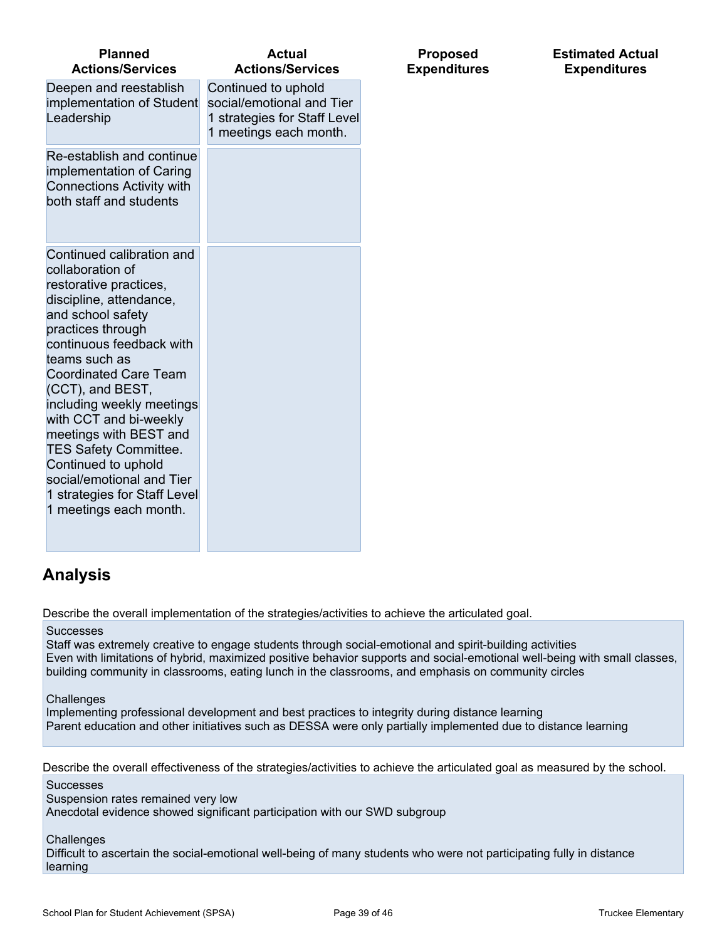| <b>Planned</b><br><b>Actions/Services</b>                                                                                                                                                                                                                                                                                                                                                                                                                                    | <b>Actual</b><br><b>Actions/Services</b>                                                                   |
|------------------------------------------------------------------------------------------------------------------------------------------------------------------------------------------------------------------------------------------------------------------------------------------------------------------------------------------------------------------------------------------------------------------------------------------------------------------------------|------------------------------------------------------------------------------------------------------------|
| Deepen and reestablish<br>implementation of Student<br>Leadership                                                                                                                                                                                                                                                                                                                                                                                                            | Continued to uphold<br>social/emotional and Tier<br>1 strategies for Staff Level<br>1 meetings each month. |
| Re-establish and continue<br>implementation of Caring<br><b>Connections Activity with</b><br>both staff and students                                                                                                                                                                                                                                                                                                                                                         |                                                                                                            |
| Continued calibration and<br>collaboration of<br>restorative practices,<br>discipline, attendance,<br>and school safety<br>practices through<br>continuous feedback with<br>teams such as<br><b>Coordinated Care Team</b><br>(CCT), and BEST,<br>including weekly meetings<br>with CCT and bi-weekly<br>meetings with BEST and<br><b>TES Safety Committee.</b><br>Continued to uphold<br>social/emotional and Tier<br>1 strategies for Staff Level<br>1 meetings each month. |                                                                                                            |

## **Analysis**

Describe the overall implementation of the strategies/activities to achieve the articulated goal.

Successes

Staff was extremely creative to engage students through social-emotional and spirit-building activities Even with limitations of hybrid, maximized positive behavior supports and social-emotional well-being with small classes, building community in classrooms, eating lunch in the classrooms, and emphasis on community circles

**Proposed Expenditures** **Estimated Actual Expenditures**

**Challenges** 

Implementing professional development and best practices to integrity during distance learning Parent education and other initiatives such as DESSA were only partially implemented due to distance learning

Describe the overall effectiveness of the strategies/activities to achieve the articulated goal as measured by the school.

**Successes** Suspension rates remained very low Anecdotal evidence showed significant participation with our SWD subgroup

**Challenges** 

Difficult to ascertain the social-emotional well-being of many students who were not participating fully in distance learning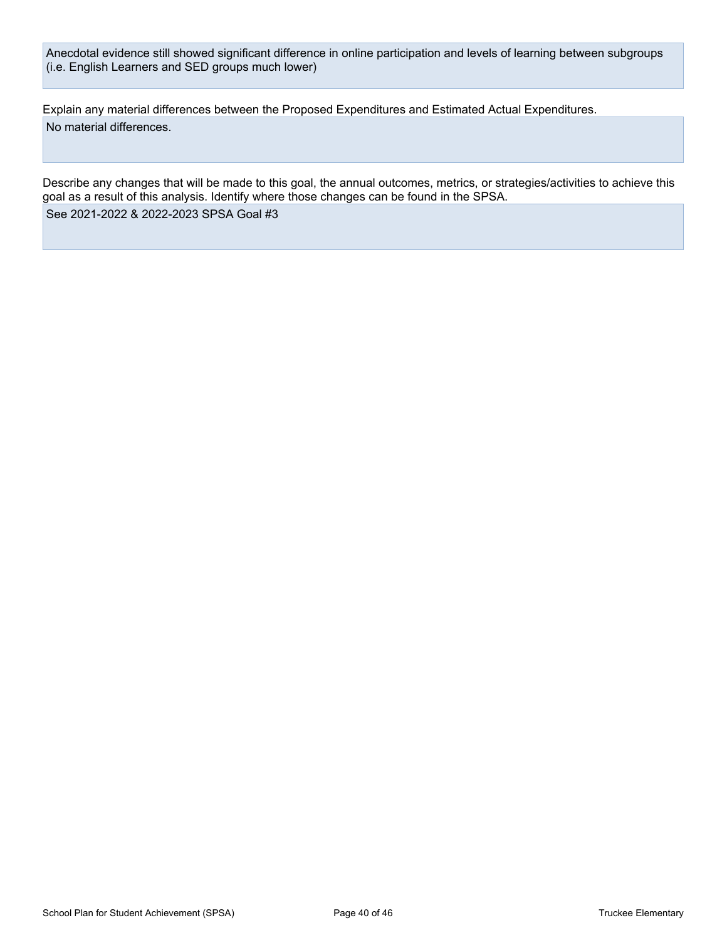Anecdotal evidence still showed significant difference in online participation and levels of learning between subgroups (i.e. English Learners and SED groups much lower)

Explain any material differences between the Proposed Expenditures and Estimated Actual Expenditures. No material differences.

Describe any changes that will be made to this goal, the annual outcomes, metrics, or strategies/activities to achieve this goal as a result of this analysis. Identify where those changes can be found in the SPSA. See 2021-2022 & 2022-2023 SPSA Goal #3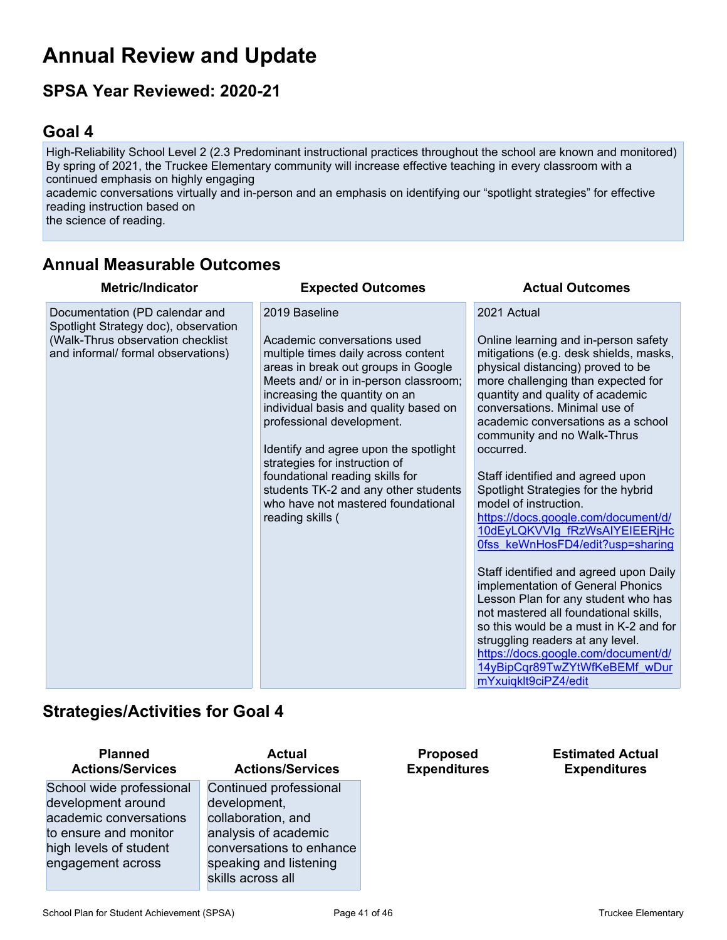## **Annual Review and Update**

## **SPSA Year Reviewed: 2020-21**

### **Goal 4**

High-Reliability School Level 2 (2.3 Predominant instructional practices throughout the school are known and monitored) By spring of 2021, the Truckee Elementary community will increase effective teaching in every classroom with a continued emphasis on highly engaging

academic conversations virtually and in-person and an emphasis on identifying our "spotlight strategies" for effective reading instruction based on

the science of reading.

## **Annual Measurable Outcomes**

| <b>Metric/Indicator</b>                                                                                                                           | <b>Expected Outcomes</b>                                                                                                                                                                                                                                                                                                                                                                                                                                                                  | <b>Actual Outcomes</b>                                                                                                                                                                                                                                                                                                                                                                                                                                                                                                                                                                                                                                                                                                                                                                                                                                                                       |
|---------------------------------------------------------------------------------------------------------------------------------------------------|-------------------------------------------------------------------------------------------------------------------------------------------------------------------------------------------------------------------------------------------------------------------------------------------------------------------------------------------------------------------------------------------------------------------------------------------------------------------------------------------|----------------------------------------------------------------------------------------------------------------------------------------------------------------------------------------------------------------------------------------------------------------------------------------------------------------------------------------------------------------------------------------------------------------------------------------------------------------------------------------------------------------------------------------------------------------------------------------------------------------------------------------------------------------------------------------------------------------------------------------------------------------------------------------------------------------------------------------------------------------------------------------------|
| Documentation (PD calendar and<br>Spotlight Strategy doc), observation<br>(Walk-Thrus observation checklist<br>and informal/ formal observations) | 2019 Baseline<br>Academic conversations used<br>multiple times daily across content<br>areas in break out groups in Google<br>Meets and/ or in in-person classroom;<br>increasing the quantity on an<br>individual basis and quality based on<br>professional development.<br>Identify and agree upon the spotlight<br>strategies for instruction of<br>foundational reading skills for<br>students TK-2 and any other students<br>who have not mastered foundational<br>reading skills ( | 2021 Actual<br>Online learning and in-person safety<br>mitigations (e.g. desk shields, masks,<br>physical distancing) proved to be<br>more challenging than expected for<br>quantity and quality of academic<br>conversations. Minimal use of<br>academic conversations as a school<br>community and no Walk-Thrus<br>occurred.<br>Staff identified and agreed upon<br>Spotlight Strategies for the hybrid<br>model of instruction.<br>https://docs.google.com/document/d/<br>10dEyLQKVVIg fRzWsAIYEIEERjHc<br>Ofss keWnHosFD4/edit?usp=sharing<br>Staff identified and agreed upon Daily<br>implementation of General Phonics<br>Lesson Plan for any student who has<br>not mastered all foundational skills,<br>so this would be a must in K-2 and for<br>struggling readers at any level.<br>https://docs.google.com/document/d/<br>14yBipCqr89TwZYtWfKeBEMf wDur<br>mYxuigklt9ciPZ4/edit |

### **Strategies/Activities for Goal 4**

| <b>Actions/Services</b>                         |
|-------------------------------------------------|
| School wide professional<br>development around  |
| academic conversations                          |
| to ensure and monitor<br>high levels of student |
| engagement across                               |

**Planned**

### **Actual Actions/Services**

Continued professional development, collaboration, and analysis of academic conversations to enhance speaking and listening skills across all

**Proposed Expenditures** **Estimated Actual Expenditures**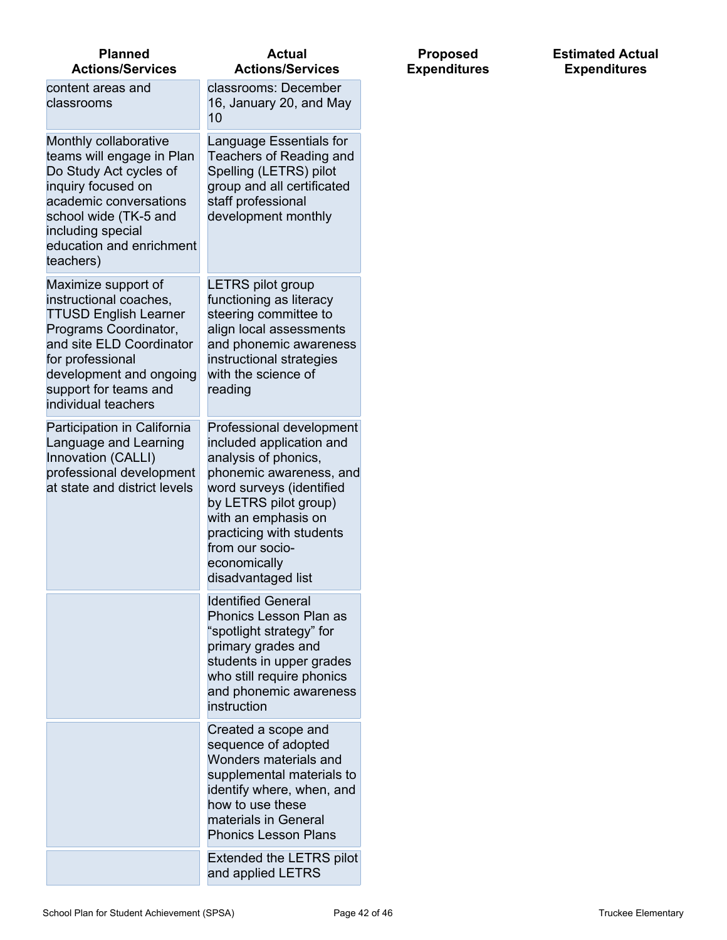| <b>Planned</b><br><b>Actions/Services</b>                                                                                                                                                                                         | <b>Actual</b><br><b>Actions/Services</b>                                                                                                                                                                                                                                 |
|-----------------------------------------------------------------------------------------------------------------------------------------------------------------------------------------------------------------------------------|--------------------------------------------------------------------------------------------------------------------------------------------------------------------------------------------------------------------------------------------------------------------------|
| content areas and<br>classrooms                                                                                                                                                                                                   | classrooms: December<br>16, January 20, and May<br>10                                                                                                                                                                                                                    |
| Monthly collaborative<br>teams will engage in Plan<br>Do Study Act cycles of<br>inquiry focused on<br>academic conversations<br>school wide (TK-5 and<br>including special<br>education and enrichment<br>teachers)               | Language Essentials for<br>Teachers of Reading and<br>Spelling (LETRS) pilot<br>group and all certificated<br>staff professional<br>development monthly                                                                                                                  |
| Maximize support of<br>instructional coaches,<br><b>TTUSD English Learner</b><br>Programs Coordinator,<br>and site ELD Coordinator<br>for professional<br>development and ongoing<br>support for teams and<br>individual teachers | <b>LETRS pilot group</b><br>functioning as literacy<br>steering committee to<br>align local assessments<br>and phonemic awareness<br>instructional strategies<br>with the science of<br>reading                                                                          |
| Participation in California<br>Language and Learning<br>Innovation (CALLI)<br>professional development<br>at state and district levels                                                                                            | Professional development<br>included application and<br>analysis of phonics,<br>phonemic awareness, and<br>word surveys (identified<br>by LETRS pilot group)<br>with an emphasis on<br>practicing with students<br>from our socio-<br>economically<br>disadvantaged list |
|                                                                                                                                                                                                                                   | <b>Identified General</b><br>Phonics Lesson Plan as<br>"spotlight strategy" for<br>primary grades and<br>students in upper grades<br>who still require phonics<br>and phonemic awareness<br>instruction                                                                  |
|                                                                                                                                                                                                                                   | Created a scope and<br>sequence of adopted<br>Wonders materials and<br>supplemental materials to<br>identify where, when, and<br>how to use these<br>materials in General<br><b>Phonics Lesson Plans</b>                                                                 |
|                                                                                                                                                                                                                                   | Extended the LETRS pilot<br>and applied LETRS                                                                                                                                                                                                                            |

**Proposed Expenditures**

#### **Estimated Actual Expenditures**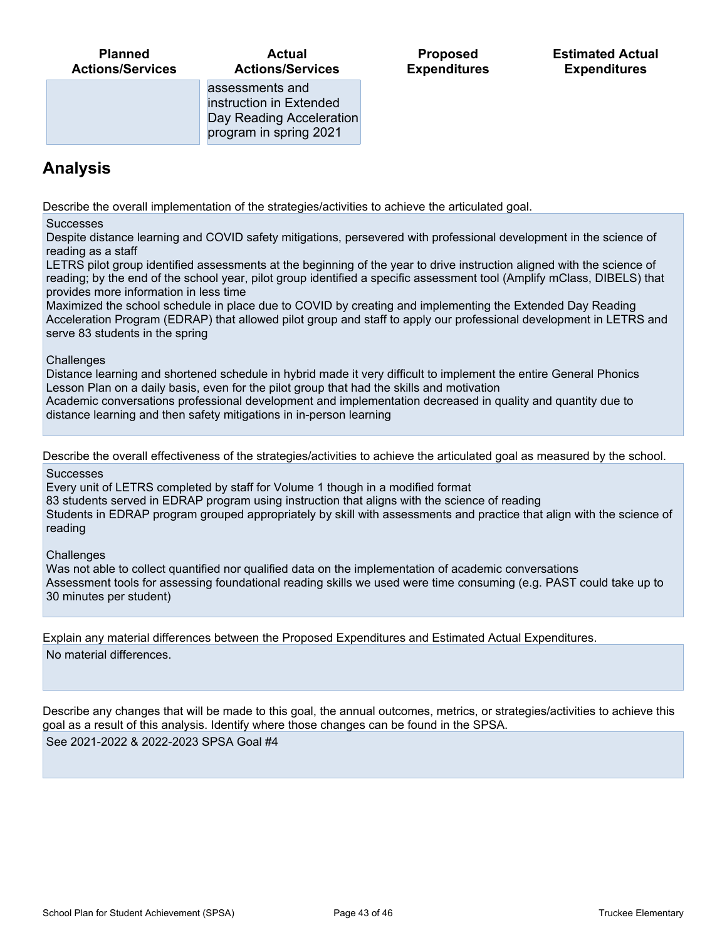#### **Actual Actions/Services**

**Proposed Expenditures**

assessments and instruction in Extended Day Reading Acceleration program in spring 2021

## **Analysis**

Describe the overall implementation of the strategies/activities to achieve the articulated goal.

**Successes** 

Despite distance learning and COVID safety mitigations, persevered with professional development in the science of reading as a staff

LETRS pilot group identified assessments at the beginning of the year to drive instruction aligned with the science of reading; by the end of the school year, pilot group identified a specific assessment tool (Amplify mClass, DIBELS) that provides more information in less time

Maximized the school schedule in place due to COVID by creating and implementing the Extended Day Reading Acceleration Program (EDRAP) that allowed pilot group and staff to apply our professional development in LETRS and serve 83 students in the spring

#### **Challenges**

Distance learning and shortened schedule in hybrid made it very difficult to implement the entire General Phonics Lesson Plan on a daily basis, even for the pilot group that had the skills and motivation

Academic conversations professional development and implementation decreased in quality and quantity due to distance learning and then safety mitigations in in-person learning

Describe the overall effectiveness of the strategies/activities to achieve the articulated goal as measured by the school.

Successes

Every unit of LETRS completed by staff for Volume 1 though in a modified format

83 students served in EDRAP program using instruction that aligns with the science of reading

Students in EDRAP program grouped appropriately by skill with assessments and practice that align with the science of reading

**Challenges** 

Was not able to collect quantified nor qualified data on the implementation of academic conversations Assessment tools for assessing foundational reading skills we used were time consuming (e.g. PAST could take up to 30 minutes per student)

Explain any material differences between the Proposed Expenditures and Estimated Actual Expenditures. No material differences.

Describe any changes that will be made to this goal, the annual outcomes, metrics, or strategies/activities to achieve this goal as a result of this analysis. Identify where those changes can be found in the SPSA.

See 2021-2022 & 2022-2023 SPSA Goal #4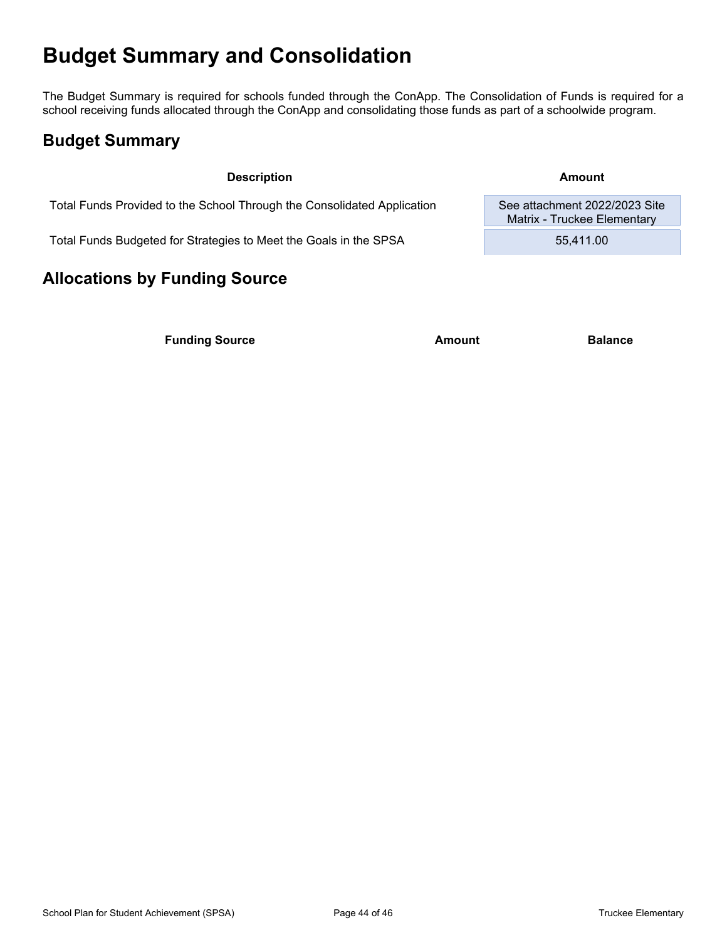## **Budget Summary and Consolidation**

The Budget Summary is required for schools funded through the ConApp. The Consolidation of Funds is required for a school receiving funds allocated through the ConApp and consolidating those funds as part of a schoolwide program.

## **Budget Summary**

**Description Amount**

Matrix - Truckee Elementary

Total Funds Provided to the School Through the Consolidated Application See attachment 2022/2023 Site

Total Funds Budgeted for Strategies to Meet the Goals in the SPSA 55,411.00

### **Allocations by Funding Source**

**Funding Source Amount Balance Balance**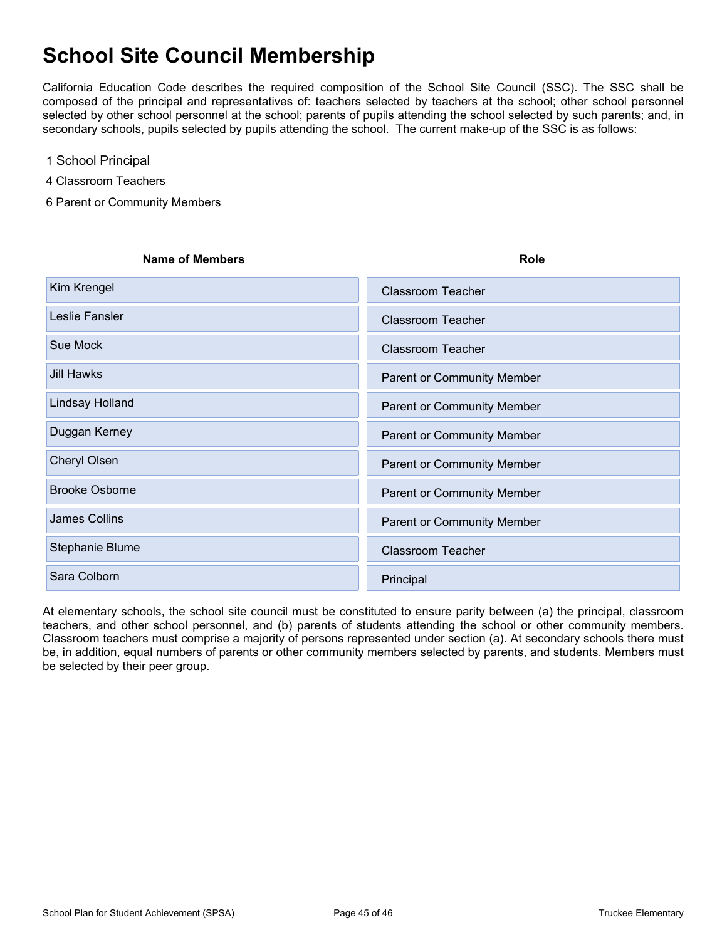## **School Site Council Membership**

California Education Code describes the required composition of the School Site Council (SSC). The SSC shall be composed of the principal and representatives of: teachers selected by teachers at the school; other school personnel selected by other school personnel at the school; parents of pupils attending the school selected by such parents; and, in secondary schools, pupils selected by pupils attending the school. The current make-up of the SSC is as follows:

- 1 School Principal
- 4 Classroom Teachers
- 6 Parent or Community Members

| <b>Name of Members</b> | <b>Role</b>                       |
|------------------------|-----------------------------------|
| Kim Krengel            | <b>Classroom Teacher</b>          |
| Leslie Fansler         | <b>Classroom Teacher</b>          |
| Sue Mock               | <b>Classroom Teacher</b>          |
| <b>Jill Hawks</b>      | <b>Parent or Community Member</b> |
| Lindsay Holland        | <b>Parent or Community Member</b> |
| Duggan Kerney          | <b>Parent or Community Member</b> |
| Cheryl Olsen           | Parent or Community Member        |
| <b>Brooke Osborne</b>  | Parent or Community Member        |
| <b>James Collins</b>   | Parent or Community Member        |
| Stephanie Blume        | <b>Classroom Teacher</b>          |
| Sara Colborn           | Principal                         |

At elementary schools, the school site council must be constituted to ensure parity between (a) the principal, classroom teachers, and other school personnel, and (b) parents of students attending the school or other community members. Classroom teachers must comprise a majority of persons represented under section (a). At secondary schools there must be, in addition, equal numbers of parents or other community members selected by parents, and students. Members must be selected by their peer group.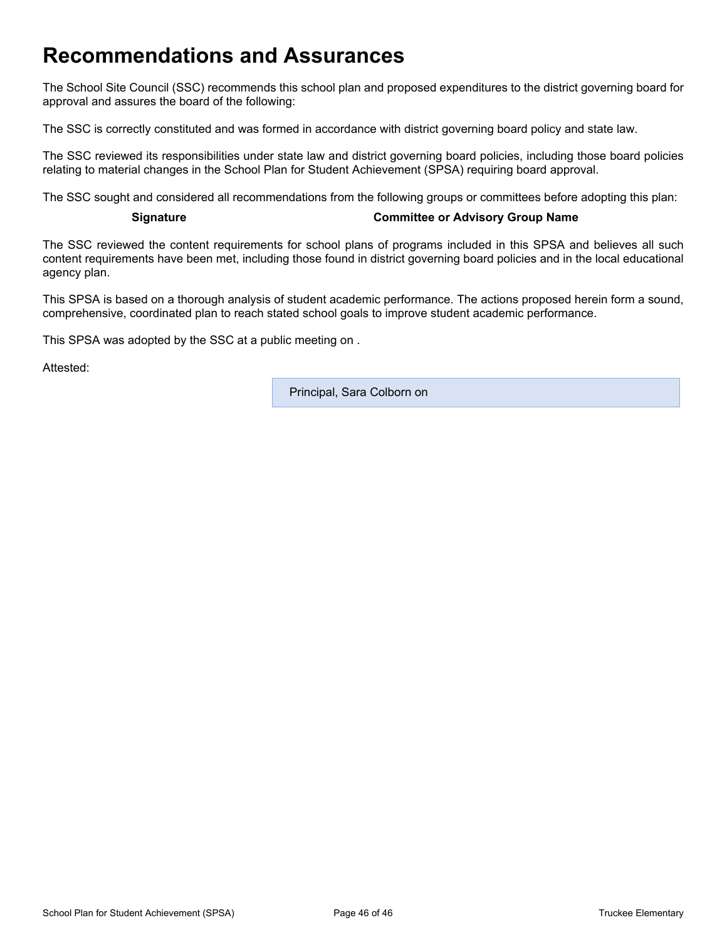## **Recommendations and Assurances**

The School Site Council (SSC) recommends this school plan and proposed expenditures to the district governing board for approval and assures the board of the following:

The SSC is correctly constituted and was formed in accordance with district governing board policy and state law.

The SSC reviewed its responsibilities under state law and district governing board policies, including those board policies relating to material changes in the School Plan for Student Achievement (SPSA) requiring board approval.

The SSC sought and considered all recommendations from the following groups or committees before adopting this plan:

#### **Signature Committee or Advisory Group Name**

The SSC reviewed the content requirements for school plans of programs included in this SPSA and believes all such content requirements have been met, including those found in district governing board policies and in the local educational agency plan.

This SPSA is based on a thorough analysis of student academic performance. The actions proposed herein form a sound, comprehensive, coordinated plan to reach stated school goals to improve student academic performance.

This SPSA was adopted by the SSC at a public meeting on .

Attested:

Principal, Sara Colborn on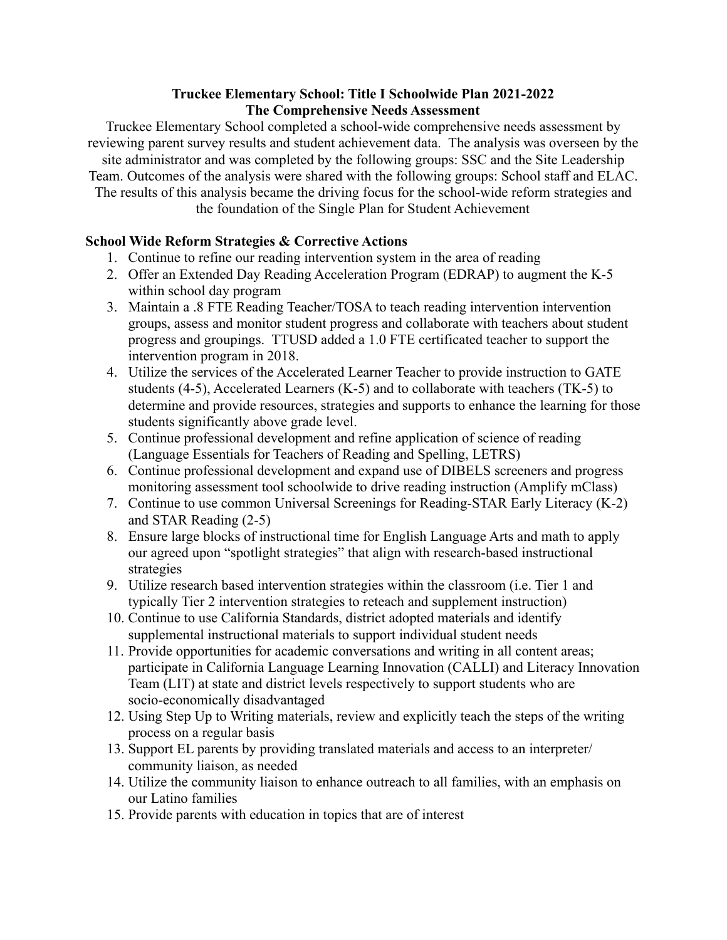#### **Truckee Elementary School: Title I Schoolwide Plan 2021-2022 The Comprehensive Needs Assessment**

Truckee Elementary School completed a school-wide comprehensive needs assessment by reviewing parent survey results and student achievement data. The analysis was overseen by the site administrator and was completed by the following groups: SSC and the Site Leadership Team. Outcomes of the analysis were shared with the following groups: School staff and ELAC. The results of this analysis became the driving focus for the school-wide reform strategies and the foundation of the Single Plan for Student Achievement

### **School Wide Reform Strategies & Corrective Actions**

- 1. Continue to refine our reading intervention system in the area of reading
- 2. Offer an Extended Day Reading Acceleration Program (EDRAP) to augment the K-5 within school day program
- 3. Maintain a .8 FTE Reading Teacher/TOSA to teach reading intervention intervention groups, assess and monitor student progress and collaborate with teachers about student progress and groupings. TTUSD added a 1.0 FTE certificated teacher to support the intervention program in 2018.
- 4. Utilize the services of the Accelerated Learner Teacher to provide instruction to GATE students (4-5), Accelerated Learners (K-5) and to collaborate with teachers (TK-5) to determine and provide resources, strategies and supports to enhance the learning for those students significantly above grade level.
- 5. Continue professional development and refine application of science of reading (Language Essentials for Teachers of Reading and Spelling, LETRS)
- 6. Continue professional development and expand use of DIBELS screeners and progress monitoring assessment tool schoolwide to drive reading instruction (Amplify mClass)
- 7. Continue to use common Universal Screenings for Reading-STAR Early Literacy (K-2) and STAR Reading (2-5)
- 8. Ensure large blocks of instructional time for English Language Arts and math to apply our agreed upon "spotlight strategies" that align with research-based instructional strategies
- 9. Utilize research based intervention strategies within the classroom (i.e. Tier 1 and typically Tier 2 intervention strategies to reteach and supplement instruction)
- 10. Continue to use California Standards, district adopted materials and identify supplemental instructional materials to support individual student needs
- 11. Provide opportunities for academic conversations and writing in all content areas; participate in California Language Learning Innovation (CALLI) and Literacy Innovation Team (LIT) at state and district levels respectively to support students who are socio-economically disadvantaged
- 12. Using Step Up to Writing materials, review and explicitly teach the steps of the writing process on a regular basis
- 13. Support EL parents by providing translated materials and access to an interpreter/ community liaison, as needed
- 14. Utilize the community liaison to enhance outreach to all families, with an emphasis on our Latino families
- 15. Provide parents with education in topics that are of interest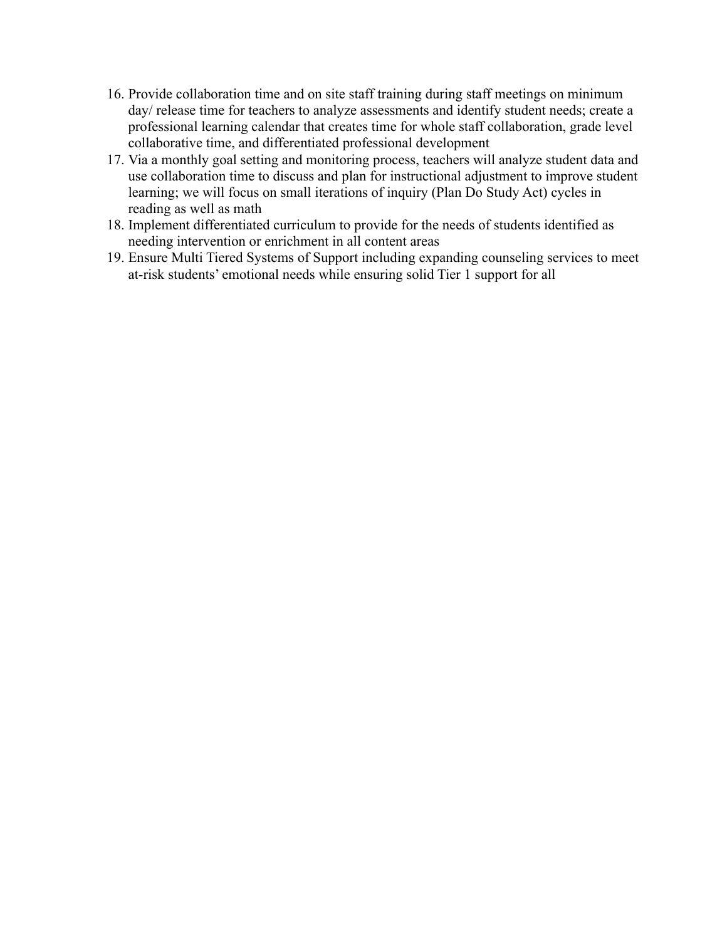- 16. Provide collaboration time and on site staff training during staff meetings on minimum day/ release time for teachers to analyze assessments and identify student needs; create a professional learning calendar that creates time for whole staff collaboration, grade level collaborative time, and differentiated professional development
- 17. Via a monthly goal setting and monitoring process, teachers will analyze student data and use collaboration time to discuss and plan for instructional adjustment to improve student learning; we will focus on small iterations of inquiry (Plan Do Study Act) cycles in reading as well as math
- 18. Implement differentiated curriculum to provide for the needs of students identified as needing intervention or enrichment in all content areas
- 19. Ensure Multi Tiered Systems of Support including expanding counseling services to meet at-risk students' emotional needs while ensuring solid Tier 1 support for all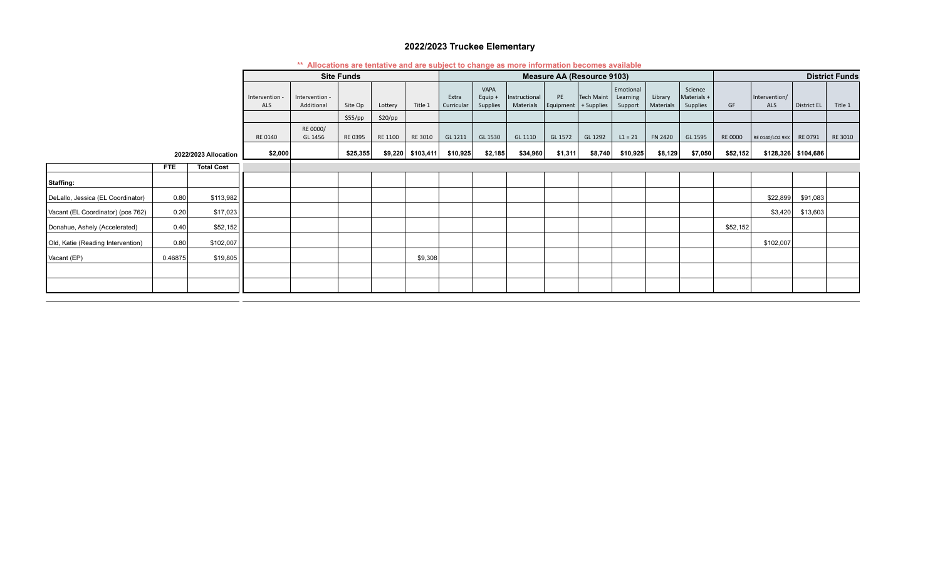#### **2022/2023 Truckee Elementary**

|                                   |            |                      | <b>This canonical containst and are capped to change as more imprimation pocomoc</b> a random<br><b>Site Funds</b> |                              |          |         | <b>Measure AA (Resource 9103)</b> |                     |                             |                            |                 |                          |                                  |                      | <b>District Funds</b>              |                |                             |                       |         |
|-----------------------------------|------------|----------------------|--------------------------------------------------------------------------------------------------------------------|------------------------------|----------|---------|-----------------------------------|---------------------|-----------------------------|----------------------------|-----------------|--------------------------|----------------------------------|----------------------|------------------------------------|----------------|-----------------------------|-----------------------|---------|
|                                   |            |                      | Intervention -<br>ALS                                                                                              | Intervention -<br>Additional | Site Op  | Lottery | Title 1                           | Extra<br>Curricular | VAPA<br>Equip +<br>Supplies | Instructional<br>Materials | PE<br>Equipment | Tech Maint<br>+ Supplies | Emotional<br>Learning<br>Support | Library<br>Materials | Science<br>Materials +<br>Supplies | GF             | Intervention/<br><b>ALS</b> | <b>District EL</b>    | Title 1 |
|                                   |            |                      |                                                                                                                    |                              | \$55/pp  | \$20/pp |                                   |                     |                             |                            |                 |                          |                                  |                      |                                    |                |                             |                       |         |
|                                   |            |                      | RE 0140                                                                                                            | RE 0000/<br>GL 1456          | RE 0395  | RE 1100 | RE 3010                           | GL 1211             | GL 1530                     | GL 1110                    | GL 1572         | GL 1292                  | $L1 = 21$                        | <b>FN 2420</b>       | GL 1595                            | <b>RE 0000</b> | RE 0140/LO2 9XX             | RE 0791               | RE 3010 |
|                                   |            | 2022/2023 Allocation | \$2,000                                                                                                            |                              | \$25,355 |         | $$9,220$ $$103,411$               | \$10,925            | \$2,185                     | \$34,960                   | \$1,311         | \$8,740                  | \$10,925                         | \$8,129              | \$7,050                            | \$52,152       |                             | $$128,326$ $$104,686$ |         |
|                                   | <b>FTE</b> | <b>Total Cost</b>    |                                                                                                                    |                              |          |         |                                   |                     |                             |                            |                 |                          |                                  |                      |                                    |                |                             |                       |         |
| Staffing:                         |            |                      |                                                                                                                    |                              |          |         |                                   |                     |                             |                            |                 |                          |                                  |                      |                                    |                |                             |                       |         |
| DeLallo, Jessica (EL Coordinator) | 0.80       | \$113,982            |                                                                                                                    |                              |          |         |                                   |                     |                             |                            |                 |                          |                                  |                      |                                    |                | \$22,899                    | \$91,083              |         |
| Vacant (EL Coordinator) (pos 762) | 0.20       | \$17,023             |                                                                                                                    |                              |          |         |                                   |                     |                             |                            |                 |                          |                                  |                      |                                    |                | \$3,420                     | \$13,603              |         |
| Donahue, Ashely (Accelerated)     | 0.40       | \$52,152             |                                                                                                                    |                              |          |         |                                   |                     |                             |                            |                 |                          |                                  |                      |                                    | \$52,152       |                             |                       |         |
| Old, Katie (Reading Intervention) | 0.80       | \$102,007            |                                                                                                                    |                              |          |         |                                   |                     |                             |                            |                 |                          |                                  |                      |                                    |                | \$102,007                   |                       |         |
| Vacant (EP)                       | 0.46875    | \$19,805             |                                                                                                                    |                              |          |         | \$9,308                           |                     |                             |                            |                 |                          |                                  |                      |                                    |                |                             |                       |         |
|                                   |            |                      |                                                                                                                    |                              |          |         |                                   |                     |                             |                            |                 |                          |                                  |                      |                                    |                |                             |                       |         |
|                                   |            |                      |                                                                                                                    |                              |          |         |                                   |                     |                             |                            |                 |                          |                                  |                      |                                    |                |                             |                       |         |

#### **\*\* Allocations are tentative and are subject to change as more information becomes available**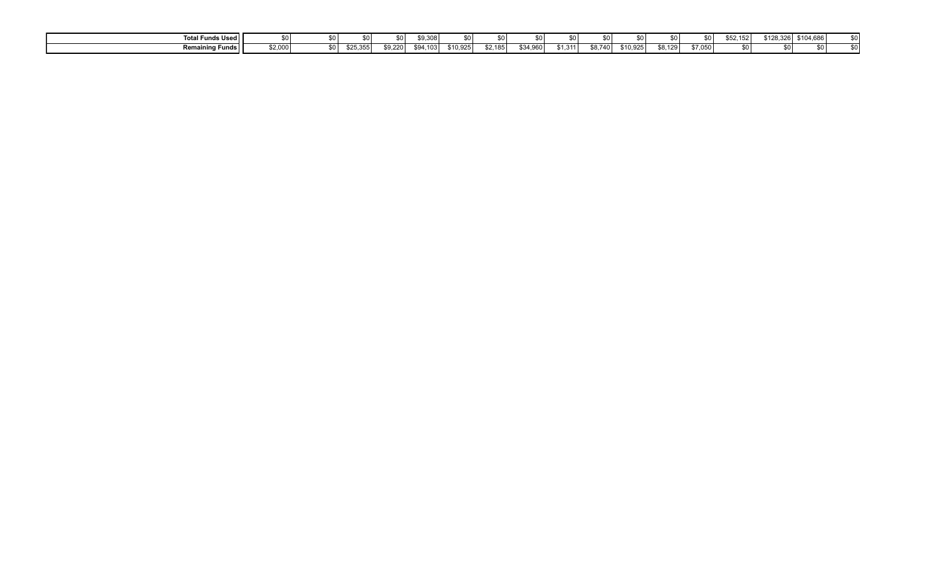| Total Funds Used           |         |      |         | ¢Λ      | \$9,308  | \$0 <sub>1</sub>     |        |          | œ۸        |         |          | so I    |         | 152 <sub>1</sub> | \$128,326 | \$104,686 | ¢∩ I<br>ັ |
|----------------------------|---------|------|---------|---------|----------|----------------------|--------|----------|-----------|---------|----------|---------|---------|------------------|-----------|-----------|-----------|
| <b>Remaining Funds    </b> | \$2,000 | so l | `25,355 | \$9.220 | \$94.103 | <sup>ፍ</sup> 10.925⊤ | 2.1851 | \$34.960 | \$1.311 l | \$8.740 | \$10,925 | \$8,129 | \$7,050 |                  |           |           |           |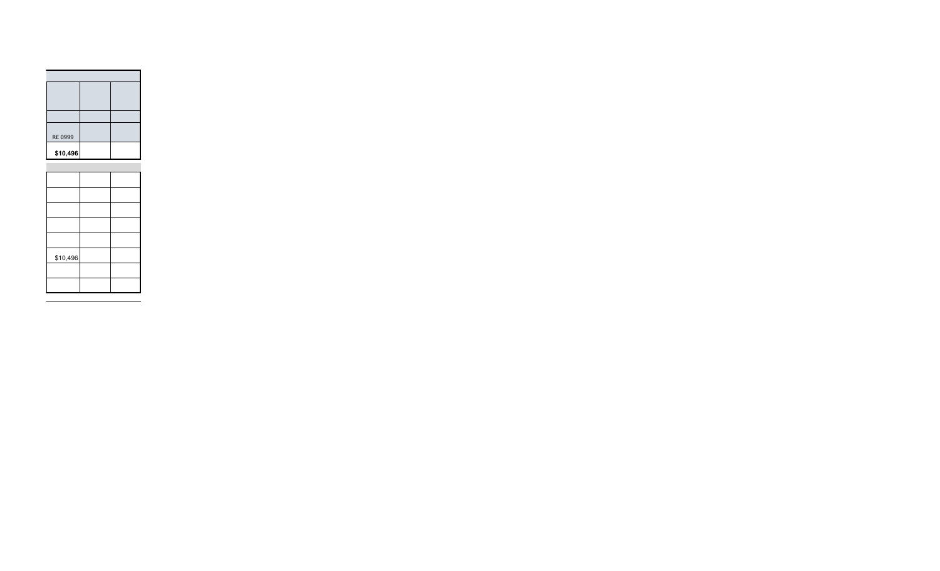| \$10,496 |  |
|----------|--|
|          |  |
|          |  |